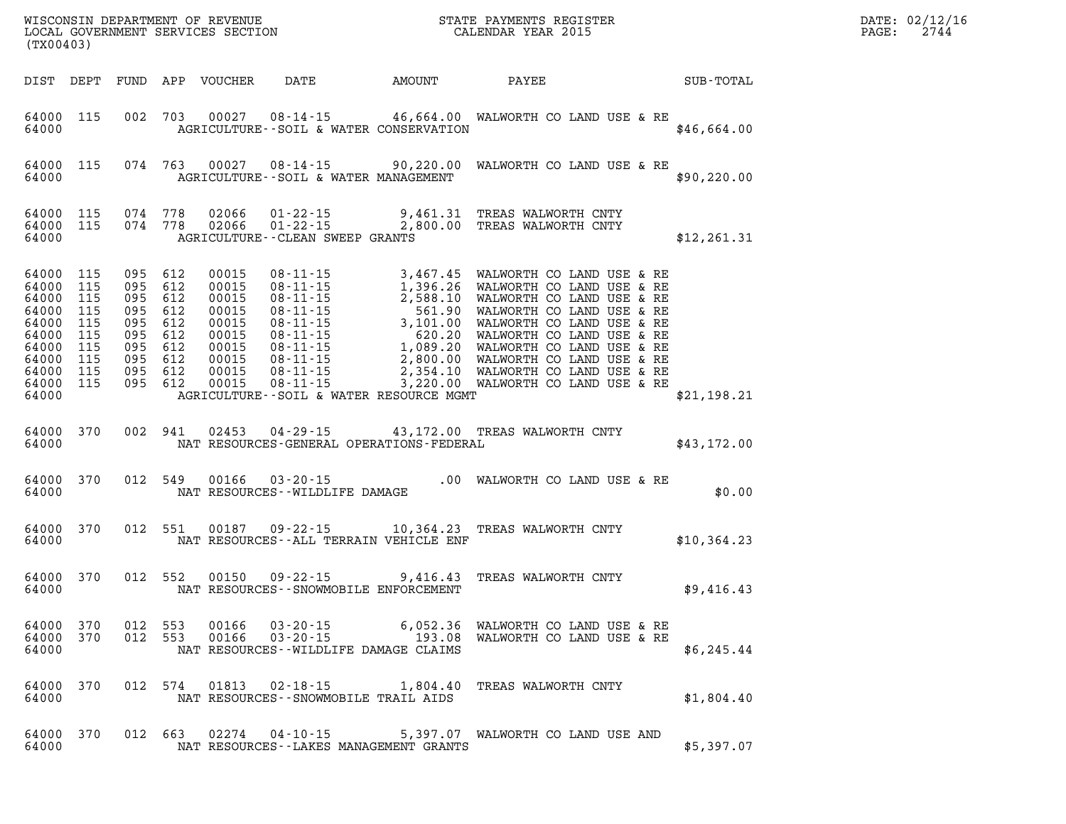| WISCONSIN DEPARTMENT OF REVENUE<br>LOCAL GOVERNMENT SERVICES SECTION FOR THE STATE PAYMENTS REGISTER<br>CALENDAR YEAR 2015<br>(TX00403) |                                        |                                                                                                        |         |                                                                                        |                                                             |                                                                                                                                                                                                                                               |              | PAGE: | DATE: 02/12/16<br>2744 |
|-----------------------------------------------------------------------------------------------------------------------------------------|----------------------------------------|--------------------------------------------------------------------------------------------------------|---------|----------------------------------------------------------------------------------------|-------------------------------------------------------------|-----------------------------------------------------------------------------------------------------------------------------------------------------------------------------------------------------------------------------------------------|--------------|-------|------------------------|
| DIST DEPT                                                                                                                               |                                        |                                                                                                        |         | FUND APP VOUCHER                                                                       | DATE AMOUNT                                                 | <b>PAYEE</b>                                                                                                                                                                                                                                  | SUB-TOTAL    |       |                        |
| 64000 115<br>64000                                                                                                                      |                                        |                                                                                                        | 002 703 | 00027                                                                                  | AGRICULTURE--SOIL & WATER CONSERVATION                      | 08-14-15 46,664.00 WALWORTH CO LAND USE & RE                                                                                                                                                                                                  | \$46,664.00  |       |                        |
| 64000 115<br>64000                                                                                                                      |                                        |                                                                                                        | 074 763 |                                                                                        | AGRICULTURE--SOIL & WATER MANAGEMENT                        | 00027 08-14-15 90,220.00 WALWORTH CO LAND USE & RE                                                                                                                                                                                            | \$90, 220.00 |       |                        |
| 64000 115<br>64000 115<br>64000                                                                                                         |                                        | 074 778                                                                                                | 074 778 | 02066<br>02066                                                                         | $01 - 22 - 15$<br>AGRICULTURE--CLEAN SWEEP GRANTS           | 9,461.31 TREAS WALWORTH CNTY<br>01-22-15 2,800.00 TREAS WALWORTH CNTY                                                                                                                                                                         | \$12, 261.31 |       |                        |
| 64000 115<br>64000<br>64000<br>64000<br>64000<br>64000<br>64000<br>64000 115<br>64000 115<br>64000 115<br>64000                         | 115<br>115<br>115<br>115<br>115<br>115 | 095 612<br>095 612<br>095 612<br>095 612<br>095<br>095 612<br>095 612<br>095 612<br>095 612<br>095 612 | 612     | 00015<br>00015<br>00015<br>00015<br>00015<br>00015<br>00015<br>00015<br>00015<br>00015 | AGRICULTURE--SOIL & WATER RESOURCE MGMT                     | 08-11-15 3,467.45 WALWORTH CO LAND USE & RE<br>08-11-15 1,396.26 WALWORTH CO LAND USE & RE<br>08-11-15 2,588.10 WALWORTH CO LAND USE & RE<br>08-11-15 561.90 WALWORTH CO LAND USE & RE<br>08-11-15 3,101.00 WALWORTH CO LAND USE & RE<br>08-1 | \$21,198.21  |       |                        |
| 64000                                                                                                                                   | 64000 370                              |                                                                                                        | 002 941 | 02453                                                                                  | NAT RESOURCES-GENERAL OPERATIONS-FEDERAL                    | 04-29-15 43,172.00 TREAS WALWORTH CNTY                                                                                                                                                                                                        | \$43,172.00  |       |                        |
| 64000                                                                                                                                   | 64000 370                              | 012 549                                                                                                |         | 00166                                                                                  | $03 - 20 - 15$<br>NAT RESOURCES - WILDLIFE DAMAGE           | .00 WALWORTH CO LAND USE & RE                                                                                                                                                                                                                 | \$0.00       |       |                        |
| 64000                                                                                                                                   | 64000 370                              | 012 551                                                                                                |         | 00187                                                                                  | NAT RESOURCES -- ALL TERRAIN VEHICLE ENF                    | 09-22-15 10,364.23 TREAS WALWORTH CNTY                                                                                                                                                                                                        | \$10,364.23  |       |                        |
| 64000                                                                                                                                   | 64000 370                              | 012 552                                                                                                |         |                                                                                        | 00150 09-22-15<br>NAT RESOURCES - - SNOWMOBILE ENFORCEMENT  | 9,416.43 TREAS WALWORTH CNTY                                                                                                                                                                                                                  | \$9,416.43   |       |                        |
| 64000 370<br>64000 370<br>64000                                                                                                         |                                        | 012 553<br>012 553                                                                                     |         | 00166<br>00166                                                                         | 03-20-15<br>NAT RESOURCES--WILDLIFE DAMAGE CLAIMS           | 6,052.36 WALWORTH CO LAND USE & RE<br>03-20-15 193.08 WALWORTH CO LAND USE & RE                                                                                                                                                               | \$6, 245.44  |       |                        |
| 64000 370<br>64000                                                                                                                      |                                        |                                                                                                        | 012 574 |                                                                                        | NAT RESOURCES - - SNOWMOBILE TRAIL AIDS                     | 01813  02-18-15  1,804.40  TREAS WALWORTH CNTY                                                                                                                                                                                                | \$1,804.40   |       |                        |
| 64000 370<br>64000                                                                                                                      |                                        | 012 663                                                                                                |         |                                                                                        | 02274 04-10-15<br>NAT RESOURCES - - LAKES MANAGEMENT GRANTS | 5,397.07 WALWORTH CO LAND USE AND                                                                                                                                                                                                             | \$5,397.07   |       |                        |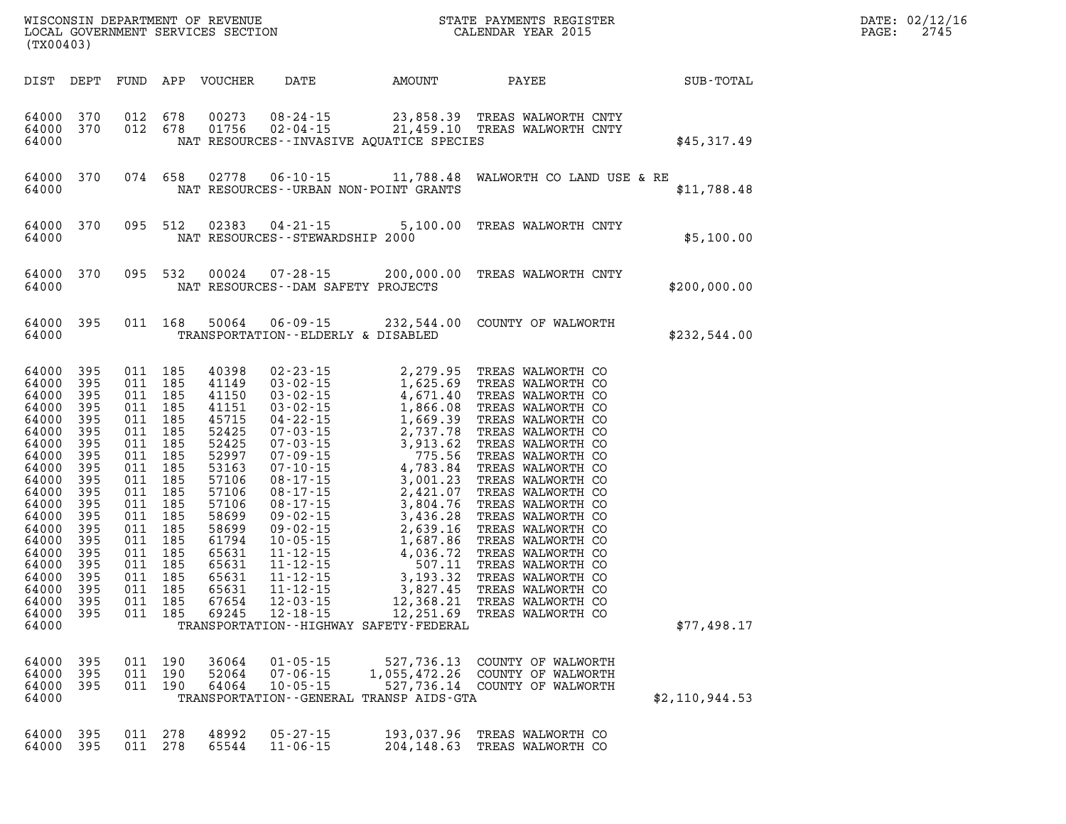| (TX00403)                                                                                                                                                                                              |                                                                                                                                          |                                                                                                                                                                                                                          |                                                                                                                                                                                                   |                                                                                                                                                                                                                                                                                                                                                                                                        | $\mathbb{E} \mathbf{R}$<br>WISCONSIN DEPARTMENT OF REVENUE <b>A STATE PAYMENTS REGISTER</b><br>LOCAL GOVERNMENT SERVICES SECTION <b>A STATE CONTRANT SERVICES</b> |                                                                                                                                                                                                                                                                                                                                                                                                                                                                 |                | DATE: 02/12/16<br>$\mathtt{PAGE}$ :<br>2745 |
|--------------------------------------------------------------------------------------------------------------------------------------------------------------------------------------------------------|------------------------------------------------------------------------------------------------------------------------------------------|--------------------------------------------------------------------------------------------------------------------------------------------------------------------------------------------------------------------------|---------------------------------------------------------------------------------------------------------------------------------------------------------------------------------------------------|--------------------------------------------------------------------------------------------------------------------------------------------------------------------------------------------------------------------------------------------------------------------------------------------------------------------------------------------------------------------------------------------------------|-------------------------------------------------------------------------------------------------------------------------------------------------------------------|-----------------------------------------------------------------------------------------------------------------------------------------------------------------------------------------------------------------------------------------------------------------------------------------------------------------------------------------------------------------------------------------------------------------------------------------------------------------|----------------|---------------------------------------------|
| DIST DEPT                                                                                                                                                                                              |                                                                                                                                          |                                                                                                                                                                                                                          | FUND APP VOUCHER                                                                                                                                                                                  | DATE                                                                                                                                                                                                                                                                                                                                                                                                   | AMOUNT                                                                                                                                                            | PAYEE SUB-TOTAL                                                                                                                                                                                                                                                                                                                                                                                                                                                 |                |                                             |
| 64000 370<br>64000 370<br>64000                                                                                                                                                                        |                                                                                                                                          | 012 678<br>012 678                                                                                                                                                                                                       | 00273<br>01756                                                                                                                                                                                    | NAT RESOURCES -- INVASIVE AQUATICE SPECIES                                                                                                                                                                                                                                                                                                                                                             |                                                                                                                                                                   | 08-24-15 23,858.39 TREAS WALWORTH CNTY<br>02-04-15 21,459.10 TREAS WALWORTH CNTY                                                                                                                                                                                                                                                                                                                                                                                | \$45,317.49    |                                             |
| 64000<br>64000                                                                                                                                                                                         | 370                                                                                                                                      | 074 658                                                                                                                                                                                                                  | 02778                                                                                                                                                                                             | NAT RESOURCES - - URBAN NON-POINT GRANTS                                                                                                                                                                                                                                                                                                                                                               |                                                                                                                                                                   | 06-10-15 11,788.48 WALWORTH CO LAND USE & RE                                                                                                                                                                                                                                                                                                                                                                                                                    | \$11,788.48    |                                             |
| 64000<br>64000                                                                                                                                                                                         | 370                                                                                                                                      | 095 512                                                                                                                                                                                                                  | 02383                                                                                                                                                                                             | $04 - 21 - 15$<br>NAT RESOURCES - - STEWARDSHIP 2000                                                                                                                                                                                                                                                                                                                                                   |                                                                                                                                                                   | 5,100.00 TREAS WALWORTH CNTY                                                                                                                                                                                                                                                                                                                                                                                                                                    | \$5,100.00     |                                             |
| 64000<br>64000                                                                                                                                                                                         | 370                                                                                                                                      | 095 532                                                                                                                                                                                                                  | 00024                                                                                                                                                                                             | NAT RESOURCES - - DAM SAFETY PROJECTS                                                                                                                                                                                                                                                                                                                                                                  |                                                                                                                                                                   | 07-28-15 200,000.00 TREAS WALWORTH CNTY                                                                                                                                                                                                                                                                                                                                                                                                                         | \$200,000.00   |                                             |
| 64000<br>64000                                                                                                                                                                                         | 395                                                                                                                                      | 011 168                                                                                                                                                                                                                  | 50064                                                                                                                                                                                             | TRANSPORTATION--ELDERLY & DISABLED                                                                                                                                                                                                                                                                                                                                                                     |                                                                                                                                                                   | 06-09-15 232,544.00 COUNTY OF WALWORTH                                                                                                                                                                                                                                                                                                                                                                                                                          | \$232,544.00   |                                             |
| 64000<br>64000<br>64000<br>64000<br>64000<br>64000<br>64000<br>64000<br>64000<br>64000<br>64000<br>64000<br>64000<br>64000<br>64000<br>64000<br>64000<br>64000<br>64000<br>64000<br>64000 395<br>64000 | 395<br>395<br>395<br>395<br>395<br>395<br>395<br>395<br>395<br>395<br>395<br>395<br>395<br>395<br>395<br>395<br>395<br>395<br>395<br>395 | 011 185<br>011 185<br>011 185<br>011 185<br>011 185<br>011 185<br>011 185<br>011 185<br>011 185<br>011 185<br>011 185<br>011 185<br>011 185<br>011 185<br>011 185<br>011 185<br>011 185<br>011 185<br>011 185<br>011 185 | 40398<br>41149<br>41150<br>41151<br>45715<br>52425<br>52425<br>52997<br>53163<br>57106<br>57106<br>57106<br>58699<br>58699<br>61794<br>65631<br>65631<br>65631<br>65631<br>67654<br>011 185 69245 | $\begin{array}{cccc} 02\text{-}23\text{-}15 & 2,279.95 \\ 03\text{-}02\text{-}15 & 1,625.69 \\ 03\text{-}02\text{-}15 & 4,671.40 \\ 03\text{-}02\text{-}15 & 1,866.08 \\ 04\text{-}22\text{-}15 & 1,866.08 \\ 07\text{-}03\text{-}15 & 2,737.78 \\ 07\text{-}03\text{-}15 & 3,913.62 \\ 07\text{-}09\text{-}15 & 4,783.84 \\ 08\text$<br>$12 - 18 - 15$<br>TRANSPORTATION - - HIGHWAY SAFETY - FEDERAL |                                                                                                                                                                   | TREAS WALWORTH CO<br>TREAS WALWORTH CO<br>TREAS WALWORTH CO<br>TREAS WALWORTH CO<br>TREAS WALWORTH CO<br>TREAS WALWORTH CO<br>TREAS WALWORTH CO<br>TREAS WALWORTH CO<br>TREAS WALWORTH CO<br>TREAS WALWORTH CO<br>TREAS WALWORTH CO<br>TREAS WALWORTH CO<br>TREAS WALWORTH CO<br>TREAS WALWORTH CO<br>TREAS WALWORTH CO<br>TREAS WALWORTH CO<br>TREAS WALWORTH CO<br>TREAS WALWORTH CO<br>TREAS WALWORTH CO<br>TREAS WALWORTH CO<br>12,251.69 TREAS WALWORTH CO | \$77,498.17    |                                             |
| 64000 395<br>64000 395<br>64000 395<br>64000                                                                                                                                                           |                                                                                                                                          | 011 190<br>011 190                                                                                                                                                                                                       | 011 190 36064<br>52064<br>64064                                                                                                                                                                   | $01 - 05 - 15$<br>$07 - 06 - 15$<br>$10 - 05 - 15$<br>TRANSPORTATION - - GENERAL TRANSP AIDS-GTA                                                                                                                                                                                                                                                                                                       |                                                                                                                                                                   | 527,736.13 COUNTY OF WALWORTH<br>1,055,472.26 COUNTY OF WALWORTH<br>527,736.14 COUNTY OF WALWORTH                                                                                                                                                                                                                                                                                                                                                               | \$2,110,944.53 |                                             |
| 64000 395                                                                                                                                                                                              | 64000 395                                                                                                                                | 011 278<br>011 278                                                                                                                                                                                                       | 48992<br>65544                                                                                                                                                                                    | $05 - 27 - 15$<br>$11 - 06 - 15$                                                                                                                                                                                                                                                                                                                                                                       |                                                                                                                                                                   | 193,037.96 TREAS WALWORTH CO<br>204,148.63 TREAS WALWORTH CO                                                                                                                                                                                                                                                                                                                                                                                                    |                |                                             |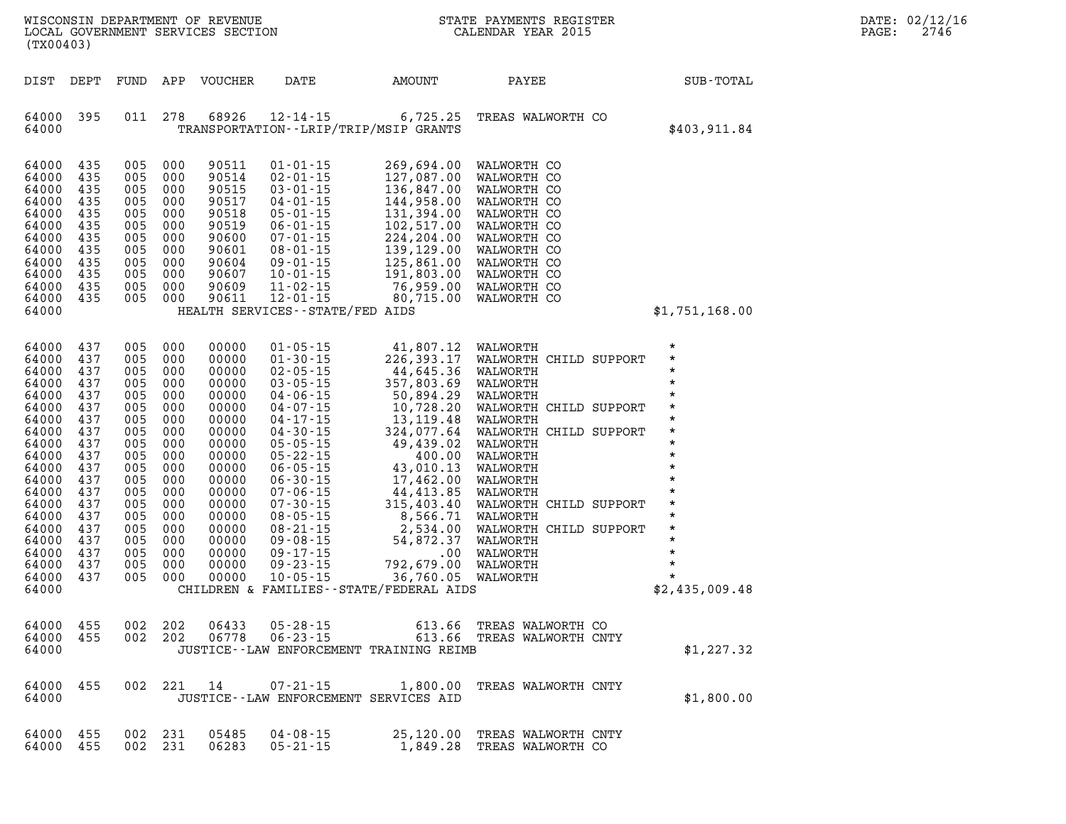| WISCONSIN DEPARTMENT OF REVENUE<br>LOCAL GOVERNMENT SERVICES SECTION<br>(TX00403)                                                                                                         |                                                                                                                                          |                                                                                                                                          |                                                                                                                                          |                                                                                                                                                                                  | $\overline{\mathbf{N}}$                                                                                                                                                                                                                                 |                                                                                                                                                                                                                                                                | STATE PAYMENTS REGISTER<br>CALENDAR YEAR 2015     |  | DATE: 02/12/16<br>2746<br>PAGE:                 |  |  |
|-------------------------------------------------------------------------------------------------------------------------------------------------------------------------------------------|------------------------------------------------------------------------------------------------------------------------------------------|------------------------------------------------------------------------------------------------------------------------------------------|------------------------------------------------------------------------------------------------------------------------------------------|----------------------------------------------------------------------------------------------------------------------------------------------------------------------------------|---------------------------------------------------------------------------------------------------------------------------------------------------------------------------------------------------------------------------------------------------------|----------------------------------------------------------------------------------------------------------------------------------------------------------------------------------------------------------------------------------------------------------------|---------------------------------------------------|--|-------------------------------------------------|--|--|
| DIST DEPT                                                                                                                                                                                 |                                                                                                                                          |                                                                                                                                          |                                                                                                                                          | FUND APP VOUCHER                                                                                                                                                                 | DATE                                                                                                                                                                                                                                                    | AMOUNT                                                                                                                                                                                                                                                         | PAYEE                                             |  | SUB-TOTAL                                       |  |  |
| 64000 395<br>64000                                                                                                                                                                        |                                                                                                                                          |                                                                                                                                          | 011 278                                                                                                                                  | 68926                                                                                                                                                                            | 12-14-15                                                                                                                                                                                                                                                | 6,725.25<br>TRANSPORTATION - - LRIP/TRIP/MSIP GRANTS                                                                                                                                                                                                           | TREAS WALWORTH CO                                 |  | \$403,911.84                                    |  |  |
| 64000 435<br>64000<br>64000<br>64000<br>64000<br>64000<br>64000<br>64000<br>64000<br>64000<br>64000<br>64000 435<br>64000                                                                 | 435<br>435<br>435<br>435<br>435<br>435<br>435<br>435<br>435<br>435                                                                       | 005<br>005<br>005<br>005<br>005<br>005<br>005<br>005<br>005<br>005<br>005<br>005 000                                                     | 000<br>000<br>000<br>000<br>000<br>000<br>000<br>000<br>000<br>000<br>000                                                                | 90511<br>90514<br>90515<br>90517<br>90518<br>90519<br>90600<br>90601<br>90604<br>90607<br>90609<br>90611                                                                         | $01 - 01 - 15$<br>$02 - 01 - 15$<br>$03 - 01 - 15$<br>$04 - 01 - 15$<br>$05 - 01 - 15$<br>$06 - 01 - 15$<br>$07 - 01 - 15$<br>$08 - 01 - 15$<br>$09 - 01 - 15$<br>$10 - 01 - 15$<br>$11 - 02 - 15$<br>$12 - 01 - 15$<br>HEALTH SERVICES--STATE/FED AIDS | 269,694.00<br>269,694.00 WALWORTH CO<br>127,087.00 WALWORTH CO<br>136,847.00 WALWORTH CO<br>144,958.00 WALWORTH CO<br>131,394.00 WALWORTH CO<br>102,517.00 WALWORTH CO<br>224,204.00 WALWORTH CO<br>139,129.00 WALWORTH CO<br>125,861.00 WALWORTH CO<br>191,80 | WALWORTH CO                                       |  | \$1,751,168.00                                  |  |  |
| 64000<br>64000<br>64000<br>64000<br>64000<br>64000<br>64000<br>64000<br>64000<br>64000<br>64000<br>64000<br>64000<br>64000<br>64000<br>64000<br>64000<br>64000<br>64000<br>64000<br>64000 | 437<br>437<br>437<br>437<br>437<br>437<br>437<br>437<br>437<br>437<br>437<br>437<br>437<br>437<br>437<br>437<br>437<br>437<br>437<br>437 | 005<br>005<br>005<br>005<br>005<br>005<br>005<br>005<br>005<br>005<br>005<br>005<br>005<br>005<br>005<br>005<br>005<br>005<br>005<br>005 | 000<br>000<br>000<br>000<br>000<br>000<br>000<br>000<br>000<br>000<br>000<br>000<br>000<br>000<br>000<br>000<br>000<br>000<br>000<br>000 | 00000<br>00000<br>00000<br>00000<br>00000<br>00000<br>00000<br>00000<br>00000<br>00000<br>00000<br>00000<br>00000<br>00000<br>00000<br>00000<br>00000<br>00000<br>00000<br>00000 |                                                                                                                                                                                                                                                         | CHILDREN & FAMILIES--STATE/FEDERAL AIDS                                                                                                                                                                                                                        |                                                   |  | $\star$<br>$\star$<br>$\star$<br>\$2,435,009.48 |  |  |
| 64000 455<br>64000<br>64000                                                                                                                                                               | 455                                                                                                                                      |                                                                                                                                          | 002 202<br>002 202                                                                                                                       | 06433<br>06778                                                                                                                                                                   | $05 - 28 - 15$<br>$06 - 23 - 15$                                                                                                                                                                                                                        | 613.66<br>JUSTICE - - LAW ENFORCEMENT TRAINING REIMB                                                                                                                                                                                                           | 613.66 TREAS WALWORTH CO<br>TREAS WALWORTH CNTY   |  | \$1,227.32                                      |  |  |
| 64000 455<br>64000                                                                                                                                                                        |                                                                                                                                          |                                                                                                                                          | 002 221                                                                                                                                  | 14                                                                                                                                                                               | $07 - 21 - 15$                                                                                                                                                                                                                                          | 1,800.00<br>JUSTICE--LAW ENFORCEMENT SERVICES AID                                                                                                                                                                                                              | TREAS WALWORTH CNTY                               |  | \$1,800.00                                      |  |  |
| 64000 455<br>64000 455                                                                                                                                                                    |                                                                                                                                          |                                                                                                                                          | 002 231<br>002 231                                                                                                                       | 05485<br>06283                                                                                                                                                                   | $04 - 08 - 15$<br>$05 - 21 - 15$                                                                                                                                                                                                                        | 25,120.00                                                                                                                                                                                                                                                      | TREAS WALWORTH CNTY<br>1,849.28 TREAS WALWORTH CO |  |                                                 |  |  |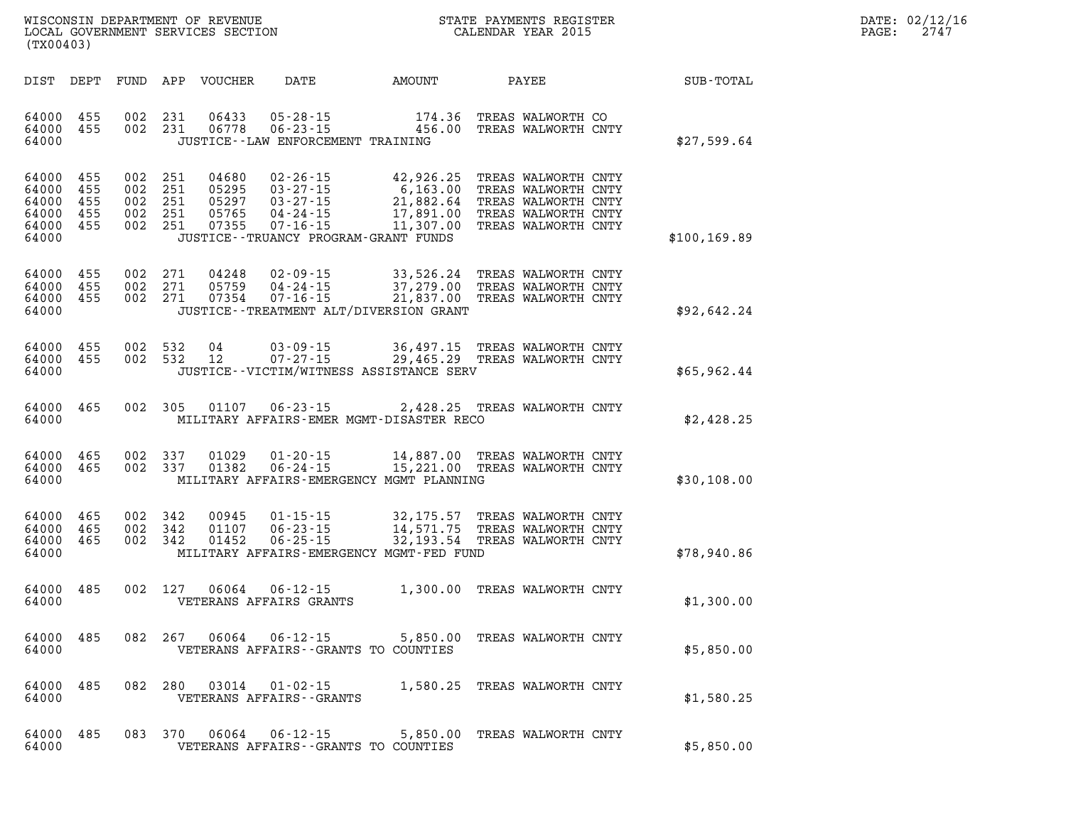| WISCONSIN DEPARTMENT OF REVENUE   | STATE PAYMENTS REGISTER |      | DATE: 02/12/16 |
|-----------------------------------|-------------------------|------|----------------|
| LOCAL GOVERNMENT SERVICES SECTION | CALENDAR YEAR 2015      | PAGE | 274            |

| (TX00403)                                          |                                 |                                 |                                 |                                           |                                                                                                                                     |                                                               |                                                                                                                 |               |
|----------------------------------------------------|---------------------------------|---------------------------------|---------------------------------|-------------------------------------------|-------------------------------------------------------------------------------------------------------------------------------------|---------------------------------------------------------------|-----------------------------------------------------------------------------------------------------------------|---------------|
| DIST                                               | DEPT                            | FUND                            | APP                             | VOUCHER                                   | DATE                                                                                                                                | AMOUNT                                                        | PAYEE                                                                                                           | SUB-TOTAL     |
| 64000<br>64000<br>64000                            | 455<br>455                      | 002<br>002                      | 231<br>231                      | 06433<br>06778                            | $05 - 28 - 15$<br>$06 - 23 - 15$<br>JUSTICE--LAW ENFORCEMENT TRAINING                                                               | 174.36<br>456.00                                              | TREAS WALWORTH CO<br>TREAS WALWORTH CNTY                                                                        | \$27,599.64   |
| 64000<br>64000<br>64000<br>64000<br>64000<br>64000 | 455<br>455<br>455<br>455<br>455 | 002<br>002<br>002<br>002<br>002 | 251<br>251<br>251<br>251<br>251 | 04680<br>05295<br>05297<br>05765<br>07355 | $02 - 26 - 15$<br>$03 - 27 - 15$<br>$03 - 27 - 15$<br>$04 - 24 - 15$<br>$07 - 16 - 15$<br>JUSTICE - - TRUANCY PROGRAM - GRANT FUNDS | 42,926.25<br>6, 163.00<br>21,882.64<br>17,891.00<br>11,307.00 | TREAS WALWORTH CNTY<br>TREAS WALWORTH CNTY<br>TREAS WALWORTH CNTY<br>TREAS WALWORTH CNTY<br>TREAS WALWORTH CNTY | \$100, 169.89 |
| 64000<br>64000<br>64000<br>64000                   | 455<br>455<br>455               | 002<br>002<br>002               | 271<br>271<br>271               | 04248<br>05759<br>07354                   | $02 - 09 - 15$<br>$04 - 24 - 15$<br>$07 - 16 - 15$<br>JUSTICE - TREATMENT ALT/DIVERSION GRANT                                       | 33,526.24<br>37,279.00<br>21,837.00                           | TREAS WALWORTH CNTY<br>TREAS WALWORTH CNTY<br>TREAS WALWORTH CNTY                                               | \$92,642.24   |
| 64000<br>64000<br>64000                            | 455<br>455                      | 002<br>002                      | 532<br>532                      | 04<br>12                                  | $03 - 09 - 15$<br>$07 - 27 - 15$<br>JUSTICE -- VICTIM/WITNESS ASSISTANCE SERV                                                       | 36,497.15<br>29,465.29                                        | TREAS WALWORTH CNTY<br>TREAS WALWORTH CNTY                                                                      | \$65,962.44   |
| 64000<br>64000                                     | 465                             | 002                             | 305                             | 01107                                     | $06 - 23 - 15$<br>MILITARY AFFAIRS-EMER MGMT-DISASTER RECO                                                                          | 2,428.25                                                      | TREAS WALWORTH CNTY                                                                                             | \$2,428.25    |
| 64000<br>64000<br>64000                            | 465<br>465                      | 002<br>002                      | 337<br>337                      | 01029<br>01382                            | $01 - 20 - 15$<br>$06 - 24 - 15$<br>MILITARY AFFAIRS-EMERGENCY MGMT PLANNING                                                        | 14,887.00<br>15,221.00                                        | TREAS WALWORTH CNTY<br>TREAS WALWORTH CNTY                                                                      | \$30,108.00   |
| 64000<br>64000<br>64000<br>64000                   | 465<br>465<br>465               | 002<br>002<br>002               | 342<br>342<br>342               | 00945<br>01107<br>01452                   | $01 - 15 - 15$<br>$06 - 23 - 15$<br>$06 - 25 - 15$<br>MILITARY AFFAIRS-EMERGENCY MGMT-FED FUND                                      | 32,175.57<br>14,571.75<br>32,193.54                           | TREAS WALWORTH CNTY<br>TREAS WALWORTH CNTY<br>TREAS WALWORTH CNTY                                               | \$78,940.86   |
| 64000<br>64000                                     | 485                             | 002                             | 127                             | 06064                                     | $06 - 12 - 15$<br>VETERANS AFFAIRS GRANTS                                                                                           | 1,300.00                                                      | TREAS WALWORTH CNTY                                                                                             | \$1,300.00    |
| 64000<br>64000                                     | 485                             | 082                             | 267                             | 06064                                     | $06 - 12 - 15$<br>VETERANS AFFAIRS - - GRANTS TO COUNTIES                                                                           | 5,850.00                                                      | TREAS WALWORTH CNTY                                                                                             | \$5,850.00    |
| 64000<br>64000                                     | 485                             | 082                             | 280                             | 03014                                     | $01 - 02 - 15$<br>VETERANS AFFAIRS - - GRANTS                                                                                       | 1,580.25                                                      | TREAS WALWORTH CNTY                                                                                             | \$1,580.25    |
| 64000<br>64000                                     | 485                             | 083                             | 370                             | 06064                                     | $06 - 12 - 15$<br>VETERANS AFFAIRS - - GRANTS TO COUNTIES                                                                           | 5,850.00                                                      | TREAS WALWORTH CNTY                                                                                             | \$5,850.00    |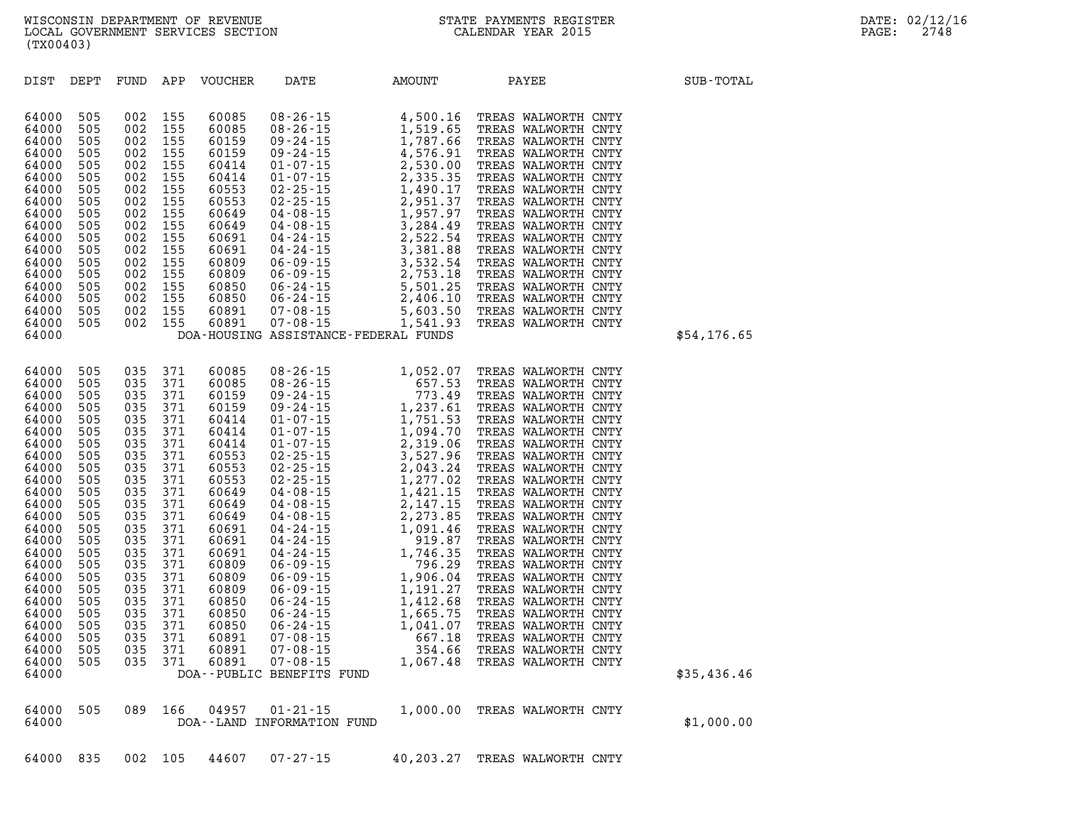|  |  |  |  |  | 64000 835 002 105 44607 07-27-15 |  | 40,203.27 TREAS WALWORTH CNTY |
|--|--|--|--|--|----------------------------------|--|-------------------------------|
|--|--|--|--|--|----------------------------------|--|-------------------------------|

|             | TREAS WALWORTH CNTY<br>TREAS WALWORTH CNTY<br>TREAS WALWORTH CNTY<br>TREAS WALWORTH CNTY | 1,412.68<br>1,665.75<br>1,041.07<br>667.18 | $06 - 24 - 15$<br>$06 - 24 - 15$<br>$06 - 24 - 15$<br>$07 - 08 - 15$ | 60850<br>60850<br>60850<br>60891 | 371<br>371<br>371<br>371 | 035<br>035<br>035<br>035 | 505<br>505<br>505<br>505 | 64000<br>64000<br>64000<br>64000 |
|-------------|------------------------------------------------------------------------------------------|--------------------------------------------|----------------------------------------------------------------------|----------------------------------|--------------------------|--------------------------|--------------------------|----------------------------------|
| \$35,436.46 | TREAS WALWORTH CNTY<br>TREAS WALWORTH CNTY                                               | 354.66<br>1,067.48                         | $07 - 08 - 15$<br>$07 - 08 - 15$<br>DOA--PUBLIC BENEFITS FUND        | 60891<br>60891                   | 371<br>371               | 035<br>035               | 505<br>505               | 64000<br>64000<br>64000          |
| \$1,000.00  | TREAS WALWORTH CNTY                                                                      | 1,000.00                                   | $01 - 21 - 15$<br>INFORMATION FUND                                   | 04957<br>DOA - - LAND            | 166                      | 089                      | 505                      | 64000<br>64000                   |

| 64000<br>64000<br>64000<br>64000<br>64000<br>64000<br>64000<br>64000<br>64000<br>64000<br>64000<br>64000<br>64000                                                                                                                      | 505<br>002<br>002<br>505<br>002<br>505<br>505<br>002<br>505<br>002<br>505<br>002<br>002<br>505<br>505<br>002<br>002<br>505<br>505<br>002<br>505<br>002<br>505<br>002                                                                                                                                                                                       | 155<br>155<br>155<br>155<br>155<br>155<br>155<br>155<br>155<br>155<br>155<br>155                                                                                            | 60553<br>60553<br>60649<br>60649<br>60691<br>60691<br>60809<br>60809<br>60850<br>60850<br>60891<br>60891                                                                                                                      | 02-25-15<br>02-25-15<br>04-08-15<br>04-08-15<br>04-08-15<br>04-24-15<br>04-24-15<br>04-24-15<br>05-09-15<br>06-24-15<br>06-24-15<br>06-24-15<br>06-24-15<br>06-24-15<br>06-24-15<br>06-24-15<br>06-24-15<br>06-24-15<br>06-24-15<br>06-24-15<br>07-08-15<br>07-08-15<br>07<br>DOA-HOUSING ASSISTANCE-FEDERAL FUNDS | TREAS WALWORTH CNTY<br>TREAS WALWORTH CNTY<br>TREAS WALWORTH CNTY<br>TREAS WALWORTH CNTY<br>TREAS WALWORTH CNTY<br>TREAS WALWORTH CNTY<br>TREAS WALWORTH CNTY<br>TREAS WALWORTH CNTY<br>TREAS WALWORTH CNTY<br>TREAS WALWORTH CNTY<br>TREAS WALWORTH CNTY<br>TREAS WALWORTH CNTY                                                                                                                                                                                                                                                                                                            | \$54,176.65 |
|----------------------------------------------------------------------------------------------------------------------------------------------------------------------------------------------------------------------------------------|------------------------------------------------------------------------------------------------------------------------------------------------------------------------------------------------------------------------------------------------------------------------------------------------------------------------------------------------------------|-----------------------------------------------------------------------------------------------------------------------------------------------------------------------------|-------------------------------------------------------------------------------------------------------------------------------------------------------------------------------------------------------------------------------|--------------------------------------------------------------------------------------------------------------------------------------------------------------------------------------------------------------------------------------------------------------------------------------------------------------------|---------------------------------------------------------------------------------------------------------------------------------------------------------------------------------------------------------------------------------------------------------------------------------------------------------------------------------------------------------------------------------------------------------------------------------------------------------------------------------------------------------------------------------------------------------------------------------------------|-------------|
| 64000<br>64000<br>64000<br>64000<br>64000<br>64000<br>64000<br>64000<br>64000<br>64000<br>64000<br>64000<br>64000<br>64000<br>64000<br>64000<br>64000<br>64000<br>64000<br>64000<br>64000<br>64000<br>64000<br>64000<br>64000<br>64000 | 505<br>035<br>035<br>505<br>505<br>035<br>505<br>035<br>035<br>505<br>035<br>505<br>505<br>035<br>035<br>505<br>505<br>035<br>505<br>035<br>505<br>035<br>035<br>505<br>505<br>035<br>505<br>035<br>505<br>035<br>505<br>035<br>505<br>035<br>505<br>035<br>035<br>505<br>035<br>505<br>505<br>035<br>035<br>505<br>505<br>035<br>505<br>035<br>035<br>505 | 371<br>371<br>371<br>371<br>371<br>371<br>371<br>371<br>371<br>371<br>371<br>371<br>371<br>371<br>371<br>371<br>371<br>371<br>371<br>371<br>371<br>371<br>371<br>371<br>371 | 60085<br>60085<br>60159<br>60159<br>60414<br>60414<br>60414<br>60553<br>60553<br>60553<br>60649<br>60649<br>60649<br>60691<br>60691<br>60691<br>60809<br>60809<br>60809<br>60850<br>60850<br>60850<br>60891<br>60891<br>60891 | $\begin{array}{cccc} 08-26-15 & 1, 052.07 \\ 08-26-15 & 657.53 \\ 09-24-15 & 773.49 \\ 09-24-15 & 1, 237.61 \\ 01-07-15 & 1, 791.70 \\ 01-07-15 & 2, 319.06 \\ 02-25-15 & 3, 527.96 \\ 02-25-15 & 2, 043.24 \\ 04-08-15 & 1, 421.15 \\ 04-08-15 & 2, 147.15 \\ 04-24-15$<br>DOA--PUBLIC BENEFITS FUND              | TREAS WALWORTH CNTY<br>TREAS WALWORTH CNTY<br>TREAS WALWORTH CNTY<br>TREAS WALWORTH CNTY<br>TREAS WALWORTH CNTY<br>TREAS WALWORTH CNTY<br>TREAS WALWORTH CNTY<br>TREAS WALWORTH CNTY<br>TREAS WALWORTH CNTY<br>TREAS WALWORTH CNTY<br>TREAS WALWORTH CNTY<br>TREAS WALWORTH CNTY<br>TREAS WALWORTH CNTY<br>TREAS WALWORTH CNTY<br>TREAS WALWORTH CNTY<br>TREAS WALWORTH CNTY<br>TREAS WALWORTH CNTY<br>TREAS WALWORTH CNTY<br>TREAS WALWORTH CNTY<br>TREAS WALWORTH CNTY<br>TREAS WALWORTH CNTY<br>TREAS WALWORTH CNTY<br>TREAS WALWORTH CNTY<br>TREAS WALWORTH CNTY<br>TREAS WALWORTH CNTY | \$35,436.46 |

**DIST DEPT FUND APP VOUCHER DATE AMOUNT PAYEE SUB-TOTAL** 

**64000 505 002 155 60085 08-26-15 4,500.16 TREAS WALWORTH CNTY 64000 505 002 155 60085 08-26-15 1,519.65 TREAS WALWORTH CNTY 64000 505 002 155 60159 09-24-15 1,787.66 TREAS WALWORTH CNTY 64000 505 002 155 60159 09-24-15 4,576.91 TREAS WALWORTH CNTY 64000 505 002 155 60414 01-07-15 2,530.00 TREAS WALWORTH CNTY 64000 505 002 155 60414 01-07-15 2,335.35 TREAS WALWORTH CNTY** 

| WISCONSIN DEPARTMENT OF REVENUE   | STATE PAYMENTS REGISTER |       | DATE: 02/12/16 |
|-----------------------------------|-------------------------|-------|----------------|
| LOCAL GOVERNMENT SERVICES SECTION | CALENDAR YEAR 2015      | PAGE: | 2748           |
| (TX00403)                         |                         |       |                |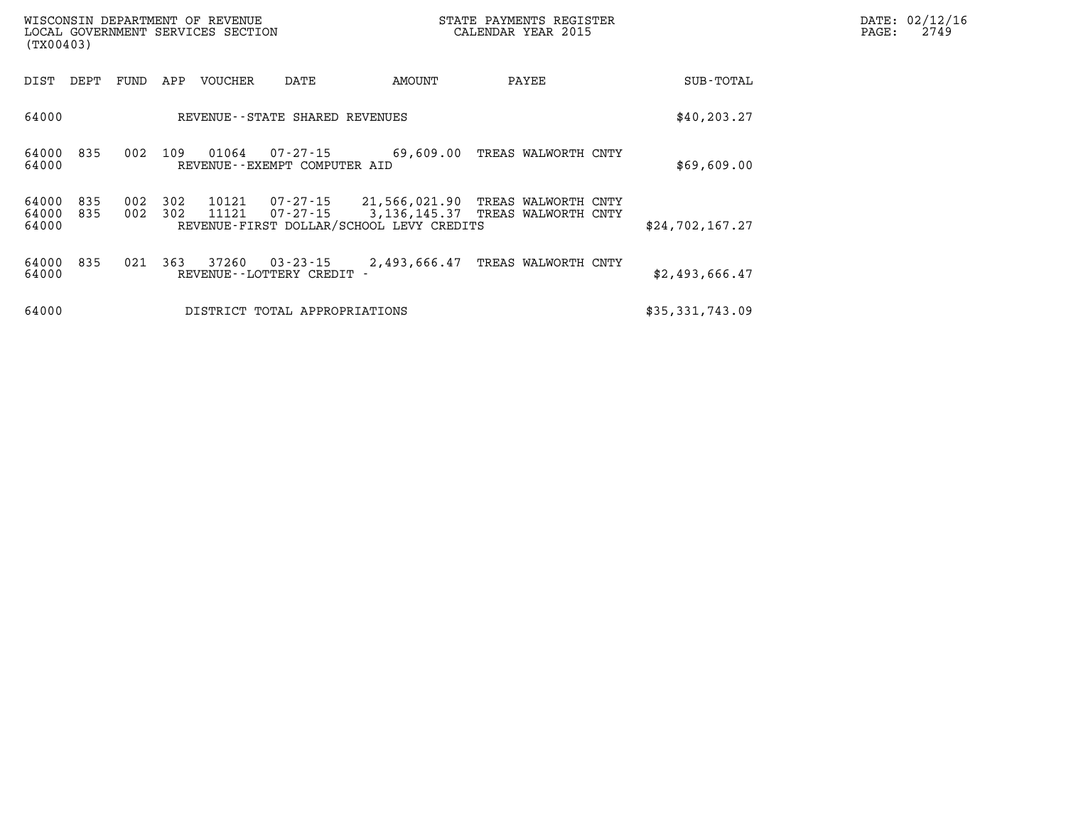| (TX00403)               |            |            |            | WISCONSIN DEPARTMENT OF REVENUE<br>LOCAL GOVERNMENT SERVICES SECTION |                                              |                                                           | STATE PAYMENTS REGISTER<br>CALENDAR YEAR 2015                    |                 | DATE: 02/12/16<br>PAGE:<br>2749 |
|-------------------------|------------|------------|------------|----------------------------------------------------------------------|----------------------------------------------|-----------------------------------------------------------|------------------------------------------------------------------|-----------------|---------------------------------|
| DIST                    | DEPT       | FUND       | APP        | VOUCHER                                                              | DATE                                         | AMOUNT                                                    | PAYEE                                                            | SUB-TOTAL       |                                 |
| 64000                   |            |            |            |                                                                      | REVENUE--STATE SHARED REVENUES               | \$40, 203.27                                              |                                                                  |                 |                                 |
| 64000<br>64000          | 835        | 002        | 109        | 01064                                                                | 07-27-15<br>REVENUE--EXEMPT COMPUTER AID     | 69,609.00                                                 | TREAS WALWORTH CNTY                                              | \$69,609.00     |                                 |
| 64000<br>64000<br>64000 | 835<br>835 | 002<br>002 | 302<br>302 | 10121<br>11121                                                       | 07-27-15                                     | 21,566,021.90<br>REVENUE-FIRST DOLLAR/SCHOOL LEVY CREDITS | TREAS WALWORTH CNTY<br>07-27-15 3,136,145.37 TREAS WALWORTH CNTY | \$24,702,167.27 |                                 |
| 64000<br>64000          | 835        | 021        | 363        | 37260                                                                | $03 - 23 - 15$<br>REVENUE - - LOTTERY CREDIT | 2,493,666.47                                              | TREAS WALWORTH CNTY                                              | \$2,493,666.47  |                                 |
| 64000                   |            |            |            |                                                                      | DISTRICT TOTAL APPROPRIATIONS                |                                                           |                                                                  | \$35,331,743.09 |                                 |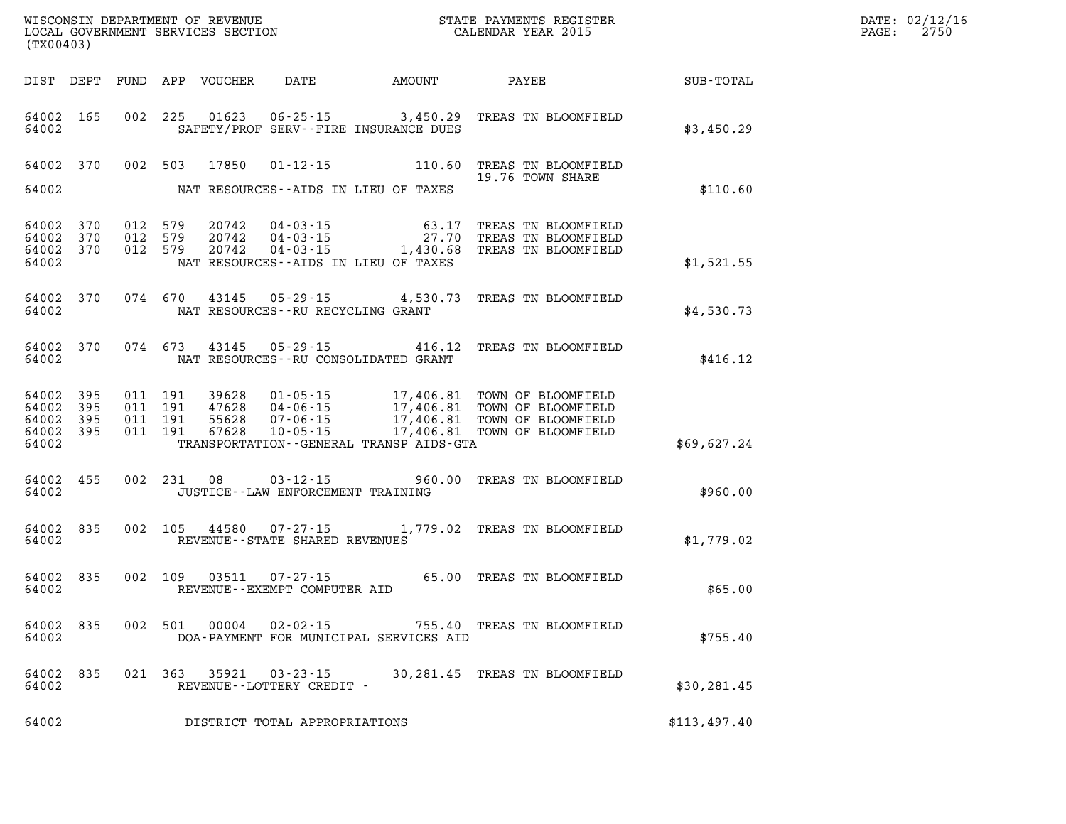| (TX00403)                                 |                            |         |                                          | WISCONSIN DEPARTMENT OF REVENUE<br>LOCAL GOVERNMENT SERVICES SECTION |                                                                |                                                                            |                                                                                                                                                              |              | DATE: 02/12/16<br>2750<br>PAGE: |
|-------------------------------------------|----------------------------|---------|------------------------------------------|----------------------------------------------------------------------|----------------------------------------------------------------|----------------------------------------------------------------------------|--------------------------------------------------------------------------------------------------------------------------------------------------------------|--------------|---------------------------------|
|                                           |                            |         |                                          | DIST DEPT FUND APP VOUCHER                                           | DATE                                                           | <b>AMOUNT</b>                                                              | PAYEE                                                                                                                                                        | SUB-TOTAL    |                                 |
| 64002 165<br>64002                        |                            |         | 002 225                                  | 01623                                                                |                                                                | $06 - 25 - 15$ 3,450.29<br>SAFETY/PROF SERV--FIRE INSURANCE DUES           | TREAS TN BLOOMFIELD                                                                                                                                          | \$3,450.29   |                                 |
| 64002 370<br>64002                        |                            |         | 002 503                                  | 17850                                                                |                                                                | $01 - 12 - 15$ 110.60<br>NAT RESOURCES--AIDS IN LIEU OF TAXES              | TREAS TN BLOOMFIELD<br>19.76 TOWN SHARE                                                                                                                      | \$110.60     |                                 |
| 64002 370<br>64002<br>64002<br>64002      | 370<br>370                 | 012 579 | 012 579<br>012 579                       | 20742<br>20742<br>20742                                              | 04-03-15<br>04-03-15                                           | 27.70<br>$04 - 03 - 15$ 1,430.68<br>NAT RESOURCES -- AIDS IN LIEU OF TAXES | 63.17 TREAS TN BLOOMFIELD<br>TREAS TN BLOOMFIELD<br>TREAS TN BLOOMFIELD                                                                                      | \$1,521.55   |                                 |
| 64002 370<br>64002                        |                            |         | 074 670                                  |                                                                      | NAT RESOURCES - - RU RECYCLING GRANT                           |                                                                            | 43145 05-29-15 4,530.73 TREAS TN BLOOMFIELD                                                                                                                  | \$4,530.73   |                                 |
| 64002 370<br>64002                        |                            |         | 074 673                                  |                                                                      |                                                                | NAT RESOURCES--RU CONSOLIDATED GRANT                                       | 43145 05-29-15 416.12 TREAS TN BLOOMFIELD                                                                                                                    | \$416.12     |                                 |
| 64002<br>64002<br>64002<br>64002<br>64002 | - 395<br>395<br>395<br>395 |         | 011 191<br>011 191<br>011 191<br>011 191 | 39628<br>47628<br>55628<br>67628                                     | $01 - 05 - 15$<br>04-06-15<br>$07 - 06 - 15$<br>$10 - 05 - 15$ | TRANSPORTATION - - GENERAL TRANSP AIDS - GTA                               | 17,406.81 TOWN OF BLOOMFIELD<br>17,406.81 TOWN OF BLOOMFIELD<br>17,406.81 TOWN OF BLOOMFIELD<br>17,406.81 TOWN OF BLOOMFIELD<br>17,406.81 TOWN OF BLOOMFIELD | \$69,627.24  |                                 |
| 64002 455<br>64002                        |                            |         | 002 231                                  | 08                                                                   | $03 - 12 - 15$<br>JUSTICE - - LAW ENFORCEMENT TRAINING         |                                                                            | 960.00 TREAS TN BLOOMFIELD                                                                                                                                   | \$960.00     |                                 |
| 64002 835<br>64002                        |                            |         | 002 105                                  | 44580                                                                | REVENUE--STATE SHARED REVENUES                                 |                                                                            | 07-27-15 1,779.02 TREAS TN BLOOMFIELD                                                                                                                        | \$1,779.02   |                                 |
| 64002 835<br>64002                        |                            |         | 002 109                                  | 03511                                                                | $07 - 27 - 15$<br>REVENUE--EXEMPT COMPUTER AID                 |                                                                            | 65.00 TREAS TN BLOOMFIELD                                                                                                                                    | \$65.00      |                                 |
| 64002 835<br>64002                        |                            |         | 002 501                                  | 00004                                                                | $02 - 02 - 15$                                                 | DOA-PAYMENT FOR MUNICIPAL SERVICES AID                                     | 755.40 TREAS TN BLOOMFIELD                                                                                                                                   | \$755.40     |                                 |
| 64002 835<br>64002                        |                            |         |                                          | 021 363 35921                                                        | 03-23-15<br>REVENUE--LOTTERY CREDIT -                          |                                                                            | 30,281.45 TREAS TN BLOOMFIELD                                                                                                                                | \$30,281.45  |                                 |
| 64002                                     |                            |         |                                          |                                                                      | DISTRICT TOTAL APPROPRIATIONS                                  |                                                                            |                                                                                                                                                              | \$113,497.40 |                                 |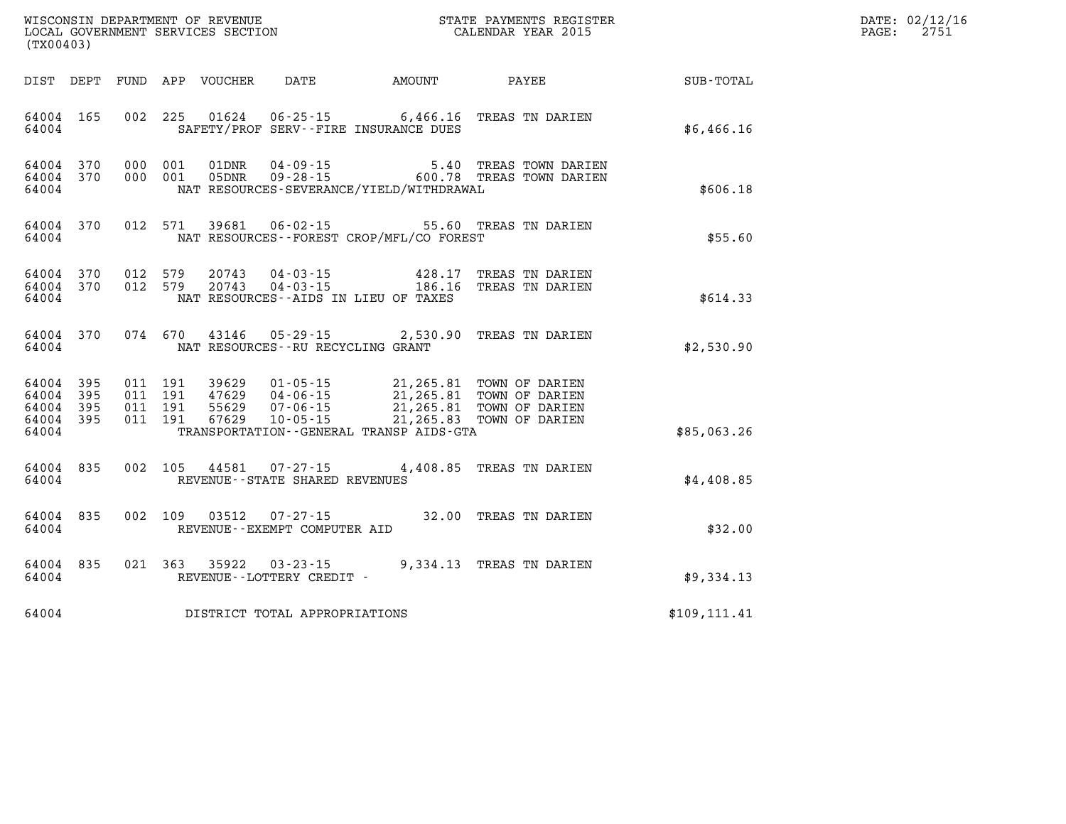| (TX00403)                                                 |  |  |                                         |                                              |                                                                                                                                                                                                          | WISCONSIN DEPARTMENT OF REVENUE<br>LOCAL GOVERNMENT SERVICES SECTION<br>(TWOO403) | DATE: 02/12/16<br>PAGE: 2751 |
|-----------------------------------------------------------|--|--|-----------------------------------------|----------------------------------------------|----------------------------------------------------------------------------------------------------------------------------------------------------------------------------------------------------------|-----------------------------------------------------------------------------------|------------------------------|
|                                                           |  |  |                                         |                                              |                                                                                                                                                                                                          | DIST DEPT FUND APP VOUCHER DATE AMOUNT PAYEE PAYER SUB-TOTAL                      |                              |
| 64004 165<br>64004                                        |  |  |                                         | SAFETY/PROF SERV--FIRE INSURANCE DUES        | 002 225 01624 06-25-15 6,466.16 TREAS TN DARIEN                                                                                                                                                          | \$6,466.16                                                                        |                              |
| 64004 370<br>64004 370<br>64004                           |  |  |                                         | NAT RESOURCES-SEVERANCE/YIELD/WITHDRAWAL     | 000 001 01DNR 04-09-15 5.40 TREAS TOWN DARIEN<br>000 001 05DNR 09-28-15 600.78 TREAS TOWN DARIEN                                                                                                         | \$606.18                                                                          |                              |
| 64004                                                     |  |  |                                         | NAT RESOURCES--FOREST CROP/MFL/CO FOREST     | 64004 370 012 571 39681 06-02-15 55.60 TREAS TN DARIEN                                                                                                                                                   | \$55.60                                                                           |                              |
| 64004 370<br>64004 370<br>64004                           |  |  |                                         | NAT RESOURCES--AIDS IN LIEU OF TAXES         | 012 579 20743 04-03-15 428.17 TREAS TN DARIEN<br>012 579 20743 04-03-15 186.16 TREAS TN DARIEN                                                                                                           | \$614.33                                                                          |                              |
|                                                           |  |  | 64004 NAT RESOURCES--RU RECYCLING GRANT |                                              | 64004 370 074 670 43146 05-29-15 2,530.90 TREAS TN DARIEN                                                                                                                                                | \$2,530.90                                                                        |                              |
| 64004 395<br>64004 395<br>64004 395<br>64004 395<br>64004 |  |  |                                         | TRANSPORTATION - - GENERAL TRANSP AIDS - GTA | 011 191 39629 01-05-15 21,265.81 TOWN OF DARIEN<br>011 191 47629 04-06-15 21,265.81 TOWN OF DARIEN<br>011 191 55629 07-06-15 21,265.81 TOWN OF DARIEN<br>011 191 67629 10-05-15 21,265.83 TOWN OF DARIEN | \$85,063.26                                                                       |                              |
|                                                           |  |  | 64004 REVENUE--STATE SHARED REVENUES    |                                              | 64004 835 002 105 44581 07-27-15 4,408.85 TREAS TN DARIEN                                                                                                                                                | \$4,408.85                                                                        |                              |
|                                                           |  |  | 64004 REVENUE - - EXEMPT COMPUTER AID   |                                              | 64004 835 002 109 03512 07-27-15 32.00 TREAS TN DARIEN                                                                                                                                                   | \$32.00                                                                           |                              |
| 64004                                                     |  |  | REVENUE--LOTTERY CREDIT -               |                                              | 64004 835 021 363 35922 03-23-15 9,334.13 TREAS TN DARIEN                                                                                                                                                | \$9,334.13                                                                        |                              |
|                                                           |  |  | 64004 DISTRICT TOTAL APPROPRIATIONS     |                                              |                                                                                                                                                                                                          | \$109, 111.41                                                                     |                              |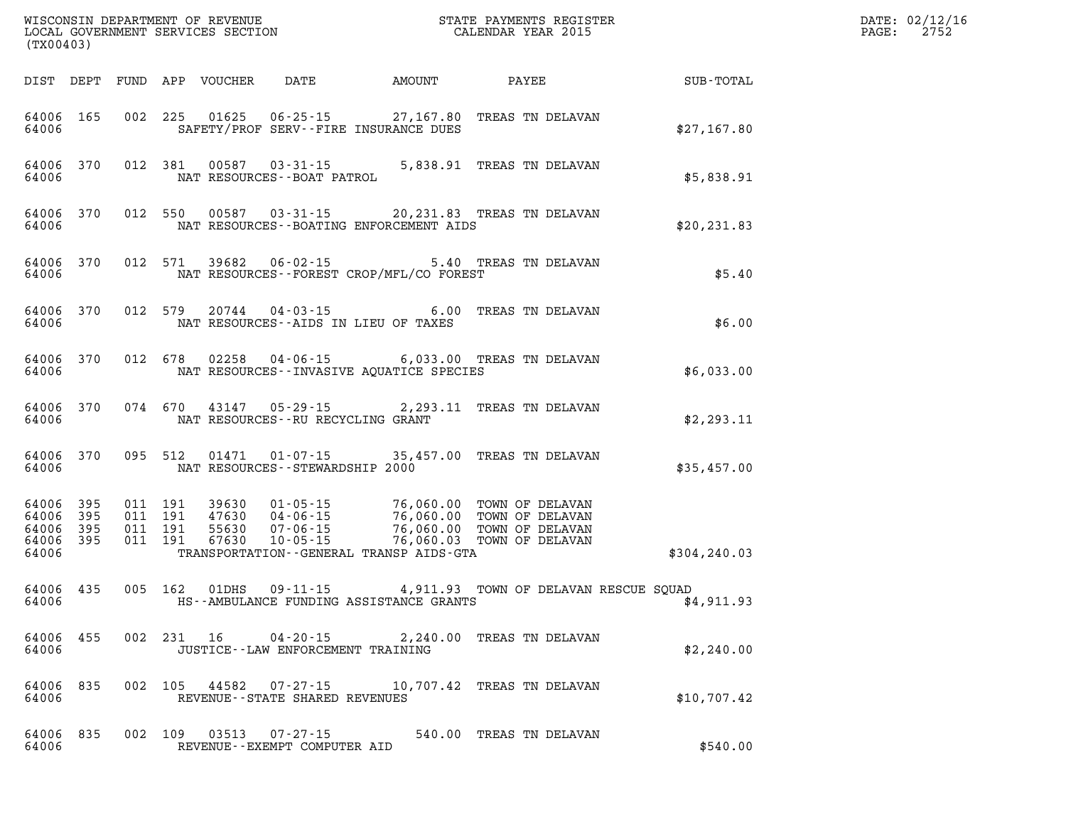| WIROWSIN DEFARTMENT OF REVENUE<br>LOCAL GOVERNMENT SERVICES SECTION<br>(TX00403) |           |  |                                          |                  |                                                   |                                                      | STATE PAYMENTS REGISTER<br>CALENDAR YEAR 2015                                                                                            |               | DATE: 02/12/16<br>$\mathtt{PAGE}$ :<br>2752 |
|----------------------------------------------------------------------------------|-----------|--|------------------------------------------|------------------|---------------------------------------------------|------------------------------------------------------|------------------------------------------------------------------------------------------------------------------------------------------|---------------|---------------------------------------------|
| DIST DEPT                                                                        |           |  |                                          | FUND APP VOUCHER | DATE AMOUNT                                       |                                                      | PAYEE                                                                                                                                    | SUB-TOTAL     |                                             |
| 64006 165<br>64006                                                               |           |  |                                          |                  | SAFETY/PROF SERV--FIRE INSURANCE DUES             |                                                      | 002 225 01625 06-25-15 27,167.80 TREAS TN DELAVAN                                                                                        | \$27,167.80   |                                             |
| 64006 370<br>64006                                                               |           |  | 012 381                                  | 00587            | $03 - 31 - 15$<br>NAT RESOURCES - - BOAT PATROL   |                                                      | 5,838.91 TREAS TN DELAVAN                                                                                                                | \$5,838.91    |                                             |
| 64006 370<br>64006                                                               |           |  | 012 550                                  | 00587            |                                                   | NAT RESOURCES--BOATING ENFORCEMENT AIDS              | 03-31-15 20,231.83 TREAS TN DELAVAN                                                                                                      | \$20, 231.83  |                                             |
| 64006 370<br>64006                                                               |           |  | 012 571                                  | 39682            |                                                   | NAT RESOURCES - - FOREST CROP/MFL/CO FOREST          | 06-02-15 5.40 TREAS TN DELAVAN                                                                                                           | \$5.40        |                                             |
| 64006 370<br>64006                                                               |           |  | 012 579                                  | 20744            | NAT RESOURCES--AIDS IN LIEU OF TAXES              |                                                      | 04-03-15 6.00 TREAS TN DELAVAN                                                                                                           | \$6.00        |                                             |
| 64006 370<br>64006                                                               |           |  | 012 678                                  | 02258            |                                                   | NAT RESOURCES -- INVASIVE AQUATICE SPECIES           | 04-06-15 6,033.00 TREAS TN DELAVAN                                                                                                       | \$6,033.00    |                                             |
| 64006                                                                            | 64006 370 |  | 074 670                                  | 43147            | NAT RESOURCES -- RU RECYCLING GRANT               |                                                      | 05-29-15 2,293.11 TREAS TN DELAVAN                                                                                                       | \$2,293.11    |                                             |
| 64006                                                                            | 64006 370 |  | 095 512                                  | 01471            | 01-07-15<br>NAT RESOURCES - - STEWARDSHIP 2000    |                                                      | 35,457.00 TREAS TN DELAVAN                                                                                                               | \$35,457.00   |                                             |
| 64006 395<br>64006 395<br>64006<br>64006 395<br>64006                            | 395       |  | 011 191<br>011 191<br>011 191<br>011 191 | 55630<br>67630   | $07 - 06 - 15$<br>$10 - 05 - 15$                  | 76,060.00<br>TRANSPORTATION--GENERAL TRANSP AIDS-GTA | 39630  01-05-15  76,060.00 TOWN OF DELAVAN<br>47630  04-06-15  76,060.00 TOWN OF DELAVAN<br>TOWN OF DELAVAN<br>76,060.03 TOWN OF DELAVAN | \$304, 240.03 |                                             |
| 64006 435<br>64006                                                               |           |  | 005 162                                  | 01DHS            | $09 - 11 - 15$                                    | HS--AMBULANCE FUNDING ASSISTANCE GRANTS              | 4,911.93 TOWN OF DELAVAN RESCUE SQUAD                                                                                                    | \$4,911.93    |                                             |
| 64006 455<br>64006                                                               |           |  |                                          |                  | JUSTICE - - LAW ENFORCEMENT TRAINING              |                                                      | 002 231 16 04-20-15 2,240.00 TREAS TN DELAVAN                                                                                            | \$2,240.00    |                                             |
| 64006<br>64006                                                                   | 835       |  |                                          |                  | REVENUE - - STATE SHARED REVENUES                 |                                                      | 002 105 44582 07-27-15 10,707.42 TREAS TN DELAVAN                                                                                        | \$10,707.42   |                                             |
| 64006<br>64006                                                                   | 835       |  | 002 109                                  | 03513            | $07 - 27 - 15$<br>REVENUE - - EXEMPT COMPUTER AID |                                                      | 540.00 TREAS TN DELAVAN                                                                                                                  | \$540.00      |                                             |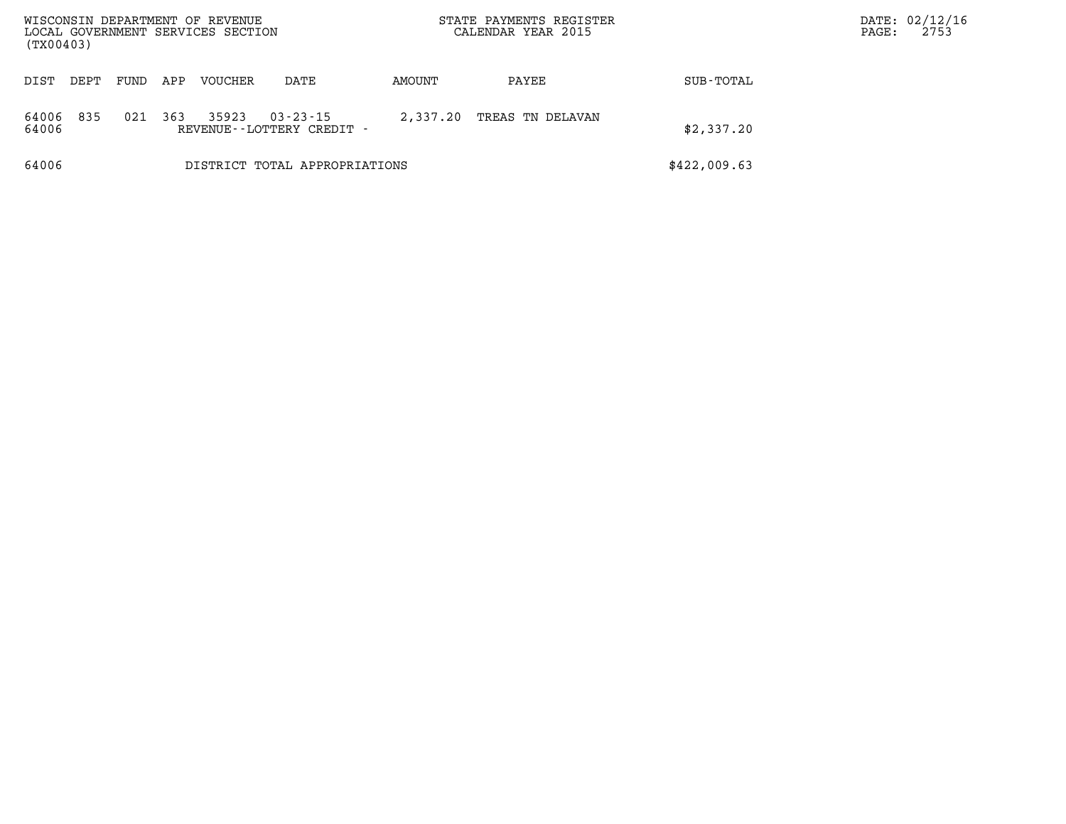| WISCONSIN DEPARTMENT OF REVENUE<br>LOCAL GOVERNMENT SERVICES SECTION<br>(TX00403) |      |      |     |         |                                             | STATE PAYMENTS REGISTER<br>CALENDAR YEAR 2015 |                  |              | DATE: 02/12/16<br>2753<br>PAGE: |
|-----------------------------------------------------------------------------------|------|------|-----|---------|---------------------------------------------|-----------------------------------------------|------------------|--------------|---------------------------------|
| DIST                                                                              | DEPT | FUND | APP | VOUCHER | DATE                                        | AMOUNT                                        | PAYEE            | SUB-TOTAL    |                                 |
| 64006<br>64006                                                                    | 835  | 021  | 363 | 35923   | $03 - 23 - 15$<br>REVENUE--LOTTERY CREDIT - | 2,337.20                                      | TREAS TN DELAVAN | \$2,337.20   |                                 |
| 64006                                                                             |      |      |     |         | DISTRICT TOTAL APPROPRIATIONS               |                                               |                  | \$422,009.63 |                                 |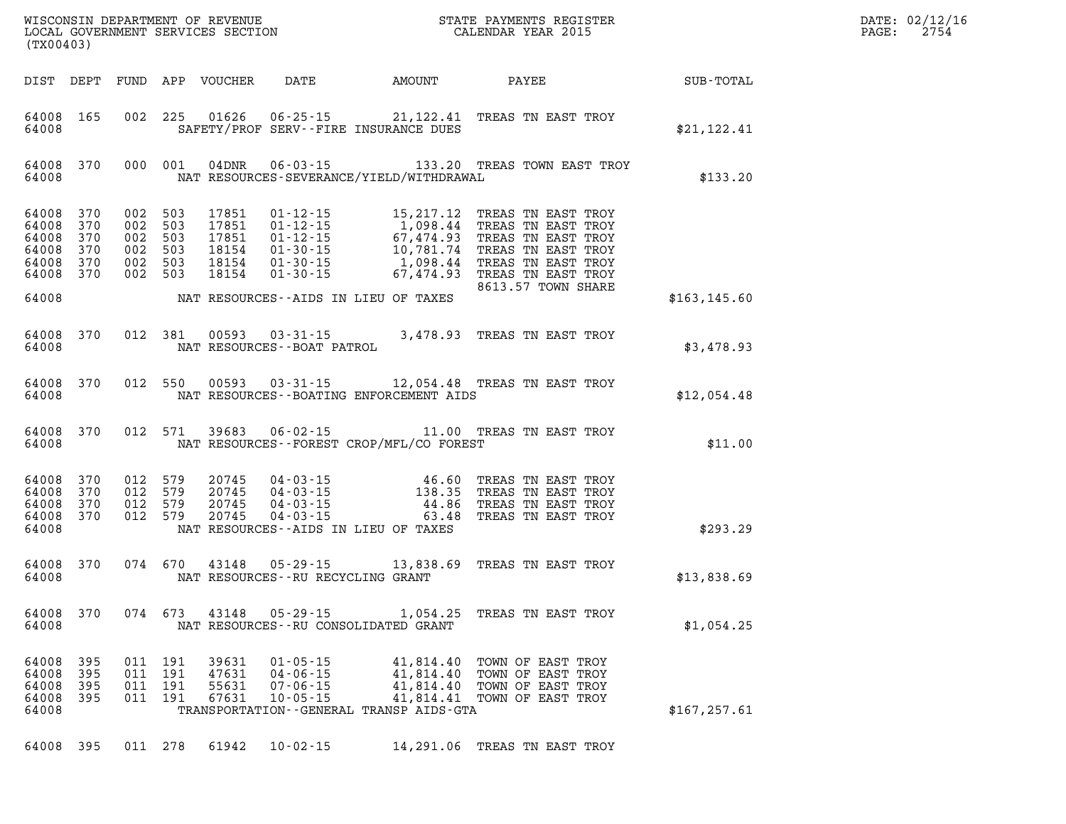|  | DATE: 02/12/16<br>PAGE: 2754 |
|--|------------------------------|
|  |                              |

| (TX00403)                                          |                                        |                                        |                                        |                                                    |                                                                                                                 |                                                                            |                                                                                                                                                                    |               |
|----------------------------------------------------|----------------------------------------|----------------------------------------|----------------------------------------|----------------------------------------------------|-----------------------------------------------------------------------------------------------------------------|----------------------------------------------------------------------------|--------------------------------------------------------------------------------------------------------------------------------------------------------------------|---------------|
| DIST                                               | DEPT                                   | FUND                                   | APP                                    | <b>VOUCHER</b>                                     | DATE                                                                                                            | AMOUNT                                                                     | PAYEE                                                                                                                                                              | SUB-TOTAL     |
| 64008<br>64008                                     | 165                                    | 002                                    | 225                                    | 01626                                              | $06 - 25 - 15$<br>SAFETY/PROF SERV--FIRE INSURANCE DUES                                                         | 21,122.41                                                                  | TREAS TN EAST TROY                                                                                                                                                 | \$21,122.41   |
| 64008<br>64008                                     | 370                                    | 000                                    | 001                                    | 04DNR                                              | $06 - 03 - 15$<br>NAT RESOURCES-SEVERANCE/YIELD/WITHDRAWAL                                                      | 133.20                                                                     | TREAS TOWN EAST TROY                                                                                                                                               | \$133.20      |
| 64008<br>64008<br>64008<br>64008<br>64008<br>64008 | 370<br>370<br>370<br>370<br>370<br>370 | 002<br>002<br>002<br>002<br>002<br>002 | 503<br>503<br>503<br>503<br>503<br>503 | 17851<br>17851<br>17851<br>18154<br>18154<br>18154 | $01 - 12 - 15$<br>$01 - 12 - 15$<br>$01 - 12 - 15$<br>$01 - 30 - 15$<br>$01 - 30 - 15$<br>$01 - 30 - 15$        | 15, 217. 12<br>1,098.44<br>67,474.93<br>10,781.74<br>1,098.44<br>67,474.93 | TREAS<br>TN EAST TROY<br>TN EAST TROY<br>TREAS<br>TN EAST TROY<br>TREAS<br>TN EAST TROY<br>TREAS<br>TREAS TN EAST TROY<br>TREAS TN EAST TROY<br>8613.57 TOWN SHARE |               |
| 64008                                              |                                        |                                        |                                        |                                                    | NAT RESOURCES--AIDS IN LIEU OF TAXES                                                                            |                                                                            |                                                                                                                                                                    | \$163, 145.60 |
| 64008<br>64008                                     | 370                                    | 012                                    | 381                                    | 00593                                              | $03 - 31 - 15$<br>NAT RESOURCES - - BOAT PATROL                                                                 | 3,478.93                                                                   | TREAS TN EAST TROY                                                                                                                                                 | \$3,478.93    |
| 64008<br>64008                                     | 370                                    | 012                                    | 550                                    | 00593                                              | $03 - 31 - 15$<br>NAT RESOURCES--BOATING ENFORCEMENT AIDS                                                       | 12,054.48                                                                  | TREAS TN EAST TROY                                                                                                                                                 | \$12,054.48   |
| 64008<br>64008                                     | 370                                    | 012                                    | 571                                    | 39683                                              | $06 - 02 - 15$<br>NAT RESOURCES - - FOREST CROP/MFL/CO FOREST                                                   | 11.00                                                                      | TREAS TN EAST TROY                                                                                                                                                 | \$11.00       |
| 64008<br>64008<br>64008<br>64008<br>64008          | 370<br>370<br>370<br>370               | 012<br>012<br>012<br>012               | 579<br>579<br>579<br>579               | 20745<br>20745<br>20745<br>20745                   | $04 - 03 - 15$<br>$04 - 03 - 15$<br>$04 - 03 - 15$<br>$04 - 03 - 15$<br>NAT RESOURCES--AIDS IN LIEU OF TAXES    | 46.60<br>138.35<br>44.86<br>63.48                                          | TREAS<br>TN EAST TROY<br>TN EAST TROY<br>TREAS<br>TREAS<br>TN EAST TROY<br>TREAS TN EAST TROY                                                                      | \$293.29      |
| 64008<br>64008                                     | 370                                    | 074                                    | 670                                    | 43148                                              | $05 - 29 - 15$<br>NAT RESOURCES - - RU RECYCLING GRANT                                                          | 13,838.69                                                                  | TREAS TN EAST TROY                                                                                                                                                 | \$13,838.69   |
| 64008<br>64008                                     | 370                                    | 074                                    | 673                                    | 43148                                              | $05 - 29 - 15$<br>NAT RESOURCES - - RU CONSOLIDATED GRANT                                                       | 1,054.25                                                                   | TREAS TN EAST TROY                                                                                                                                                 | \$1,054.25    |
| 64008<br>64008<br>64008<br>64008<br>64008          | 395<br>395<br>395<br>395               | 011<br>011<br>011<br>011               | 191<br>191<br>191<br>191               | 39631<br>47631<br>55631<br>67631                   | $01 - 05 - 15$<br>$04 - 06 - 15$<br>$07 - 06 - 15$<br>$10 - 05 - 15$<br>TRANSPORTATION--GENERAL TRANSP AIDS-GTA | 41,814.40<br>41,814.40<br>41,814.40<br>41,814.41                           | TOWN OF EAST TROY<br>TOWN OF EAST TROY<br>TOWN OF EAST TROY<br>TOWN OF EAST TROY                                                                                   | \$167, 257.61 |

WISCONSIN DEPARTMENT OF REVENUE STATE STATE PAYMENTS REGISTER LOCAL GOVERNMENT SERVICES SECTION

LOCAL GOVERNMENT SERVICES SECTION

**64008 395 011 278 61942 10-02-15 14,291.06 TREAS TN EAST TROY**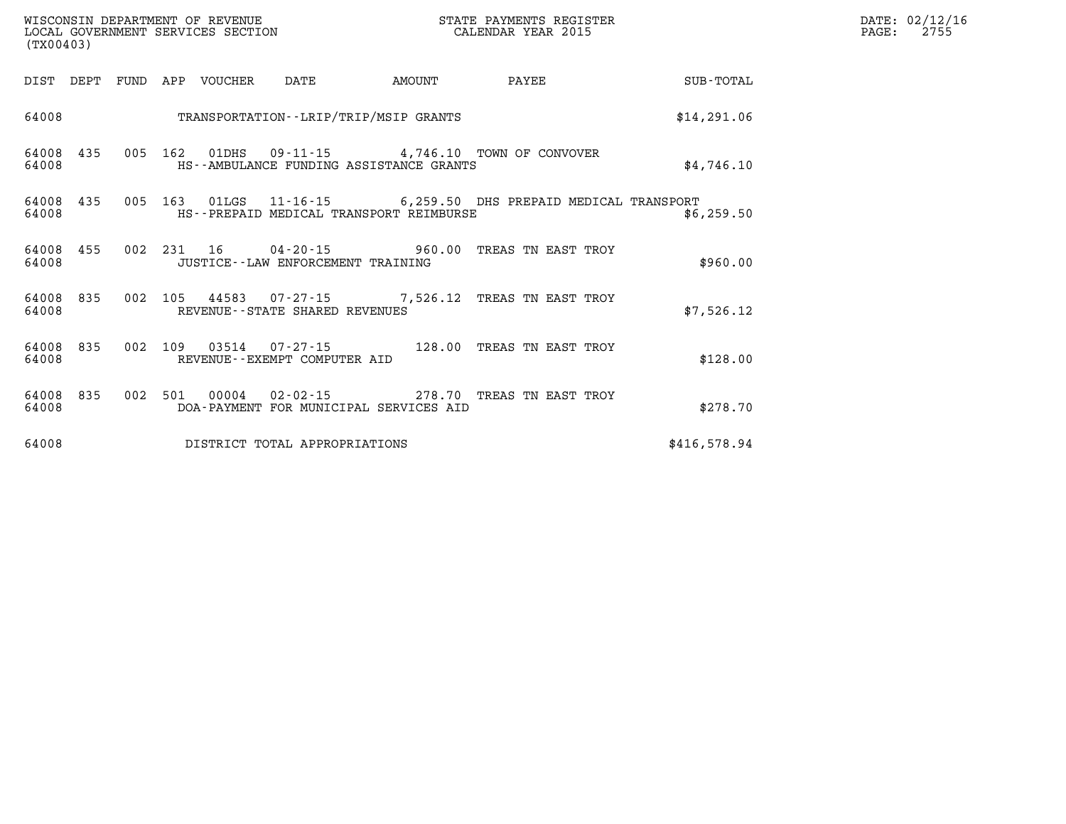| WISCONSIN DEPARTMENT OF REVENUE   | : PAYMENTS REGISTER<br>STATE |      | DATE: 02/12/16 |
|-----------------------------------|------------------------------|------|----------------|
| LOCAL GOVERNMENT SERVICES SECTION | CALENDAR YEAR 2015           | PAGE | つワに<br>- 415 - |

| (TX00403)             |             |         |                                                               |        |                                                          |              |
|-----------------------|-------------|---------|---------------------------------------------------------------|--------|----------------------------------------------------------|--------------|
| DIST<br>DEPT          | FUND<br>APP | VOUCHER | DATE                                                          | AMOUNT | <b>PAYEE</b>                                             | SUB-TOTAL    |
| 64008                 |             |         | TRANSPORTATION - - LRIP/TRIP/MSIP GRANTS                      |        |                                                          | \$14, 291.06 |
| 435<br>64008<br>64008 | 005<br>162  | 01DHS   | HS--AMBULANCE FUNDING ASSISTANCE GRANTS                       |        | 09-11-15 4,746.10 TOWN OF CONVOVER                       | \$4,746.10   |
| 64008<br>435<br>64008 | 005<br>163  |         | HS--PREPAID MEDICAL TRANSPORT REIMBURSE                       |        | 01LGS  11-16-15   6,259.50 DHS PREPAID MEDICAL TRANSPORT | \$6,259.50   |
| 455<br>64008<br>64008 | 002<br>231  | 16      | $04 - 20 - 15$ 960.00<br>JUSTICE - - LAW ENFORCEMENT TRAINING |        | TREAS TN EAST TROY                                       | \$960.00     |
| 835<br>64008<br>64008 | 002<br>105  | 44583   | $07 - 27 - 15$ 7,526.12<br>REVENUE--STATE SHARED REVENUES     |        | TREAS TN EAST TROY                                       | \$7,526.12   |
| 835<br>64008<br>64008 | 002<br>109  | 03514   | $07 - 27 - 15$<br>REVENUE--EXEMPT COMPUTER AID                | 128.00 | TREAS TN EAST TROY                                       | \$128.00     |
| 835<br>64008<br>64008 | 002<br>501  | 00004   | $02 - 02 - 15$<br>DOA-PAYMENT FOR MUNICIPAL SERVICES AID      | 278.70 | TREAS TN EAST TROY                                       | \$278.70     |
| 64008                 |             |         | DISTRICT TOTAL APPROPRIATIONS                                 |        |                                                          | \$416,578.94 |

WISCONSIN DEPARTMENT OF REVENUE **STATE PAYMENTS REGISTER** LOCAL GOVERNMENT SERVICES SECTION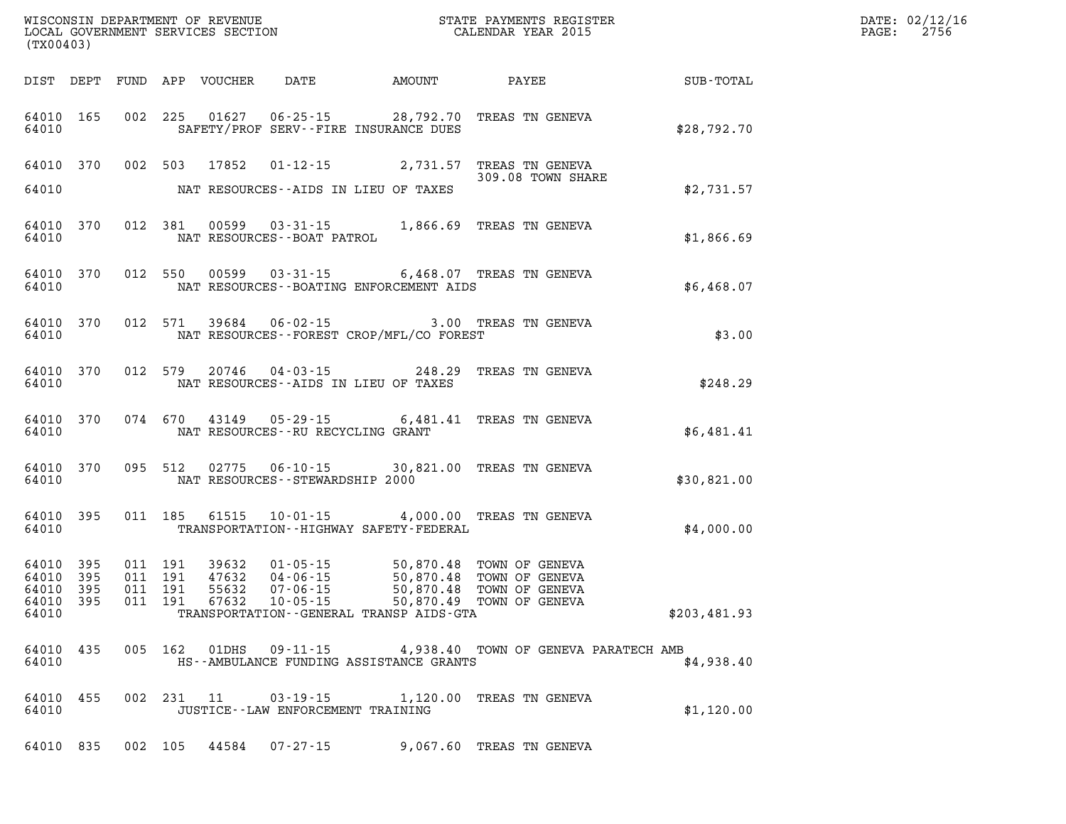| WISCONSIN DEPARTMENT OF REVENUE<br>LOCAL GOVERNMENT SERVICES SECTION<br>(TYO0402)<br>(TX00403) |           |  |                               |               |                                    |                                              |                                                                                                                                                                                       |                                                    | DATE: 02/12/16<br>$\mathtt{PAGE:}$<br>2756 |
|------------------------------------------------------------------------------------------------|-----------|--|-------------------------------|---------------|------------------------------------|----------------------------------------------|---------------------------------------------------------------------------------------------------------------------------------------------------------------------------------------|----------------------------------------------------|--------------------------------------------|
|                                                                                                |           |  |                               |               |                                    |                                              |                                                                                                                                                                                       | DIST DEPT FUND APP VOUCHER DATE AMOUNT PAYEE TOTAL |                                            |
| 64010                                                                                          | 64010 165 |  |                               |               |                                    | SAFETY/PROF SERV--FIRE INSURANCE DUES        | 002 225 01627 06-25-15 28,792.70 TREAS TN GENEVA                                                                                                                                      | \$28,792.70                                        |                                            |
| 64010                                                                                          |           |  |                               |               |                                    | NAT RESOURCES--AIDS IN LIEU OF TAXES         | 64010 370 002 503 17852 01-12-15 2,731.57 TREAS TN GENEVA<br>309.08 TOWN SHARE                                                                                                        | \$2,731.57                                         |                                            |
| 64010                                                                                          |           |  |                               |               | NAT RESOURCES - - BOAT PATROL      |                                              | 64010 370 012 381 00599 03-31-15 1,866.69 TREAS TN GENEVA                                                                                                                             | \$1,866.69                                         |                                            |
| 64010                                                                                          |           |  |                               |               |                                    | NAT RESOURCES - - BOATING ENFORCEMENT AIDS   | 64010 370 012 550 00599 03-31-15 6,468.07 TREAS TN GENEVA                                                                                                                             | \$6,468.07                                         |                                            |
| 64010                                                                                          | 64010 370 |  |                               |               |                                    | NAT RESOURCES--FOREST CROP/MFL/CO FOREST     | 012 571 39684 06-02-15 3.00 TREAS TN GENEVA                                                                                                                                           | \$3.00                                             |                                            |
| 64010                                                                                          | 64010 370 |  | 012 579                       |               |                                    | NAT RESOURCES--AIDS IN LIEU OF TAXES         | 20746  04-03-15  248.29  TREAS TN GENEVA                                                                                                                                              | \$248.29                                           |                                            |
| 64010                                                                                          | 64010 370 |  |                               |               | NAT RESOURCES--RU RECYCLING GRANT  |                                              | 074 670 43149 05-29-15 6,481.41 TREAS TN GENEVA                                                                                                                                       | \$6,481.41                                         |                                            |
| 64010                                                                                          | 64010 370 |  |                               |               | NAT RESOURCES - - STEWARDSHIP 2000 |                                              | 095 512 02775 06-10-15 30,821.00 TREAS TN GENEVA                                                                                                                                      | \$30,821.00                                        |                                            |
| 64010                                                                                          | 64010 395 |  |                               |               |                                    | TRANSPORTATION - - HIGHWAY SAFETY - FEDERAL  | 011 185 61515 10-01-15 4,000.00 TREAS TN GENEVA                                                                                                                                       | \$4,000.00                                         |                                            |
| 64010 395<br>64010 395<br>64010 395<br>64010 395<br>64010                                      |           |  | 011 191<br>011 191<br>011 191 | 011 191 39632 |                                    | TRANSPORTATION - - GENERAL TRANSP AIDS - GTA | 39632  01-05-15  50,870.48  TOWN OF GENEVA<br>47632  04-06-15  50,870.48  TOWN OF GENEVA<br>55632  07-06-15  50,870.48  TOWN OF GENEVA<br>67632  10-05-15   50,870.49  TOWN OF GENEVA | \$203,481.93                                       |                                            |
| 64010                                                                                          |           |  |                               |               |                                    | HS--AMBULANCE FUNDING ASSISTANCE GRANTS      | 64010 435 005 162 01DHS 09-11-15 4,938.40 TOWN OF GENEVA PARATECH AMB                                                                                                                 | \$4,938.40                                         |                                            |
| 64010                                                                                          |           |  |                               |               | JUSTICE--LAW ENFORCEMENT TRAINING  |                                              | 64010 455 002 231 11 03-19-15 1,120.00 TREAS TN GENEVA                                                                                                                                | \$1,120.00                                         |                                            |
|                                                                                                |           |  |                               |               |                                    |                                              | 64010 835 002 105 44584 07-27-15 9,067.60 TREAS TN GENEVA                                                                                                                             |                                                    |                                            |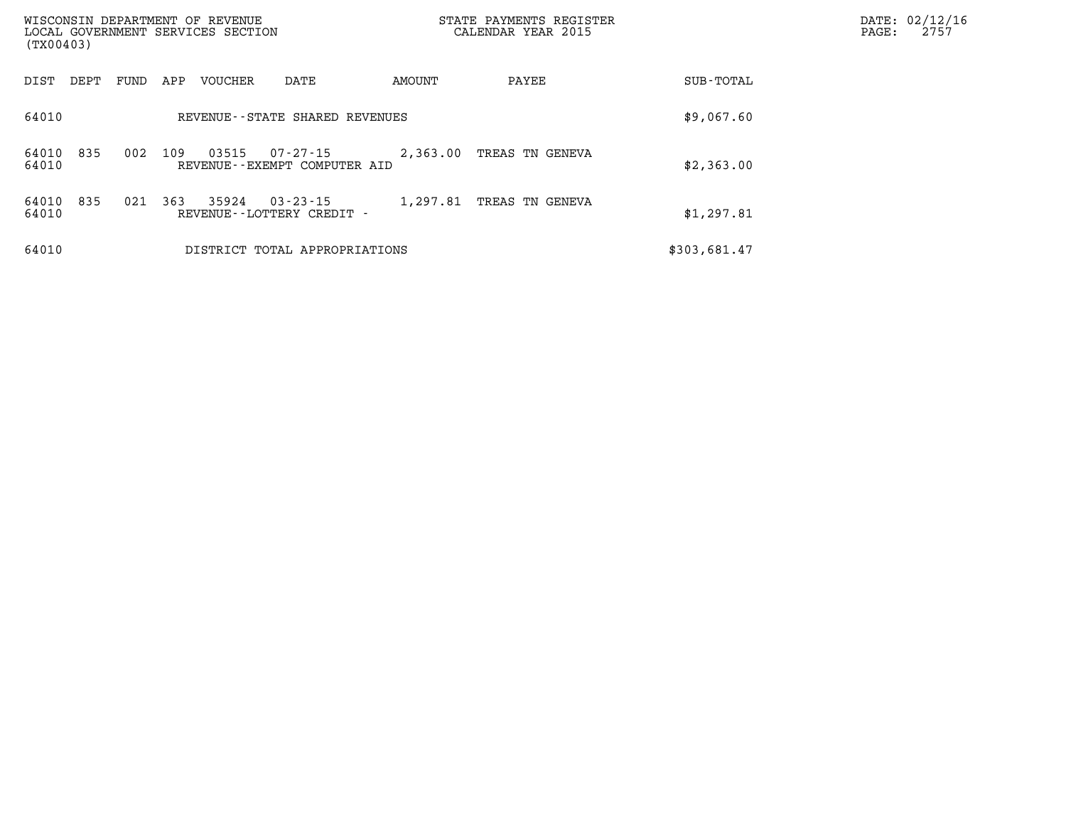| WISCONSIN DEPARTMENT OF REVENUE<br>LOCAL GOVERNMENT SERVICES SECTION<br>(TX00403) |                                                      | STATE PAYMENTS REGISTER<br>CALENDAR YEAR 2015 |              |  | DATE: 02/12/16<br>2757 |
|-----------------------------------------------------------------------------------|------------------------------------------------------|-----------------------------------------------|--------------|--|------------------------|
| DIST<br>FUND<br>APP<br>VOUCHER<br>DEPT                                            | AMOUNT<br>DATE                                       | PAYEE                                         | SUB-TOTAL    |  |                        |
| 64010                                                                             | REVENUE - - STATE SHARED REVENUES                    |                                               | \$9,067.60   |  |                        |
| 835<br>002<br>109<br>03515<br>64010<br>64010                                      | 07-27-15<br>2,363.00<br>REVENUE--EXEMPT COMPUTER AID | TREAS TN GENEVA                               | \$2,363.00   |  |                        |
| 835<br>363<br>35924<br>021<br>64010<br>64010<br>REVENUE--LOTTERY CREDIT -         | $03 - 23 - 15$<br>1,297.81                           | TREAS TN GENEVA                               | \$1,297.81   |  |                        |
| 64010                                                                             | DISTRICT TOTAL APPROPRIATIONS                        |                                               | \$303,681.47 |  |                        |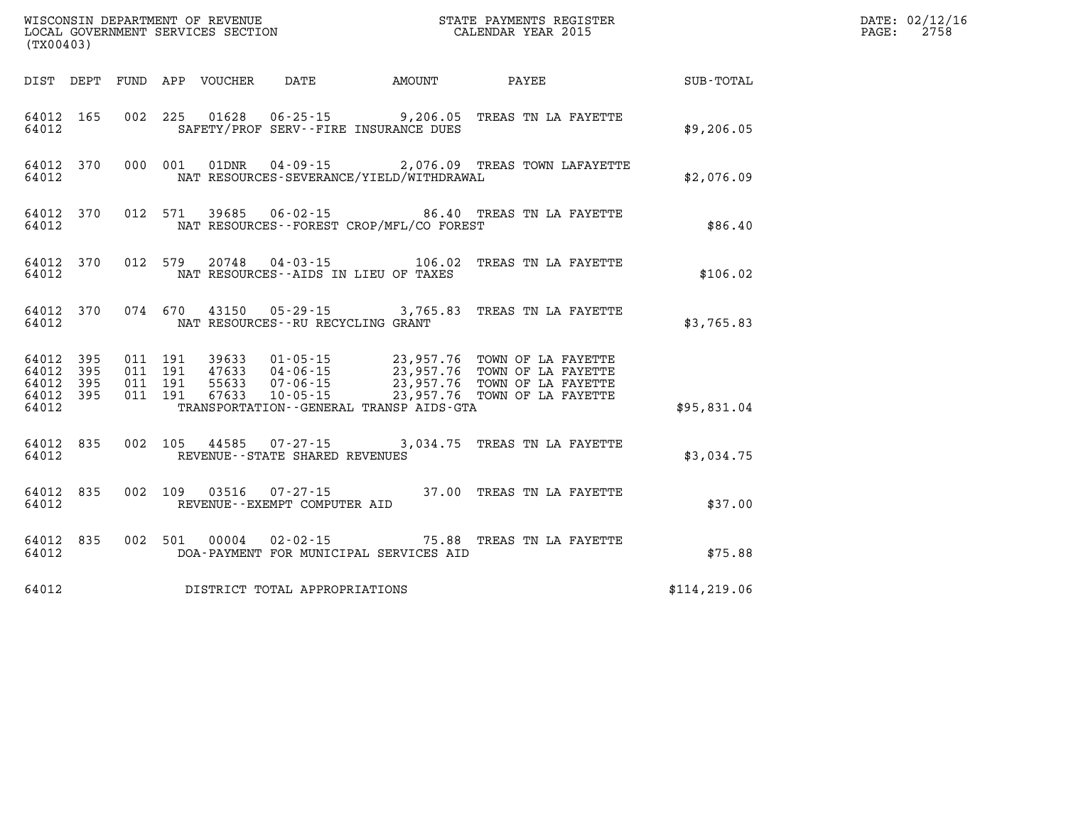| WISCONSIN DEPARTMENT OF REVENUE<br>LOCAL GOVERNMENT SERVICES SECTION<br>CALENDAR YEAR 2015<br>(TX00403) |                                                  |  |  |  |                                     |                                              |                                                                                                                                                                                                                          |               | DATE: 02/12/16<br>PAGE: 2758 |
|---------------------------------------------------------------------------------------------------------|--------------------------------------------------|--|--|--|-------------------------------------|----------------------------------------------|--------------------------------------------------------------------------------------------------------------------------------------------------------------------------------------------------------------------------|---------------|------------------------------|
|                                                                                                         |                                                  |  |  |  |                                     |                                              | DIST DEPT FUND APP VOUCHER DATE AMOUNT PAYEE TOTAL                                                                                                                                                                       |               |                              |
| 64012                                                                                                   | 64012 165                                        |  |  |  |                                     | SAFETY/PROF SERV--FIRE INSURANCE DUES        | 002 225 01628 06-25-15 9,206.05 TREAS TN LA FAYETTE                                                                                                                                                                      | \$9,206.05    |                              |
| 64012                                                                                                   |                                                  |  |  |  |                                     | NAT RESOURCES-SEVERANCE/YIELD/WITHDRAWAL     | 64012 370 000 001 01DNR 04-09-15 2,076.09 TREAS TOWN LAFAYETTE                                                                                                                                                           | \$2,076.09    |                              |
| 64012                                                                                                   |                                                  |  |  |  |                                     | NAT RESOURCES--FOREST CROP/MFL/CO FOREST     | 64012 370 012 571 39685 06-02-15 86.40 TREAS TN LA FAYETTE                                                                                                                                                               | \$86.40       |                              |
| 64012                                                                                                   |                                                  |  |  |  |                                     | NAT RESOURCES--AIDS IN LIEU OF TAXES         | 64012 370 012 579 20748 04-03-15 106.02 TREAS TN LA FAYETTE                                                                                                                                                              | \$106.02      |                              |
| 64012                                                                                                   |                                                  |  |  |  | NAT RESOURCES -- RU RECYCLING GRANT |                                              | 64012 370 074 670 43150 05-29-15 3,765.83 TREAS TN LA FAYETTE                                                                                                                                                            | \$3,765.83    |                              |
| 64012                                                                                                   | 64012 395<br>64012 395<br>64012 395<br>64012 395 |  |  |  |                                     | TRANSPORTATION - - GENERAL TRANSP AIDS - GTA | 011 191 39633 01-05-15 23,957.76 TOWN OF LA FAYETTE<br>011 191 47633 04-06-15 23,957.76 TOWN OF LA FAYETTE<br>011 191 55633 07-06-15 23,957.76 TOWN OF LA FAYETTE<br>011 191 67633 10-05-15 23,957.76 TOWN OF LA FAYETTE | \$95,831.04   |                              |
| 64012                                                                                                   | 64012 835                                        |  |  |  | REVENUE--STATE SHARED REVENUES      |                                              | 002 105 44585 07-27-15 3,034.75 TREAS TN LA FAYETTE                                                                                                                                                                      | \$3,034.75    |                              |
| 64012                                                                                                   | 64012 835                                        |  |  |  | REVENUE--EXEMPT COMPUTER AID        |                                              | 002 109 03516 07-27-15 37.00 TREAS TN LA FAYETTE                                                                                                                                                                         | \$37.00       |                              |
| 64012                                                                                                   |                                                  |  |  |  |                                     | DOA-PAYMENT FOR MUNICIPAL SERVICES AID       | 64012 835 002 501 00004 02-02-15 75.88 TREAS TN LA FAYETTE                                                                                                                                                               | \$75.88       |                              |
| 64012                                                                                                   |                                                  |  |  |  | DISTRICT TOTAL APPROPRIATIONS       |                                              |                                                                                                                                                                                                                          | \$114, 219.06 |                              |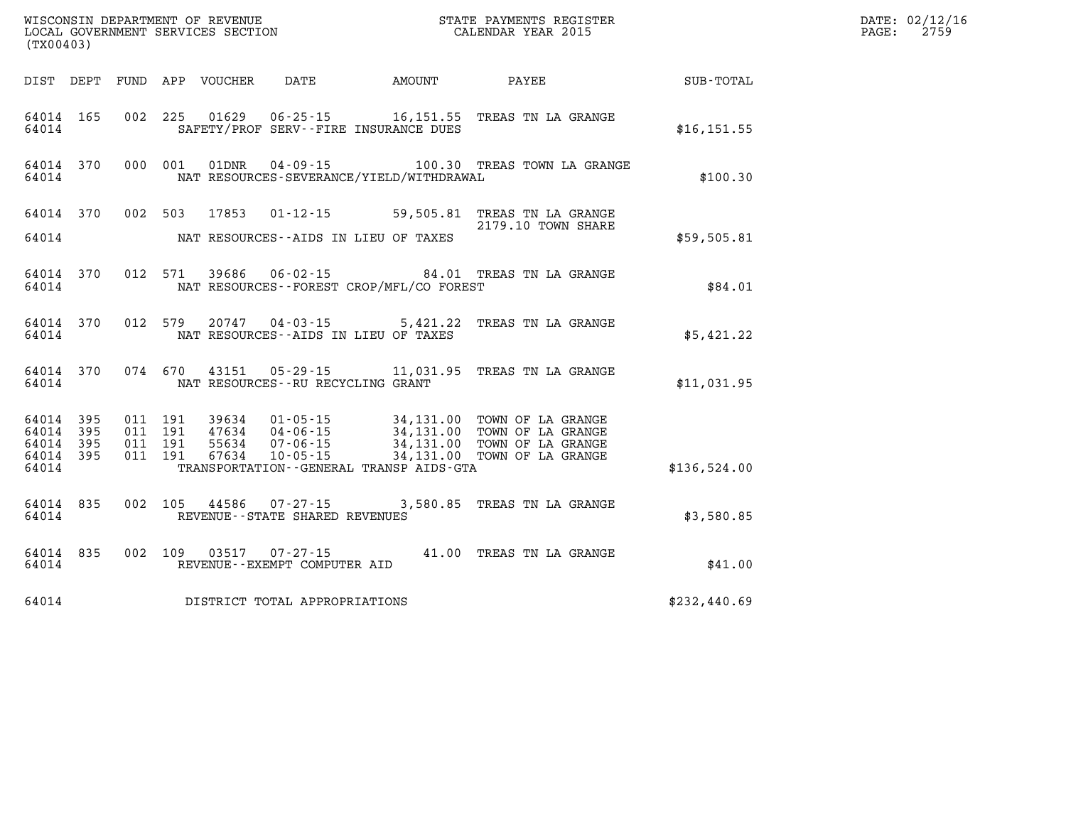| WISCONSIN DEPARTMENT OF REVENUE<br>LOCAL GOVERNMENT SERVICES SECTION<br>(TX00403) |            |                    |                    |                                 |                                      |                                              | STATE PAYMENTS REGISTER<br>CALENDAR YEAR 2015                                                                                                                                                |              | DATE: 02/12/16<br>$\mathtt{PAGE:}$<br>2759 |
|-----------------------------------------------------------------------------------|------------|--------------------|--------------------|---------------------------------|--------------------------------------|----------------------------------------------|----------------------------------------------------------------------------------------------------------------------------------------------------------------------------------------------|--------------|--------------------------------------------|
|                                                                                   |            |                    |                    | DIST DEPT FUND APP VOUCHER DATE |                                      | AMOUNT PAYEE                                 |                                                                                                                                                                                              | SUB-TOTAL    |                                            |
| 64014                                                                             | 64014 165  |                    |                    |                                 |                                      | SAFETY/PROF SERV--FIRE INSURANCE DUES        | 002 225 01629 06-25-15 16,151.55 TREAS TN LA GRANGE                                                                                                                                          | \$16, 151.55 |                                            |
| 64014                                                                             | 64014 370  |                    |                    |                                 |                                      | NAT RESOURCES-SEVERANCE/YIELD/WITHDRAWAL     | 000 001 01DNR  04-09-15   100.30 TREAS TOWN LA GRANGE                                                                                                                                        | \$100.30     |                                            |
|                                                                                   |            |                    |                    |                                 |                                      |                                              | 64014 370 002 503 17853 01-12-15 59,505.81 TREAS TN LA GRANGE<br>2179.10 TOWN SHARE                                                                                                          |              |                                            |
| 64014                                                                             |            |                    |                    |                                 |                                      | NAT RESOURCES--AIDS IN LIEU OF TAXES         |                                                                                                                                                                                              | \$59,505.81  |                                            |
| 64014                                                                             | 64014 370  |                    |                    |                                 |                                      | NAT RESOURCES--FOREST CROP/MFL/CO FOREST     | 012 571 39686 06-02-15 84.01 TREAS TN LA GRANGE                                                                                                                                              | \$84.01      |                                            |
| 64014                                                                             | 64014 370  |                    |                    |                                 |                                      | NAT RESOURCES -- AIDS IN LIEU OF TAXES       | 012 579 20747 04-03-15 5,421.22 TREAS TN LA GRANGE                                                                                                                                           | \$5,421.22   |                                            |
| 64014                                                                             | 64014 370  |                    |                    |                                 | NAT RESOURCES - - RU RECYCLING GRANT |                                              | 074 670 43151 05-29-15 11,031.95 TREAS TN LA GRANGE                                                                                                                                          | \$11,031.95  |                                            |
| 64014<br>64014                                                                    | 395<br>395 |                    | 011 191<br>011 191 |                                 |                                      |                                              |                                                                                                                                                                                              |              |                                            |
| 64014<br>64014<br>64014                                                           | 395<br>395 | 011 191<br>011 191 |                    |                                 |                                      | TRANSPORTATION - - GENERAL TRANSP AIDS - GTA | 39634  01-05-15  34,131.00 TOWN OF LA GRANGE<br>47634  04-06-15  34,131.00 TOWN OF LA GRANGE<br>55634  07-06-15  34,131.00 TOWN OF LA GRANGE<br>67634  10-05-15  34,131.00 TOWN OF LA GRANGE | \$136,524.00 |                                            |
| 64014                                                                             | 64014 835  |                    |                    |                                 | REVENUE - - STATE SHARED REVENUES    |                                              | 002 105 44586 07-27-15 3,580.85 TREAS TN LA GRANGE                                                                                                                                           | \$3,580.85   |                                            |
| 64014                                                                             | 64014 835  |                    |                    |                                 | REVENUE--EXEMPT COMPUTER AID         |                                              | 002 109 03517 07-27-15 41.00 TREAS TN LA GRANGE                                                                                                                                              | \$41.00      |                                            |
| 64014                                                                             |            |                    |                    |                                 | DISTRICT TOTAL APPROPRIATIONS        |                                              |                                                                                                                                                                                              | \$232,440.69 |                                            |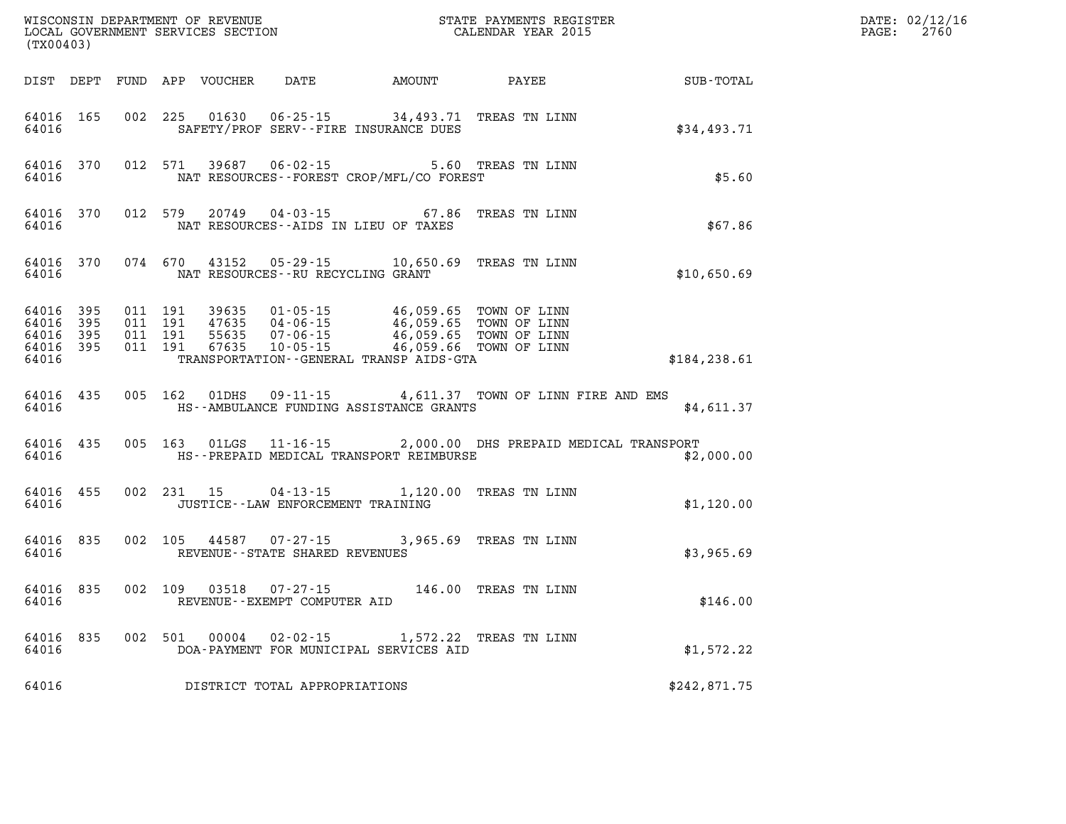| (TX00403)                                             |     |                                                   |                                                                                                                                                                                                                |                                                 |              | DATE: 02/12/16<br>$\mathtt{PAGE:}$<br>2760 |
|-------------------------------------------------------|-----|---------------------------------------------------|----------------------------------------------------------------------------------------------------------------------------------------------------------------------------------------------------------------|-------------------------------------------------|--------------|--------------------------------------------|
|                                                       |     |                                                   | DIST DEPT FUND APP VOUCHER DATE AMOUNT PAYEE                                                                                                                                                                   |                                                 | SUB-TOTAL    |                                            |
| 64016 165<br>64016                                    |     |                                                   | 002 225 01630 06-25-15 34,493.71 TREAS TN LINN<br>SAFETY/PROF SERV--FIRE INSURANCE DUES                                                                                                                        |                                                 | \$34,493.71  |                                            |
| 64016 370<br>64016                                    |     |                                                   | 012 571 39687 06-02-15 5.60 TREAS TN LINN<br>NAT RESOURCES--FOREST CROP/MFL/CO FOREST                                                                                                                          |                                                 | \$5.60       |                                            |
| 64016 370<br>64016                                    |     | 012 579                                           | 20749  04-03-15    67.86<br>NAT RESOURCES--AIDS IN LIEU OF TAXES                                                                                                                                               | TREAS TN LINN                                   | \$67.86      |                                            |
| 64016 370<br>64016                                    |     | 074 670 43152                                     | 05-29-15 10,650.69 TREAS TN LINN<br>NAT RESOURCES--RU RECYCLING GRANT                                                                                                                                          |                                                 | \$10,650.69  |                                            |
| 64016 395<br>64016<br>64016 395<br>64016 395<br>64016 | 395 | 011 191<br>011 191<br>011 191<br>011 191<br>67635 | 39635  01-05-15  46,059.65  TOWN OF LINN<br>47635  04-06-15  46,059.65  TOWN OF LINN<br>55635  07-06-15  46,059.65  TOWN OF LINN<br>10-05-15 46,059.66 TOWN OF LINN<br>TRANSPORTATION--GENERAL TRANSP AIDS-GTA |                                                 | \$184,238.61 |                                            |
| 64016 435<br>64016                                    |     | 005 162 01DHS                                     | HS--AMBULANCE FUNDING ASSISTANCE GRANTS                                                                                                                                                                        | 09-11-15 4,611.37 TOWN OF LINN FIRE AND EMS     | \$4,611.37   |                                            |
| 64016<br>64016                                        | 435 | 005 163 01LGS                                     | HS--PREPAID MEDICAL TRANSPORT REIMBURSE                                                                                                                                                                        | 11-16-15 2,000.00 DHS PREPAID MEDICAL TRANSPORT | \$2,000.00   |                                            |
| 64016<br>64016                                        | 455 |                                                   | 002 231 15 04-13-15 1,120.00 TREAS TN LINN<br>JUSTICE - - LAW ENFORCEMENT TRAINING                                                                                                                             |                                                 | \$1,120.00   |                                            |
| 64016 835<br>64016                                    |     |                                                   | 002 105 44587 07-27-15 3,965.69 TREAS TN LINN<br>REVENUE--STATE SHARED REVENUES                                                                                                                                |                                                 | \$3,965.69   |                                            |
| 64016 835<br>64016                                    |     | 002 109 03518 07-27-15                            | REVENUE--EXEMPT COMPUTER AID                                                                                                                                                                                   | 146.00 TREAS TN LINN                            | \$146.00     |                                            |
| 64016<br>64016                                        | 835 | 002 501<br>00004                                  | 02-02-15 1,572.22 TREAS TN LINN<br>DOA-PAYMENT FOR MUNICIPAL SERVICES AID                                                                                                                                      |                                                 | \$1,572.22   |                                            |
| 64016                                                 |     |                                                   | DISTRICT TOTAL APPROPRIATIONS                                                                                                                                                                                  |                                                 | \$242,871.75 |                                            |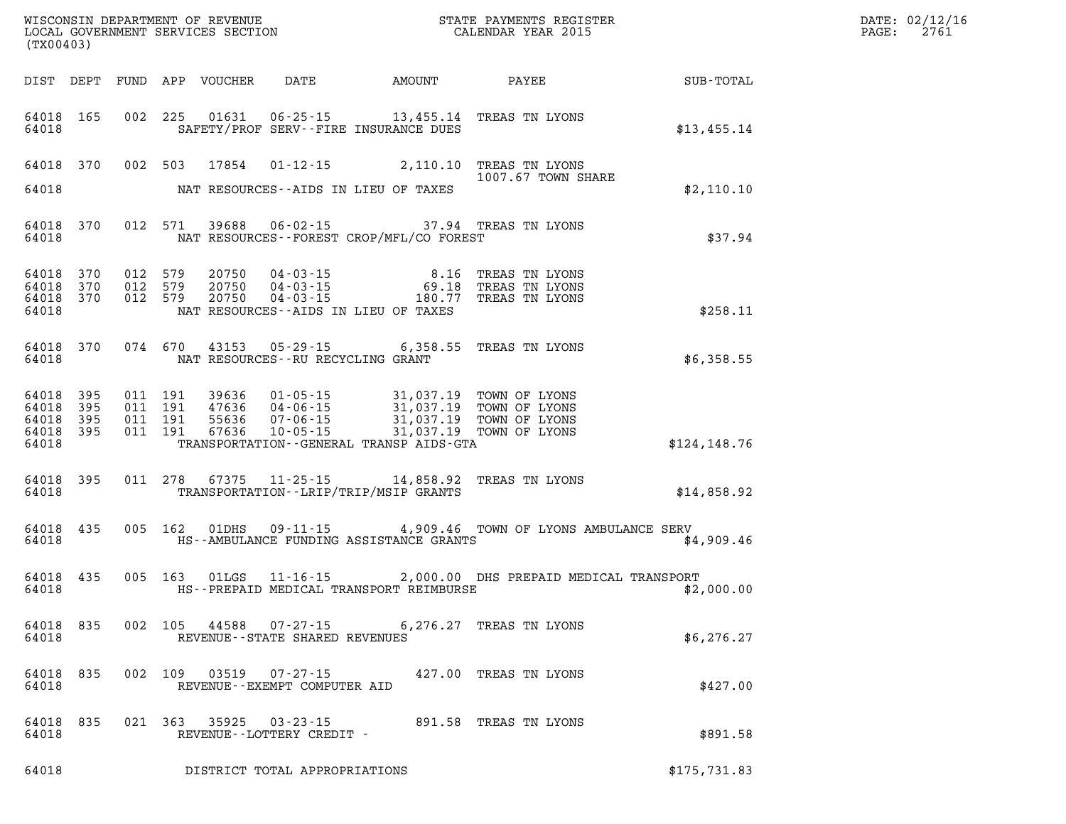| (TX00403)                           |                    |                                                   |         |               |                                                     |                                                                                                                                                                 |                                                                                                                    | $\mathbb{R}^n$ | DATE: 02/12/16<br>PAGE: 2761 |
|-------------------------------------|--------------------|---------------------------------------------------|---------|---------------|-----------------------------------------------------|-----------------------------------------------------------------------------------------------------------------------------------------------------------------|--------------------------------------------------------------------------------------------------------------------|----------------|------------------------------|
|                                     |                    |                                                   |         |               |                                                     |                                                                                                                                                                 |                                                                                                                    |                |                              |
|                                     | 64018              |                                                   |         |               |                                                     | 64018 165 002 225 01631 06-25-15 13,455.14 TREAS TN LYONS<br>SAFETY/PROF SERV--FIRE INSURANCE DUES                                                              |                                                                                                                    | \$13,455.14    |                              |
|                                     |                    |                                                   |         |               |                                                     | 64018 370 002 503 17854 01-12-15 2,110.10 TREAS TN LYONS                                                                                                        | 1007.67 TOWN SHARE                                                                                                 |                |                              |
|                                     |                    |                                                   |         |               |                                                     |                                                                                                                                                                 |                                                                                                                    | \$2,110.10     |                              |
|                                     | 64018              |                                                   |         |               |                                                     | NAT RESOURCES - FOREST CROP/MFL/CO FOREST                                                                                                                       | 64018 370 012 571 39688 06-02-15 37.94 TREAS TN LYONS                                                              | \$37.94        |                              |
| 64018                               | 64018 370          | 64018 370 012 579<br>012 579<br>64018 370 012 579 |         |               |                                                     | 20750  04-03-15  8.16 TREAS TN LYONS<br>20750  04-03-15  69.18 TREAS TN LYONS<br>20750  04-03-15  180.77 TREAS TN LYONS<br>NAT RESOURCES--AIDS IN LIEU OF TAXES |                                                                                                                    | \$258.11       |                              |
|                                     | 64018              |                                                   |         |               | NAT RESOURCES -- RU RECYCLING GRANT                 | 64018 370 074 670 43153 05-29-15 6,358.55 TREAS TN LYONS                                                                                                        |                                                                                                                    | \$6,358.55     |                              |
| 64018 395<br>64018 395<br>64018 395 | 64018 395<br>64018 |                                                   |         |               |                                                     | TRANSPORTATION - - GENERAL TRANSP AIDS - GTA                                                                                                                    |                                                                                                                    | \$124,148.76   |                              |
|                                     |                    |                                                   |         |               |                                                     | 64018 395 011 278 67375 11-25-15 14,858.92 TREAS TN LYONS<br>64018 THE TRANSPORTATION--LRIP/TRIP/MSIP GRANTS                                                    |                                                                                                                    | \$14,858.92    |                              |
|                                     |                    |                                                   |         |               |                                                     | 64018 HS--AMBULANCE FUNDING ASSISTANCE GRANTS                                                                                                                   | 64018 435 005 162 01DHS 09-11-15 4,909.46 TOWN OF LYONS AMBULANCE SERV                                             | \$4,909.46     |                              |
| 64018                               |                    |                                                   |         |               |                                                     |                                                                                                                                                                 | 64018 435 005 163 01LGS 11-16-15 2,000.00 DHS PREPAID MEDICAL TRANSPORT<br>HS--PREPAID MEDICAL TRANSPORT REIMBURSE | \$2,000.00     |                              |
| 64018 835<br>64018                  |                    |                                                   | 002 105 | 44588         | $07 - 27 - 15$<br>REVENUE - - STATE SHARED REVENUES |                                                                                                                                                                 | 6,276.27 TREAS TN LYONS                                                                                            | \$6,276.27     |                              |
| 64018 835<br>64018                  |                    |                                                   | 002 109 | 03519         | REVENUE--EXEMPT COMPUTER AID                        | 07-27-15 427.00 TREAS TN LYONS                                                                                                                                  |                                                                                                                    | \$427.00       |                              |
| 64018 835<br>64018                  |                    |                                                   |         | 021 363 35925 | 03-23-15<br>REVENUE--LOTTERY CREDIT -               |                                                                                                                                                                 | 891.58 TREAS TN LYONS                                                                                              | \$891.58       |                              |
| 64018                               |                    |                                                   |         |               | DISTRICT TOTAL APPROPRIATIONS                       |                                                                                                                                                                 |                                                                                                                    | \$175,731.83   |                              |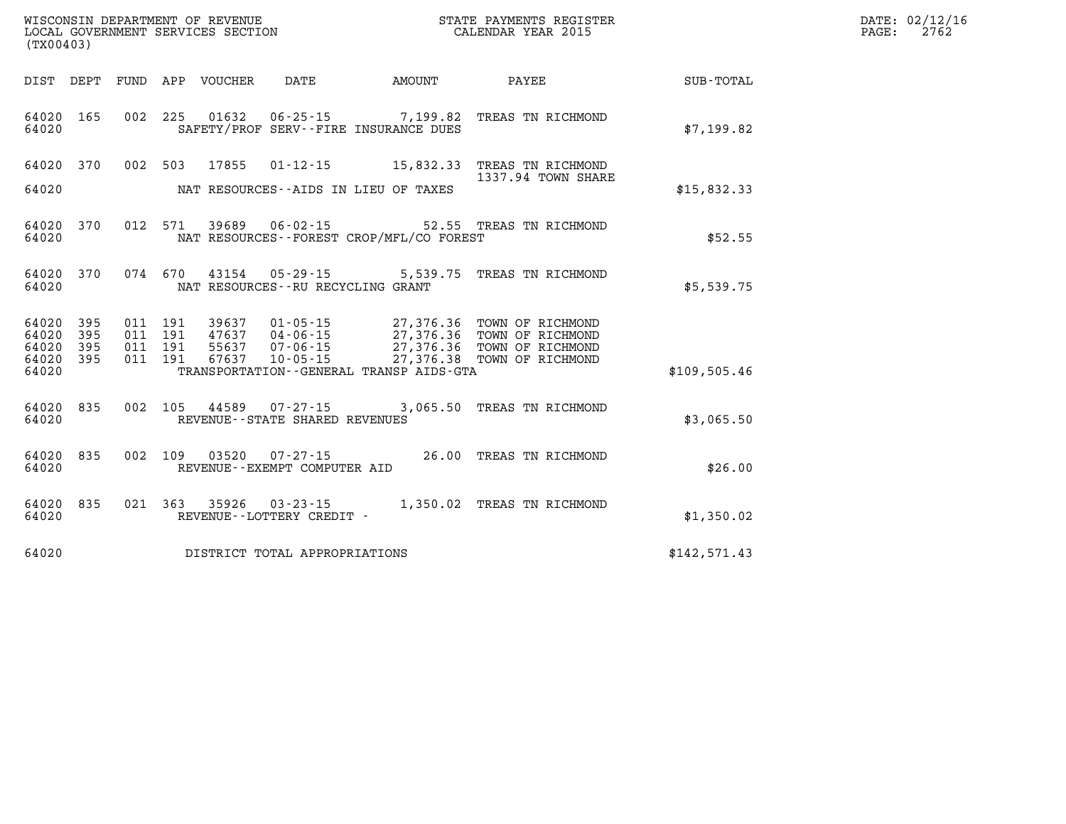| (TX00403)                          | WISCONSIN DEPARTMENT OF REVENUE<br>LOCAL GOVERNMENT SERVICES SECTION<br>CALENDAR YEAR 2015                                                                                                                       |                    |              | DATE: 02/12/16<br>PAGE: 2762 |
|------------------------------------|------------------------------------------------------------------------------------------------------------------------------------------------------------------------------------------------------------------|--------------------|--------------|------------------------------|
|                                    | DIST DEPT FUND APP VOUCHER DATE AMOUNT PAYEE TOTAL SUB-TOTAL                                                                                                                                                     |                    |              |                              |
| 64020 165<br>64020                 | 002 225 01632 06-25-15 7,199.82 TREAS TN RICHMOND<br>SAFETY/PROF SERV--FIRE INSURANCE DUES                                                                                                                       |                    | \$7,199.82   |                              |
|                                    | 64020 370 002 503 17855 01-12-15 15,832.33 TREAS TN RICHMOND                                                                                                                                                     | 1337.94 TOWN SHARE |              |                              |
| 64020                              | NAT RESOURCES--AIDS IN LIEU OF TAXES                                                                                                                                                                             |                    | \$15,832.33  |                              |
| 64020<br>370<br>64020              | 012 571 39689 06-02-15 52.55 TREAS TN RICHMOND<br>NAT RESOURCES--FOREST CROP/MFL/CO FOREST                                                                                                                       |                    | \$52.55      |                              |
| 64020                              | 64020 370 074 670 43154 05-29-15 5,539.75 TREAS TN RICHMOND<br>NAT RESOURCES--RU RECYCLING GRANT                                                                                                                 |                    | \$5,539.75   |                              |
| 64020<br>395<br>64020<br>395       | 011 191 39637 01-05-15 27,376.36 TOWN OF RICHMOND<br>011 191 47637 04-06-15 27,376.36 TOWN OF RICHMOND<br>011 191 55637 07-06-15 27,376.36 TOWN OF RICHMOND<br>011 191 67637 10-05-15 27,376.38 TOWN OF RICHMOND |                    |              |                              |
| 64020<br>395<br>64020 395<br>64020 | TRANSPORTATION - - GENERAL TRANSP AIDS-GTA                                                                                                                                                                       |                    | \$109,505.46 |                              |
| 64020 835<br>64020                 | 002 105 44589 07-27-15 3,065.50 TREAS TN RICHMOND<br>REVENUE--STATE SHARED REVENUES                                                                                                                              |                    | \$3,065.50   |                              |
| 64020 835<br>64020                 | 002 109 03520 07-27-15 26.00 TREAS TN RICHMOND<br>REVENUE--EXEMPT COMPUTER AID                                                                                                                                   |                    | \$26.00      |                              |
| 64020<br>835<br>64020              | 021 363 35926 03-23-15 1,350.02 TREAS TN RICHMOND<br>REVENUE--LOTTERY CREDIT -                                                                                                                                   |                    | \$1,350.02   |                              |
| 64020                              | DISTRICT TOTAL APPROPRIATIONS                                                                                                                                                                                    |                    | \$142,571.43 |                              |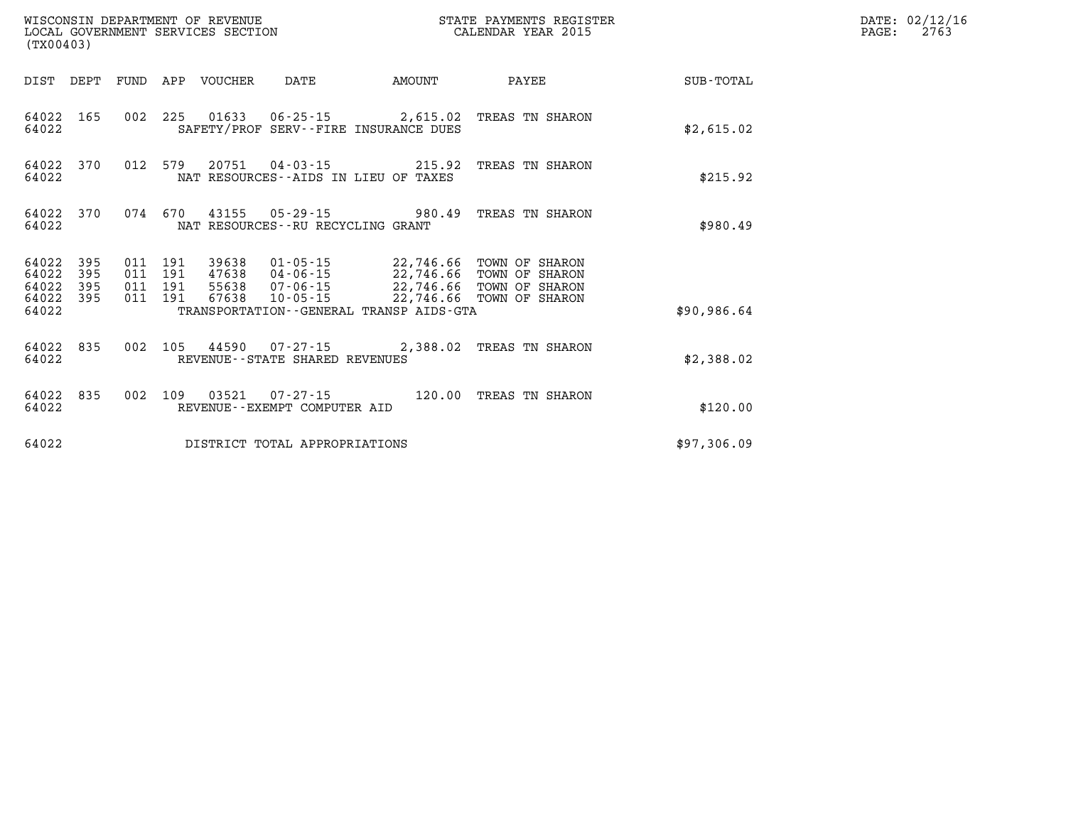| (TX00403)                            |                   |                                          | WISCONSIN DEPARTMENT OF REVENUE | LOCAL GOVERNMENT SERVICES SECTION                        |                                              | STATE PAYMENTS REGISTER<br>CALENDAR YEAR 2015                                                                                                                            |             | DATE: 02/12/16<br>PAGE:<br>2763 |
|--------------------------------------|-------------------|------------------------------------------|---------------------------------|----------------------------------------------------------|----------------------------------------------|--------------------------------------------------------------------------------------------------------------------------------------------------------------------------|-------------|---------------------------------|
|                                      |                   |                                          | DIST DEPT FUND APP VOUCHER      | DATE                                                     | <b>AMOUNT</b>                                | PAYEE                                                                                                                                                                    | SUB-TOTAL   |                                 |
| 64022                                | 64022 165         |                                          |                                 | SAFETY/PROF SERV--FIRE INSURANCE DUES                    |                                              | 002 225 01633 06-25-15 2,615.02 TREAS TN SHARON                                                                                                                          | \$2,615.02  |                                 |
| 64022                                | 64022 370         |                                          |                                 | NAT RESOURCES -- AIDS IN LIEU OF TAXES                   |                                              | 012 579 20751 04-03-15 215.92 TREAS TN SHARON                                                                                                                            | \$215.92    |                                 |
| 64022 370<br>64022                   |                   | 074 670                                  |                                 | NAT RESOURCES--RU RECYCLING GRANT                        |                                              | 43155 05-29-15 980.49 TREAS TN SHARON                                                                                                                                    | \$980.49    |                                 |
| 64022<br>64022<br>64022<br>64022 395 | 395<br>395<br>395 | 011 191<br>011 191<br>011 191<br>011 191 | 67638                           |                                                          |                                              | 39638  01-05-15  22,746.66  TOWN OF SHARON<br>47638  04-06-15  22,746.66  TOWN OF SHARON<br>55638 07-06-15 22,746.66 TOWN OF SHARON<br>10-05-15 22,746.66 TOWN OF SHARON |             |                                 |
| 64022                                |                   |                                          |                                 |                                                          | TRANSPORTATION - - GENERAL TRANSP AIDS - GTA |                                                                                                                                                                          | \$90,986.64 |                                 |
| 64022 835<br>64022                   |                   |                                          |                                 | 002 105 44590 07-27-15<br>REVENUE--STATE SHARED REVENUES |                                              | 2,388.02 TREAS TN SHARON                                                                                                                                                 | \$2,388.02  |                                 |
| 64022 835<br>64022                   |                   | 002 109                                  |                                 | REVENUE--EXEMPT COMPUTER AID                             |                                              |                                                                                                                                                                          | \$120.00    |                                 |
| 64022                                |                   |                                          |                                 | DISTRICT TOTAL APPROPRIATIONS                            |                                              |                                                                                                                                                                          | \$97,306.09 |                                 |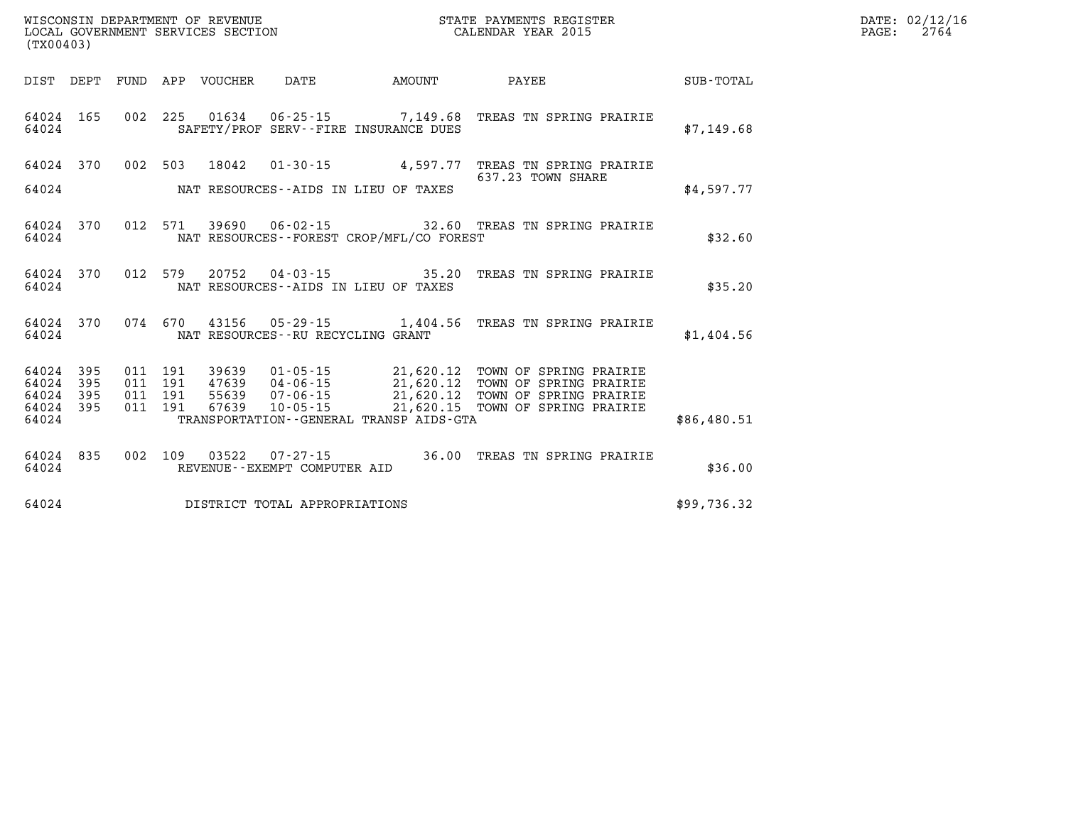| (TX00403) |                                 |  |         |  |  |                                         |                                              |                                                                                                                                                                                                                                         |             | DATE: 02/12/1<br>2764<br>$\mathtt{PAGE}$ : |
|-----------|---------------------------------|--|---------|--|--|-----------------------------------------|----------------------------------------------|-----------------------------------------------------------------------------------------------------------------------------------------------------------------------------------------------------------------------------------------|-------------|--------------------------------------------|
|           |                                 |  |         |  |  |                                         |                                              |                                                                                                                                                                                                                                         |             |                                            |
|           | 64024 165<br>64024              |  |         |  |  |                                         | SAFETY/PROF SERV--FIRE INSURANCE DUES        | 002  225  01634  06-25-15  7,149.68  TREAS TN SPRING PRAIRIE                                                                                                                                                                            | \$7,149.68  |                                            |
|           |                                 |  |         |  |  |                                         |                                              | 64024 370 002 503 18042 01-30-15 4,597.77 TREAS TN SPRING PRAIRIE<br>637.23 TOWN SHARE                                                                                                                                                  |             |                                            |
|           |                                 |  |         |  |  |                                         |                                              |                                                                                                                                                                                                                                         | \$4,597.77  |                                            |
|           | 64024                           |  |         |  |  |                                         | NAT RESOURCES--FOREST CROP/MFL/CO FOREST     | 64024 370 012 571 39690 06-02-15 32.60 TREAS TN SPRING PRAIRIE                                                                                                                                                                          | \$32.60     |                                            |
|           | 64024                           |  |         |  |  |                                         | NAT RESOURCES--AIDS IN LIEU OF TAXES         | 64024 370 012 579 20752 04-03-15 35.20 TREAS TN SPRING PRAIRIE                                                                                                                                                                          | \$35.20     |                                            |
|           |                                 |  |         |  |  | 64024 MAT RESOURCES--RU RECYCLING GRANT |                                              | 64024 370 074 670 43156 05-29-15 1,404.56 TREAS TN SPRING PRAIRIE                                                                                                                                                                       | \$1,404.56  |                                            |
|           | 64024 395<br>64024 395          |  |         |  |  |                                         |                                              | 011 191 39639 01-05-15 21,620.12 TOWN OF SPRING PRAIRIE<br>011 191 47639 04-06-15 21,620.12 TOWN OF SPRING PRAIRIE<br>011 191 67639 07-06-15 21,620.12 TOWN OF SPRING PRAIRIE<br>011 191 67639 10-05-15 21,620.15 TOWN OF SPRING PRAIRI |             |                                            |
|           | 64024 395<br>64024 395<br>64024 |  | 011 191 |  |  |                                         | TRANSPORTATION - - GENERAL TRANSP AIDS - GTA |                                                                                                                                                                                                                                         | \$86,480.51 |                                            |
|           | 64024 835<br>64024              |  |         |  |  | REVENUE--EXEMPT COMPUTER AID            |                                              | 002 109 03522 07-27-15 36.00 TREAS TN SPRING PRAIRIE                                                                                                                                                                                    | \$36.00     |                                            |
|           |                                 |  |         |  |  | 64024 DISTRICT TOTAL APPROPRIATIONS     |                                              |                                                                                                                                                                                                                                         | \$99,736.32 |                                            |

**DATE: 02/12/16<br>PAGE: 2764**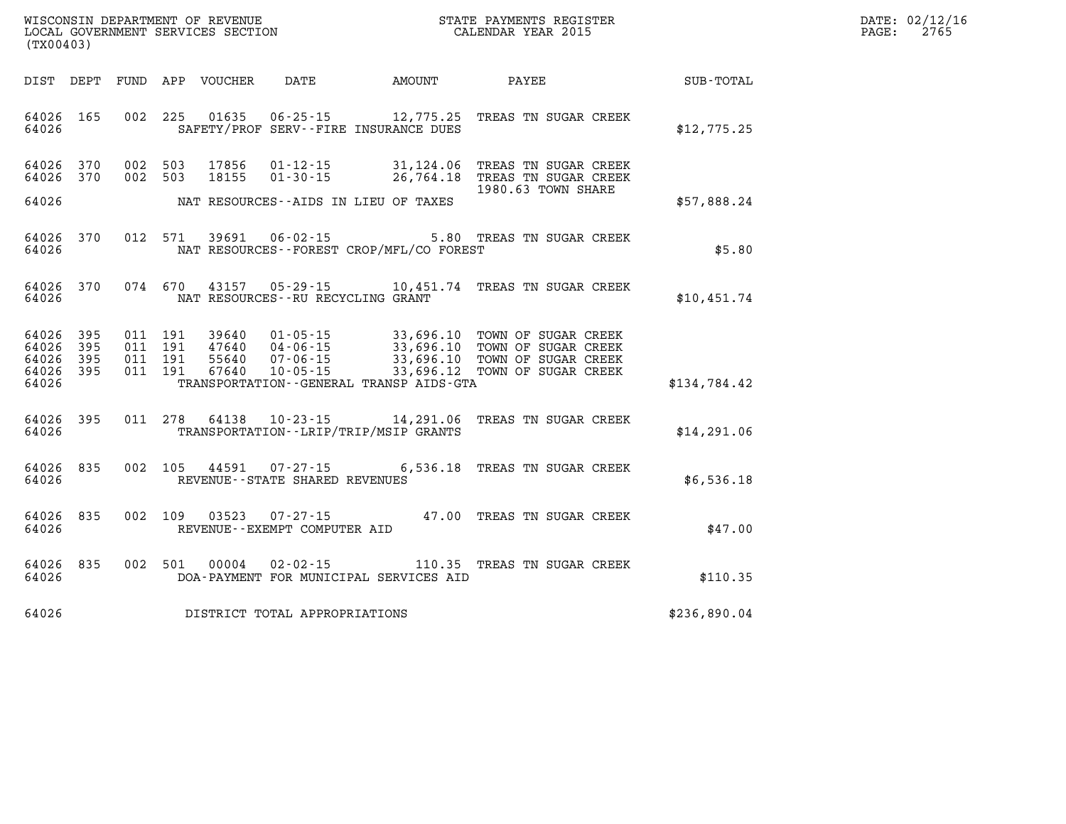| $\mathtt{DATE}$ : | 02/12/16 |
|-------------------|----------|
| PAGE:             | 2765     |

|              |                                                                                                              |                                                                   |                                                                      |                         |                                  |                                        | (TX00403)                                 |
|--------------|--------------------------------------------------------------------------------------------------------------|-------------------------------------------------------------------|----------------------------------------------------------------------|-------------------------|----------------------------------|----------------------------------------|-------------------------------------------|
| SUB-TOTAL    | PAYEE                                                                                                        | AMOUNT                                                            | DATE                                                                 | FUND APP VOUCHER        |                                  | DEPT                                   | DIST                                      |
| \$12,775.25  | 12,775.25 TREAS TN SUGAR CREEK                                                                               | SAFETY/PROF SERV--FIRE INSURANCE DUES                             | $06 - 25 - 15$                                                       | 01635                   | 002 225                          | 165                                    | 64026<br>64026                            |
|              | 31,124.06 TREAS TN SUGAR CREEK<br>26,764.18 TREAS TN SUGAR CREEK                                             |                                                                   | $01 - 12 - 15$<br>$01 - 30 - 15$                                     | 17856<br>18155          | 002<br>503<br>503                | 370<br>370<br>002                      | 64026<br>64026                            |
| \$57,888.24  | 1980.63 TOWN SHARE                                                                                           | NAT RESOURCES--AIDS IN LIEU OF TAXES                              |                                                                      |                         |                                  |                                        | 64026                                     |
| \$5.80       | 5.80 TREAS TN SUGAR CREEK                                                                                    | NAT RESOURCES - - FOREST CROP/MFL/CO FOREST                       | $06 - 02 - 15$                                                       | 39691                   | 571                              | 012<br>370                             | 64026<br>64026                            |
| \$10,451.74  | 10,451.74 TREAS TN SUGAR CREEK                                                                               |                                                                   | $05 - 29 - 15$<br>NAT RESOURCES - - RU RECYCLING GRANT               | 43157                   | 074 670                          | 370                                    | 64026<br>64026                            |
| \$134,784.42 | 33,696.10 TOWN OF SUGAR CREEK<br>33,696.10 TOWN OF SUGAR CREEK<br>TOWN OF SUGAR CREEK<br>TOWN OF SUGAR CREEK | 33,696.10<br>33,696.12<br>TRANSPORTATION--GENERAL TRANSP AIDS-GTA | $01 - 05 - 15$<br>47640 04-06-15<br>$07 - 06 - 15$<br>$10 - 05 - 15$ | 39640<br>55640<br>67640 | 011 191<br>191<br>191<br>011 191 | 395<br>011<br>395<br>395<br>011<br>395 | 64026<br>64026<br>64026<br>64026<br>64026 |
| \$14,291.06  | 14,291.06 TREAS TN SUGAR CREEK                                                                               | TRANSPORTATION - - LRIP/TRIP/MSIP GRANTS                          | $10 - 23 - 15$                                                       | 64138                   | 278                              | 011<br>395                             | 64026<br>64026                            |
| \$6,536.18   | 07-27-15 6,536.18 TREAS TN SUGAR CREEK                                                                       |                                                                   | REVENUE - - STATE SHARED REVENUES                                    | 44591                   | 105                              | 835<br>002                             | 64026<br>64026                            |
| \$47.00      | 47.00 TREAS TN SUGAR CREEK                                                                                   |                                                                   | $07 - 27 - 15$<br>REVENUE--EXEMPT COMPUTER AID                       | 03523                   | 109                              | 835<br>002                             | 64026<br>64026                            |
| \$110.35     | 110.35 TREAS TN SUGAR CREEK                                                                                  | DOA-PAYMENT FOR MUNICIPAL SERVICES AID                            | $02 - 02 - 15$                                                       | 00004                   | 501<br>002                       | 835                                    | 64026<br>64026                            |
| \$236,890.04 |                                                                                                              |                                                                   | DISTRICT TOTAL APPROPRIATIONS                                        |                         |                                  |                                        | 64026                                     |

WISCONSIN DEPARTMENT OF REVENUE **STATE PAYMENTS REGISTER**<br>LOCAL GOVERNMENT SERVICES SECTION

LOCAL GOVERNMENT SERVICES SECTION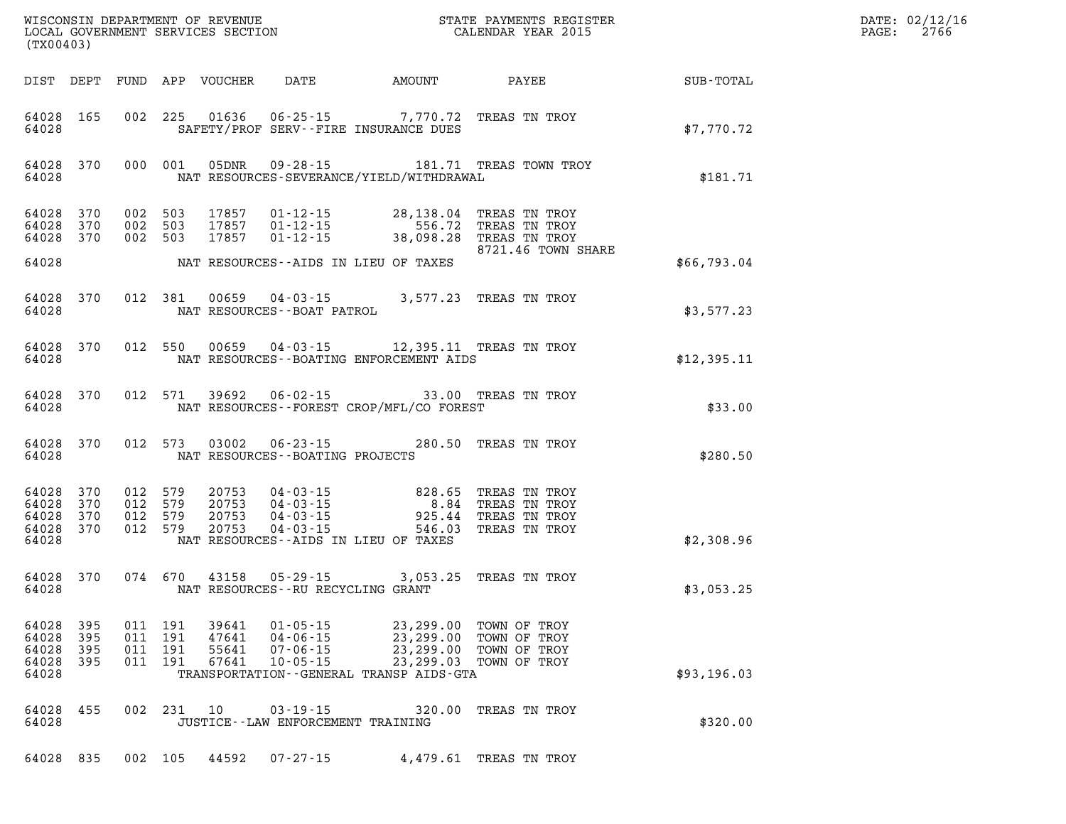| %WISCONSIN DEPARTMENT OF REVENUE $$\tt STATE~PAYMEMTS~REGISTER~LOCALSONSTR~QOVERNMENT~SERVICS~SECTION~CALENDAR~YEAR~2015$<br>(TX00403) |                                                           |                   |                                          |            |                                  |                                                                                                                                     |                                                   |                                                                              |             | DATE: 02/12/16<br>PAGE:<br>2766 |
|----------------------------------------------------------------------------------------------------------------------------------------|-----------------------------------------------------------|-------------------|------------------------------------------|------------|----------------------------------|-------------------------------------------------------------------------------------------------------------------------------------|---------------------------------------------------|------------------------------------------------------------------------------|-------------|---------------------------------|
|                                                                                                                                        |                                                           |                   |                                          |            | DIST DEPT FUND APP VOUCHER       |                                                                                                                                     |                                                   | DATE AMOUNT PAYEE                                                            | SUB-TOTAL   |                                 |
|                                                                                                                                        | 64028 165<br>64028                                        |                   |                                          |            |                                  | 002 225 01636 06-25-15 7,770.72 TREAS TN TROY<br>SAFETY/PROF SERV--FIRE INSURANCE DUES                                              |                                                   |                                                                              | \$7,770.72  |                                 |
|                                                                                                                                        | 64028 370<br>64028                                        |                   |                                          | 000 001    | 05DNR                            | NAT RESOURCES-SEVERANCE/YIELD/WITHDRAWAL                                                                                            |                                                   | 09-28-15 181.71 TREAS TOWN TROY                                              | \$181.71    |                                 |
|                                                                                                                                        | 64028 370<br>64028 370<br>64028 370                       |                   | 002 503<br>002 503<br>002 503            |            |                                  | 17857  01-12-15  28,138.04  TREAS  TN TROY<br>17857  01-12-15  556.72  TREAS  TN TROY<br>17857  01-12-15  38,098.28  TREAS  TN TROY |                                                   | 8721.46 TOWN SHARE                                                           |             |                                 |
|                                                                                                                                        | 64028                                                     |                   |                                          |            |                                  | NAT RESOURCES--AIDS IN LIEU OF TAXES                                                                                                |                                                   |                                                                              | \$66,793.04 |                                 |
|                                                                                                                                        | 64028 370<br>64028                                        |                   |                                          | 012 381    | 00659                            | $04 - 03 - 15$ 3,577.23 TREAS TN TROY<br>NAT RESOURCES - - BOAT PATROL                                                              |                                                   |                                                                              | \$3,577.23  |                                 |
|                                                                                                                                        | 64028 370<br>64028                                        |                   |                                          |            | 012 550 00659                    | 04-03-15 12,395.11 TREAS TN TROY<br>NAT RESOURCES--BOATING ENFORCEMENT AIDS                                                         |                                                   |                                                                              | \$12,395.11 |                                 |
|                                                                                                                                        | 64028 370<br>64028                                        |                   |                                          | 012 571    | 39692                            | $06 - 02 - 15$<br>NAT RESOURCES - - FOREST CROP/MFL/CO FOREST                                                                       |                                                   | 33.00 TREAS TN TROY                                                          | \$33.00     |                                 |
|                                                                                                                                        | 64028 370<br>64028                                        |                   |                                          | 012 573    | 03002                            | $06 - 23 - 15$<br>NAT RESOURCES - - BOATING PROJECTS                                                                                |                                                   | 280.50 TREAS TN TROY                                                         | \$280.50    |                                 |
|                                                                                                                                        | 64028 370<br>64028 370<br>64028 370<br>64028 370<br>64028 |                   | 012 579<br>012 579<br>012 579<br>012 579 |            | 20753<br>20753<br>20753<br>20753 | 04 - 03 - 15<br>04 - 03 - 15<br>04 - 03 - 15<br>04 - 03 - 15<br>NAT RESOURCES--AIDS IN LIEU OF TAXES                                | 925.44<br>546.03                                  | 828.65 TREAS TN TROY<br>8.84 TREAS TN TROY<br>TREAS TN TROY<br>TREAS TN TROY | \$2,308.96  |                                 |
|                                                                                                                                        | 64028                                                     | 64028 370         |                                          |            |                                  | 074 670 43158 05-29-15 3,053.25 TREAS TN TROY<br>NAT RESOURCES--RU RECYCLING GRANT                                                  |                                                   |                                                                              | \$3,053.25  |                                 |
|                                                                                                                                        | 64028<br>64028<br>64028<br>64028 395<br>64028             | 395<br>395<br>395 | 011 191<br>011<br>011<br>011 191         | 191<br>191 | 39641<br>47641<br>55641<br>67641 | $01 - 05 - 15$<br>$04 - 06 - 15$<br>$07 - 06 - 15$<br>$10 - 05 - 15$<br>TRANSPORTATION--GENERAL TRANSP AIDS-GTA                     | 23,299.00<br>23,299.00<br>23,299.00<br>23, 299.03 | TOWN OF TROY<br>TOWN OF TROY<br>TOWN OF TROY<br>TOWN OF TROY                 | \$93,196.03 |                                 |
|                                                                                                                                        | 64028 455<br>64028                                        |                   |                                          | 002 231    | 10                               | $03 - 19 - 15$<br>JUSTICE--LAW ENFORCEMENT TRAINING                                                                                 | 320.00                                            | TREAS TN TROY                                                                | \$320.00    |                                 |
|                                                                                                                                        | 64028 835                                                 |                   |                                          | 002 105    | 44592                            | 07-27-15                                                                                                                            |                                                   | 4,479.61 TREAS TN TROY                                                       |             |                                 |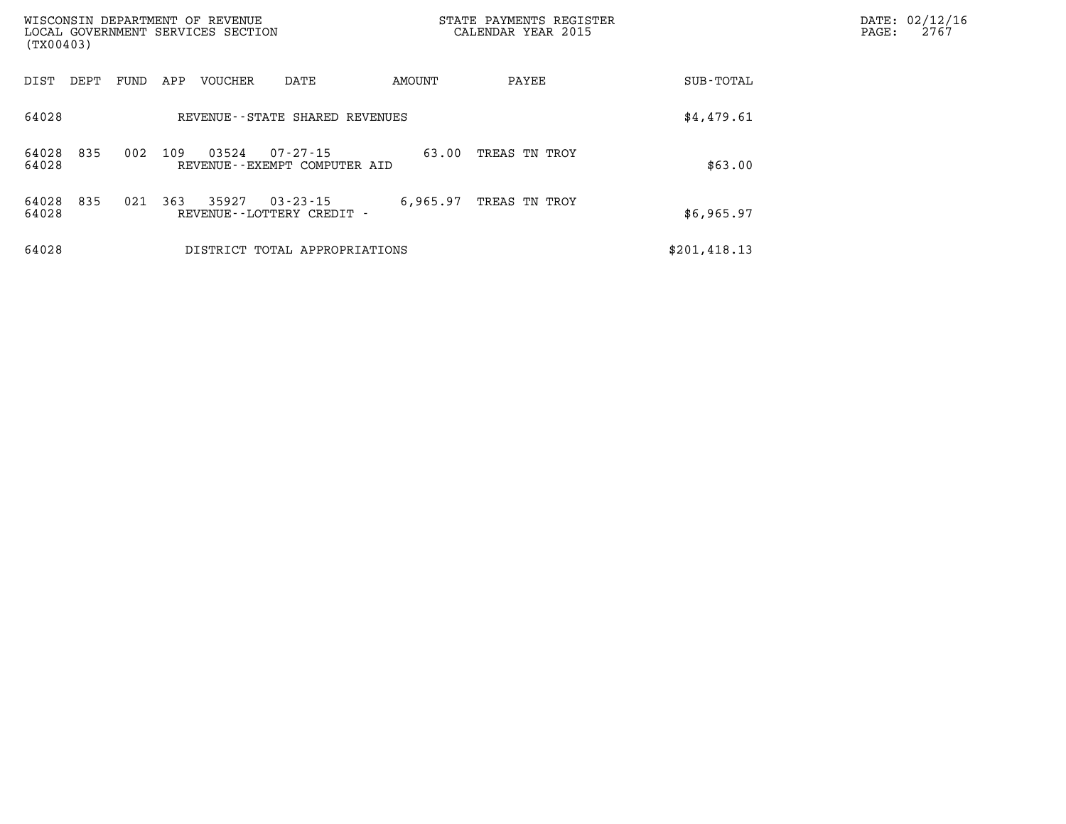| WISCONSIN DEPARTMENT OF REVENUE<br>LOCAL GOVERNMENT SERVICES SECTION<br>(TX00403)              | STATE PAYMENTS REGISTER<br>CALENDAR YEAR 2015 | DATE: 02/12/16<br>2767<br>PAGE: |
|------------------------------------------------------------------------------------------------|-----------------------------------------------|---------------------------------|
| AMOUNT<br>DIST<br>FUND<br>APP<br><b>VOUCHER</b><br>DATE<br>DEPT                                | <b>SUB-TOTAL</b><br>PAYEE                     |                                 |
| 64028<br>REVENUE - - STATE SHARED REVENUES                                                     | \$4,479.61                                    |                                 |
| 835<br>03524<br>64028<br>002<br>109<br>$07 - 27 - 15$<br>64028<br>REVENUE--EXEMPT COMPUTER AID | 63.00<br>TREAS TN TROY<br>\$63.00             |                                 |
| 835<br>363<br>35927<br>64028<br>021<br>$03 - 23 - 15$<br>64028<br>REVENUE--LOTTERY CREDIT -    | 6,965.97<br>TREAS TN TROY<br>\$6,965.97       |                                 |
| 64028<br>DISTRICT TOTAL APPROPRIATIONS                                                         | \$201, 418.13                                 |                                 |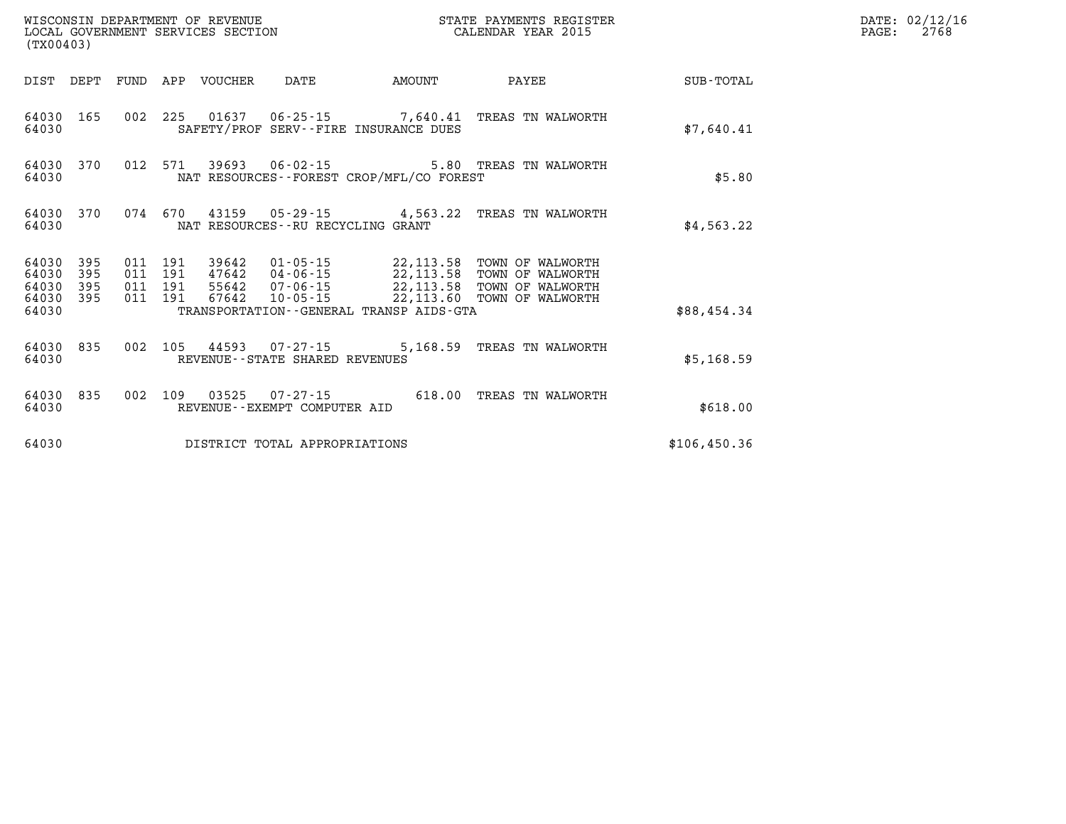| WISCONSIN DEPARTMENT OF REVENUE<br>LOCAL GOVERNMENT SERVICES SECTION<br>(TX00403) |                   |  |  |                                 |                                                          |                                          | STATE PAYMENTS REGISTER<br>CALENDAR YEAR 2015                                                                                                                                                                                                                                                                                                  |               | DATE: 02/12/16<br>2768<br>$\mathtt{PAGE:}$ |
|-----------------------------------------------------------------------------------|-------------------|--|--|---------------------------------|----------------------------------------------------------|------------------------------------------|------------------------------------------------------------------------------------------------------------------------------------------------------------------------------------------------------------------------------------------------------------------------------------------------------------------------------------------------|---------------|--------------------------------------------|
|                                                                                   |                   |  |  | DIST DEPT FUND APP VOUCHER DATE |                                                          | <b>AMOUNT</b>                            | <b>PAYEE</b>                                                                                                                                                                                                                                                                                                                                   | SUB-TOTAL     |                                            |
| 64030 165<br>64030                                                                |                   |  |  |                                 |                                                          | SAFETY/PROF SERV--FIRE INSURANCE DUES    | 002 225 01637 06-25-15 7,640.41 TREAS TN WALWORTH                                                                                                                                                                                                                                                                                              | \$7.640.41    |                                            |
| 64030                                                                             | 64030 370         |  |  |                                 |                                                          | NAT RESOURCES--FOREST CROP/MFL/CO FOREST | 012 571 39693 06-02-15 5.80 TREAS TN WALWORTH                                                                                                                                                                                                                                                                                                  | \$5.80        |                                            |
| 64030                                                                             | 64030 370         |  |  |                                 | NAT RESOURCES - - RU RECYCLING GRANT                     |                                          | 074 670 43159 05-29-15 4,563.22 TREAS TN WALWORTH                                                                                                                                                                                                                                                                                              | \$4,563.22    |                                            |
| 64030<br>64030<br>64030                                                           | 395<br>395<br>395 |  |  |                                 |                                                          |                                          | $\begin{array}{cccc} 011 & 191 & 39642 & 01\cdot 05\cdot 15 & 22,113.58 & \text{TOWN OF WALWORTH} \\ 011 & 191 & 47642 & 04\cdot 06\cdot 15 & 22,113.58 & \text{TOWN OF WALWORTH} \\ 011 & 191 & 55642 & 07\cdot 06\cdot 15 & 22,113.58 & \text{TOWN OF WALWORTH} \\ 011 & 191 & 67642 & 10\cdot 05\cdot 15 & -22,113.60 & \text{TOWN OF WALW$ |               |                                            |
| 64030 395<br>64030                                                                |                   |  |  |                                 |                                                          | TRANSPORTATION--GENERAL TRANSP AIDS-GTA  |                                                                                                                                                                                                                                                                                                                                                | \$88,454.34   |                                            |
| 64030                                                                             | 64030 835         |  |  |                                 | 002 105 44593 07-27-15<br>REVENUE--STATE SHARED REVENUES |                                          | 5,168.59 TREAS TN WALWORTH                                                                                                                                                                                                                                                                                                                     | \$5,168.59    |                                            |
| 64030                                                                             | 64030 835         |  |  |                                 | REVENUE--EXEMPT COMPUTER AID                             |                                          | 002 109 03525 07-27-15 618.00 TREAS TN WALWORTH                                                                                                                                                                                                                                                                                                | \$618.00      |                                            |
| 64030                                                                             |                   |  |  |                                 | DISTRICT TOTAL APPROPRIATIONS                            |                                          |                                                                                                                                                                                                                                                                                                                                                | \$106, 450.36 |                                            |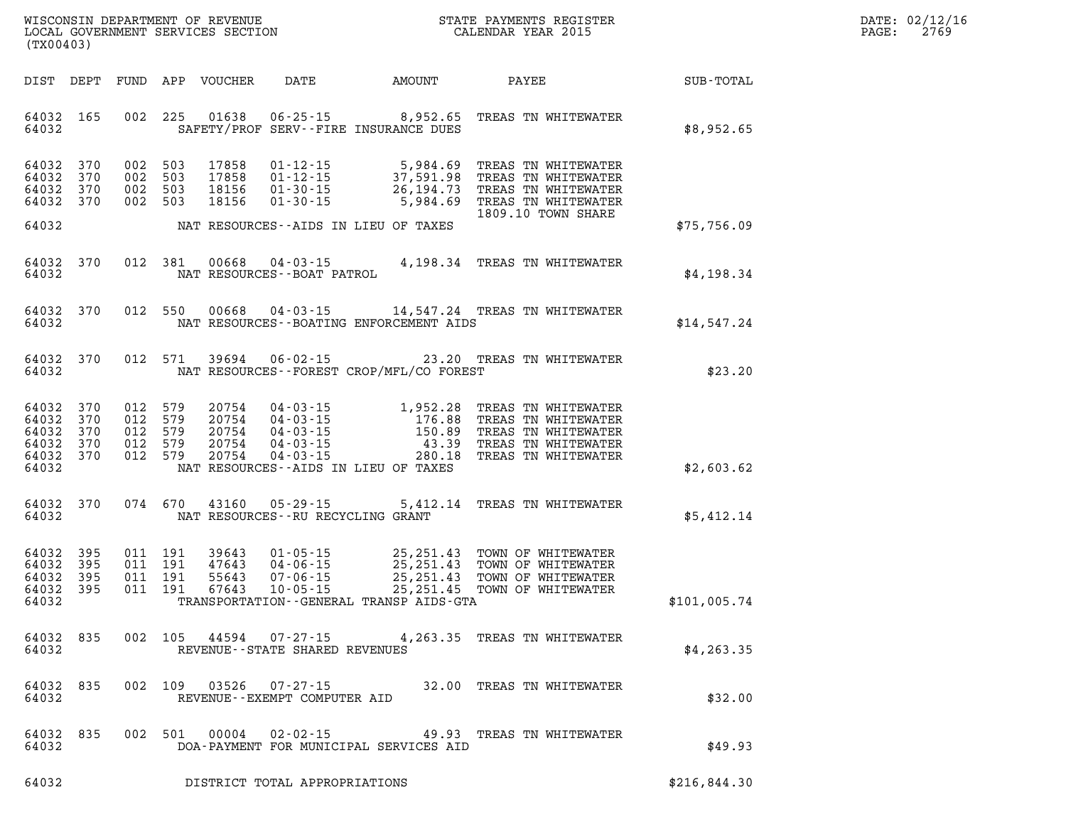| DATE: | 02/12/16 |
|-------|----------|
| PAGE: | 2769     |

| % WISCONSIN DEPARTMENT OF REVENUE $$\tt STATE$ PAYMENTS REGIST LOCAL GOVERNMENT SERVICES SECTION $$\tt CALEINDAR$ YEAR 2015<br>(TX00403) |            |                               |  |                            |                                      |                                             | STATE PAYMENTS REGISTER                                                                                                                                                                                                                  |                 | DATE: 02/12/1<br>2769<br>PAGE: |
|------------------------------------------------------------------------------------------------------------------------------------------|------------|-------------------------------|--|----------------------------|--------------------------------------|---------------------------------------------|------------------------------------------------------------------------------------------------------------------------------------------------------------------------------------------------------------------------------------------|-----------------|--------------------------------|
|                                                                                                                                          |            |                               |  | DIST DEPT FUND APP VOUCHER |                                      | DATE AMOUNT                                 |                                                                                                                                                                                                                                          | PAYEE SUB-TOTAL |                                |
| 64032 165<br>64032                                                                                                                       |            |                               |  |                            |                                      | SAFETY/PROF SERV--FIRE INSURANCE DUES       | 002 225 01638 06-25-15 8,952.65 TREAS TN WHITEWATER                                                                                                                                                                                      | \$8,952.65      |                                |
| 64032 370<br>64032<br>64032 370<br>64032 370                                                                                             | 370        | 002 503<br>002 503<br>002 503 |  | 18156<br>002 503 18156     |                                      |                                             | 17858   01-12-15   5,984.69   TREAS TN WHITEWATER<br>17858   01-12-15   37,591.98   TREAS TN WHITEWATER<br>18156   01-30-15   26,194.73   TREAS TN WHITEWATER<br>18156   01-30-15   5,984.69   TREAS TN WHITEWATER<br>1809.10 TOWN SHARE |                 |                                |
| 64032                                                                                                                                    |            |                               |  |                            |                                      | NAT RESOURCES--AIDS IN LIEU OF TAXES        |                                                                                                                                                                                                                                          | \$75,756.09     |                                |
| 64032 370<br>64032                                                                                                                       |            |                               |  |                            | NAT RESOURCES - - BOAT PATROL        |                                             | 012 381 00668 04-03-15 4,198.34 TREAS TN WHITEWATER                                                                                                                                                                                      | \$4,198.34      |                                |
| 64032 370<br>64032                                                                                                                       |            |                               |  |                            |                                      | NAT RESOURCES--BOATING ENFORCEMENT AIDS     | 012 550 00668 04-03-15 14,547.24 TREAS TN WHITEWATER                                                                                                                                                                                     | \$14,547.24     |                                |
| 64032 370<br>64032                                                                                                                       |            |                               |  |                            |                                      | NAT RESOURCES - - FOREST CROP/MFL/CO FOREST | 012 571 39694 06-02-15 23.20 TREAS TN WHITEWATER                                                                                                                                                                                         | \$23.20         |                                |
| 64032 370<br>64032<br>64032<br>64032 370<br>64032 370<br>64032                                                                           | 370<br>370 |                               |  |                            |                                      | NAT RESOURCES -- AIDS IN LIEU OF TAXES      | 012 579 20754 04-03-15 1,952.28 TREAS TN WHITEWATER<br>012 579 20754 04-03-15 176.88 TREAS TN WHITEWATER<br>012 579 20754 04-03-15 150.89 TREAS TN WHITEWATER<br>012 579 20754 04-03-15 43.39 TREAS TN WHITEWATER<br>012 579 20754 04-   | \$2,603.62      |                                |
| 64032 370<br>64032                                                                                                                       |            |                               |  |                            | NAT RESOURCES - - RU RECYCLING GRANT |                                             | 074 670 43160 05-29-15 5,412.14 TREAS TN WHITEWATER                                                                                                                                                                                      | \$5,412.14      |                                |
| 64032 395<br>64032<br>64032<br>64032 395<br>64032                                                                                        | 395<br>395 |                               |  |                            |                                      | TRANSPORTATION--GENERAL TRANSP AIDS-GTA     | 011 191 39643 01-05-15 25,251.43 TOWN OF WHITEWATER<br>011 191 47643 04-06-15 25,251.43 TOWN OF WHITEWATER<br>011 191 55643 07-06-15 25,251.43 TOWN OF WHITEWATER<br>011 191 67643 10-05-15 25,251.45 TOWN OF WHITEWATER                 | \$101,005.74    |                                |
| 64032                                                                                                                                    |            |                               |  |                            | REVENUE--STATE SHARED REVENUES       |                                             | 64032 835 002 105 44594 07-27-15 4,263.35 TREAS TN WHITEWATER                                                                                                                                                                            | \$4, 263.35     |                                |
| 64032 835<br>64032                                                                                                                       |            |                               |  |                            | REVENUE--EXEMPT COMPUTER AID         |                                             | 002 109 03526 07-27-15 32.00 TREAS TN WHITEWATER                                                                                                                                                                                         | \$32.00         |                                |
| 64032 835<br>64032                                                                                                                       |            |                               |  |                            |                                      | DOA-PAYMENT FOR MUNICIPAL SERVICES AID      | 002 501 00004 02-02-15 49.93 TREAS TN WHITEWATER                                                                                                                                                                                         | \$49.93         |                                |

**64032 DISTRICT TOTAL APPROPRIATIONS \$216,844.30**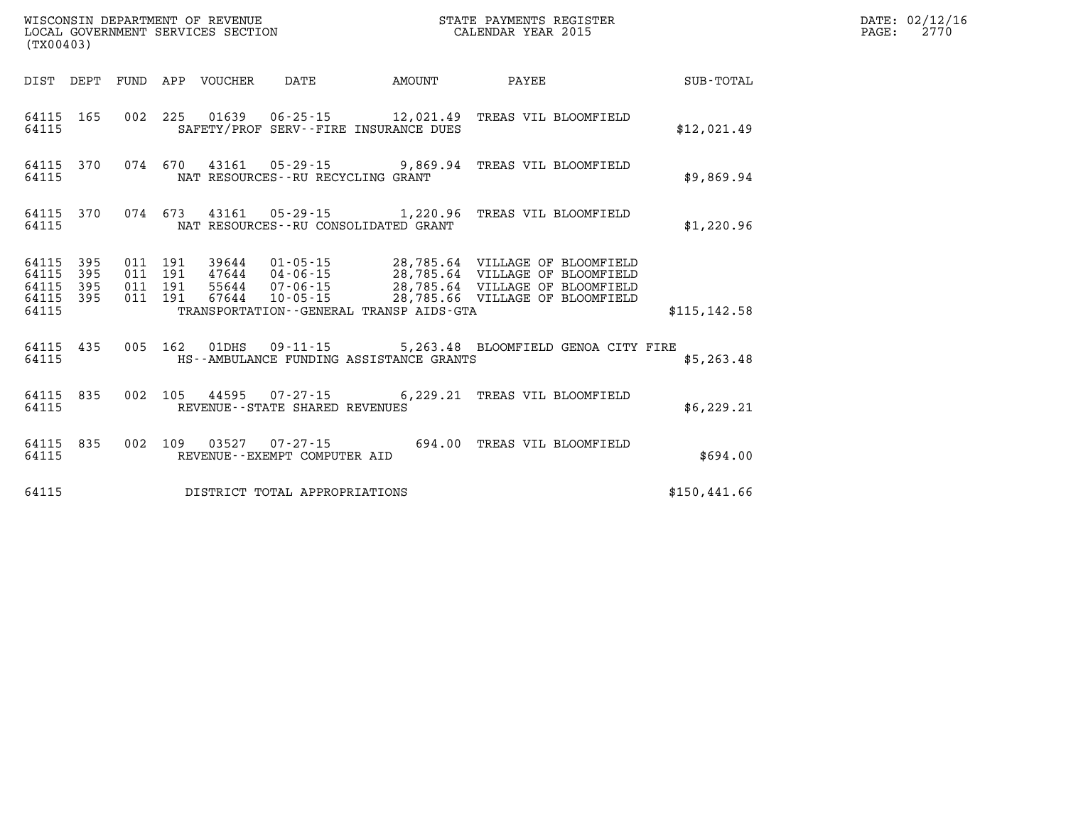|                                           | LOCAL GOVERNMENT SERVICES SECTION<br>CALENDAR YEAR 2015<br>(TX00403) |                          |                          |                         |                                                                                                    |        |                                                                                                                                          |               |  |
|-------------------------------------------|----------------------------------------------------------------------|--------------------------|--------------------------|-------------------------|----------------------------------------------------------------------------------------------------|--------|------------------------------------------------------------------------------------------------------------------------------------------|---------------|--|
| DIST                                      | DEPT                                                                 | FUND                     | APP                      | VOUCHER                 | DATE                                                                                               | AMOUNT | PAYEE                                                                                                                                    | SUB-TOTAL     |  |
| 64115<br>64115                            | 165                                                                  | 002                      | 225                      |                         | SAFETY/PROF SERV--FIRE INSURANCE DUES                                                              |        | TREAS VIL BLOOMFIELD                                                                                                                     | \$12,021.49   |  |
| 64115<br>64115                            | 370                                                                  |                          | 074 670                  |                         | 43161  05-29-15  9,869.94<br>NAT RESOURCES - - RU RECYCLING GRANT                                  |        | TREAS VIL BLOOMFIELD                                                                                                                     | \$9,869.94    |  |
| 64115<br>64115                            | 370                                                                  | 074                      | 673                      | 43161                   | 05-29-15 1,220.96<br>NAT RESOURCES--RU CONSOLIDATED GRANT                                          |        | TREAS VIL BLOOMFIELD                                                                                                                     | \$1,220.96    |  |
| 64115<br>64115<br>64115<br>64115<br>64115 | 395<br>395<br>395<br>395                                             | 011<br>011<br>011<br>011 | 191<br>191<br>191<br>191 | 47644<br>55644<br>67644 | 39644 01-05-15<br>04-06-15<br>07-06-15<br>10-05-15<br>TRANSPORTATION - - GENERAL TRANSP AIDS - GTA |        | 28,785.64 VILLAGE OF BLOOMFIELD<br>28,785.64 VILLAGE OF BLOOMFIELD<br>28,785.64 VILLAGE OF BLOOMFIELD<br>28,785.66 VILLAGE OF BLOOMFIELD | \$115, 142.58 |  |
| 64115<br>64115                            | 435                                                                  | 005                      | 162                      | 01DHS                   | $09 - 11 - 15$<br>HS--AMBULANCE FUNDING ASSISTANCE GRANTS                                          |        | 5,263.48 BLOOMFIELD GENOA CITY FIRE                                                                                                      | \$5,263.48    |  |
| 64115<br>64115                            | 835                                                                  | 002                      | 105                      |                         | 44595 07-27-15 6,229.21<br>REVENUE - - STATE SHARED REVENUES                                       |        | TREAS VIL BLOOMFIELD                                                                                                                     | \$6, 229.21   |  |
| 64115<br>64115                            | 835                                                                  | 002                      | 109                      |                         | $03527$ $07 - 27 - 15$<br>REVENUE - - EXEMPT COMPUTER AID                                          | 694.00 | TREAS VIL BLOOMFIELD                                                                                                                     | \$694.00      |  |
| 64115                                     |                                                                      |                          |                          |                         | DISTRICT TOTAL APPROPRIATIONS                                                                      |        |                                                                                                                                          | \$150,441.66  |  |

WISCONSIN DEPARTMENT OF REVENUE **STATE PAYMENTS REGISTER** 

**DATE: 02/12/16<br>PAGE: 2770**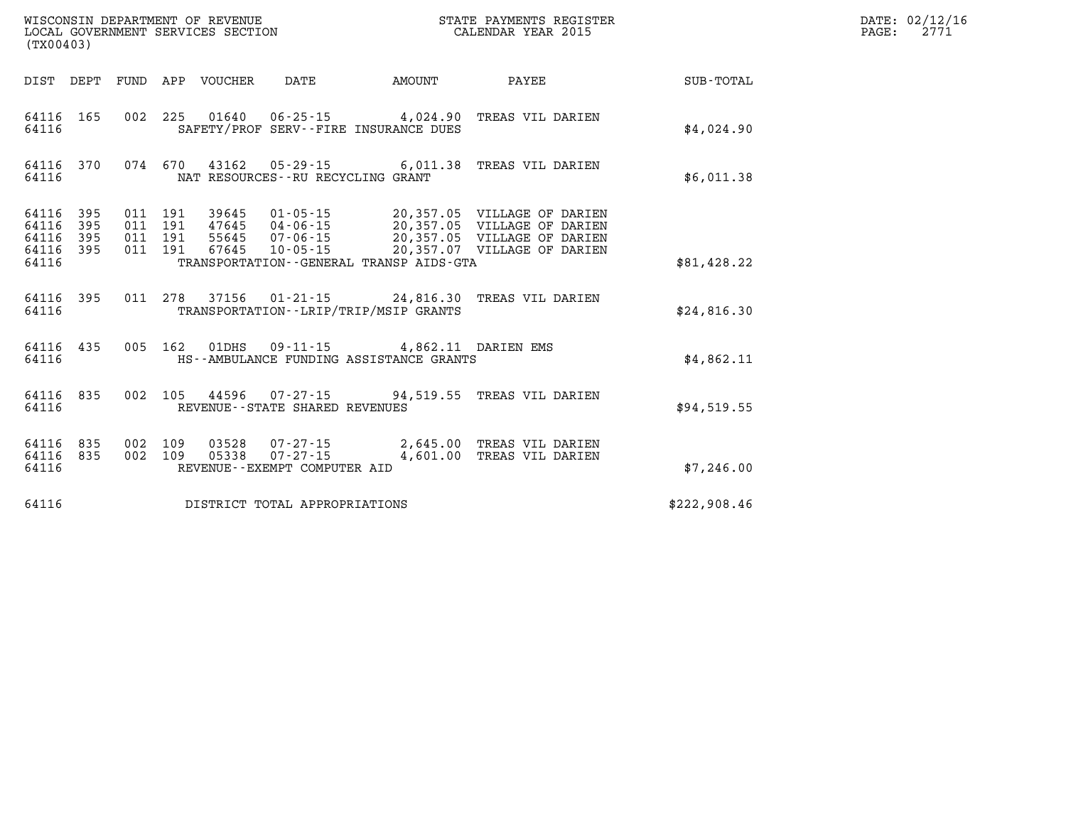| (TX00403)                                 |                          |                          |                          | WISCONSIN DEPARTMENT OF REVENUE<br>LOCAL GOVERNMENT SERVICES SECTION |                                                            |                                                                                 | STATE PAYMENTS REGISTER<br>CALENDAR YEAR 2015                                                                            |              |  |  |
|-------------------------------------------|--------------------------|--------------------------|--------------------------|----------------------------------------------------------------------|------------------------------------------------------------|---------------------------------------------------------------------------------|--------------------------------------------------------------------------------------------------------------------------|--------------|--|--|
| DIST                                      | DEPT                     | FUND                     | APP                      | VOUCHER                                                              | <b>DATE</b>                                                | AMOUNT                                                                          | PAYEE                                                                                                                    | SUB-TOTAL    |  |  |
| 64116<br>64116                            | 165                      | 002                      | 225                      | 01640                                                                | SAFETY/PROF SERV--FIRE INSURANCE DUES                      | $06 - 25 - 15$ 4,024.90                                                         | TREAS VIL DARIEN                                                                                                         | \$4,024.90   |  |  |
| 64116<br>64116                            | 370                      | 074                      | 670                      |                                                                      | NAT RESOURCES -- RU RECYCLING GRANT                        |                                                                                 | 43162  05-29-15  6,011.38  TREAS VIL DARIEN                                                                              | \$6,011.38   |  |  |
| 64116<br>64116<br>64116<br>64116<br>64116 | 395<br>395<br>395<br>395 | 011<br>011<br>011<br>011 | 191<br>191<br>191<br>191 | 39645<br>47645  04-06-15<br>55645  07-06-15<br>55645<br>67645        | $01 - 05 - 15$<br>$10 - 05 - 15$                           | TRANSPORTATION--GENERAL TRANSP AIDS-GTA                                         | 20,357.05 VILLAGE OF DARIEN<br>20,357.05 VILLAGE OF DARIEN<br>20,357.05 VILLAGE OF DARIEN<br>20,357.07 VILLAGE OF DARIEN | \$81,428.22  |  |  |
| 64116<br>64116                            | 395                      | 011                      | 278                      | 37156                                                                | TRANSPORTATION - - LRIP/TRIP/MSIP GRANTS                   | $01 - 21 - 15$ 24,816.30                                                        | TREAS VIL DARIEN                                                                                                         | \$24,816.30  |  |  |
| 64116 435<br>64116                        |                          | 005                      | 162                      |                                                                      |                                                            | 01DHS  09-11-15  4,862.11 DARIEN EMS<br>HS--AMBULANCE FUNDING ASSISTANCE GRANTS |                                                                                                                          | \$4,862.11   |  |  |
| 64116<br>64116                            | 835                      | 002                      | 105                      |                                                                      | REVENUE - - STATE SHARED REVENUES                          |                                                                                 | 44596 07-27-15 94,519.55 TREAS VIL DARIEN                                                                                | \$94,519.55  |  |  |
| 64116<br>64116<br>64116                   | 835<br>835               | 002<br>002               | 109<br>109               | 03528<br>05338                                                       | $07 - 27 - 15$<br>07-27-15<br>REVENUE--EXEMPT COMPUTER AID | 2,645.00<br>4,601.00                                                            | TREAS VIL DARIEN<br>TREAS VIL DARIEN                                                                                     | \$7,246.00   |  |  |
| 64116                                     |                          |                          |                          |                                                                      | DISTRICT TOTAL APPROPRIATIONS                              |                                                                                 |                                                                                                                          | \$222,908.46 |  |  |

**DATE: 02/12/16<br>PAGE: 2771**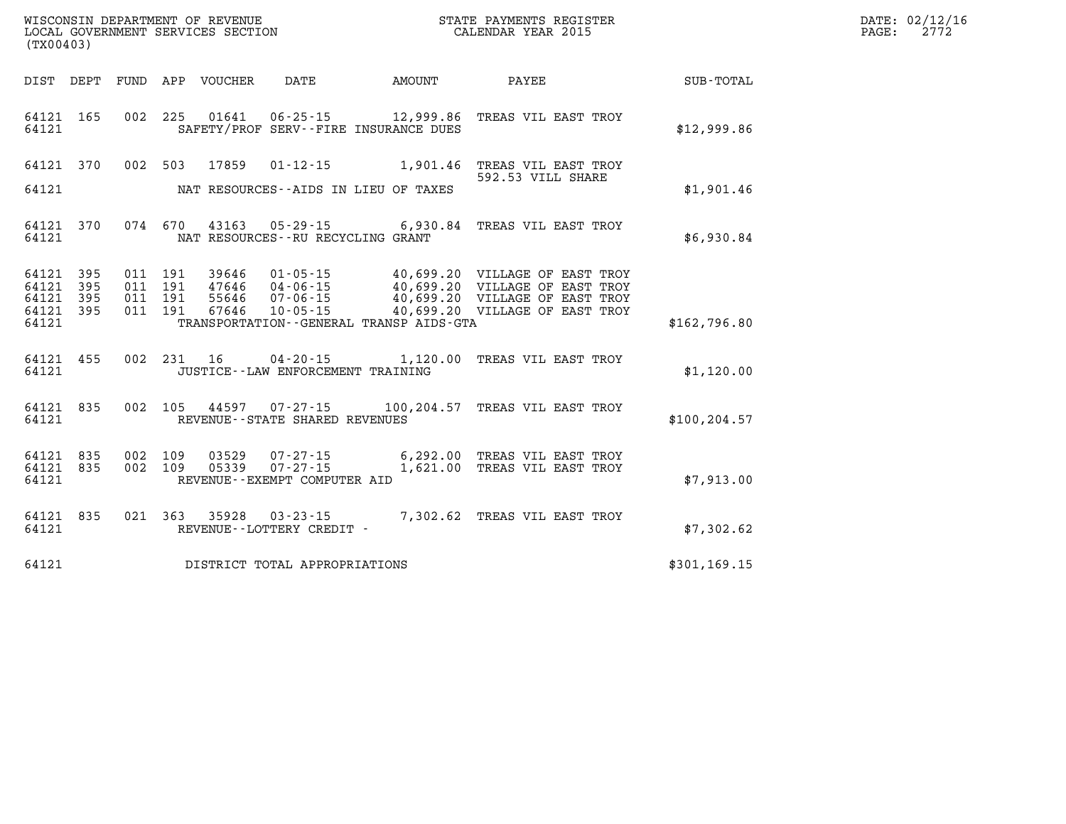| WISCONSIN DEPARTMENT OF REVENUE      | PAYMENTS REGISTER<br>3TATE | DATE: | 02/12/16 |
|--------------------------------------|----------------------------|-------|----------|
| LOCAL<br>GOVERNMENT SERVICES SECTION | CALENDAR YEAR 2015         | PAGE  | מים מ    |

| (TX00403)                                                 |                        |  |                                      |                                         | LOCAL GOVERNMENT SERVICES SECTION CALENDAR YEAR 2015                                                                                                                                                                                                                                                                                       | PAGE:         | 2772 |  |
|-----------------------------------------------------------|------------------------|--|--------------------------------------|-----------------------------------------|--------------------------------------------------------------------------------------------------------------------------------------------------------------------------------------------------------------------------------------------------------------------------------------------------------------------------------------------|---------------|------|--|
|                                                           |                        |  |                                      |                                         | DIST DEPT FUND APP VOUCHER DATE AMOUNT PAYEE SUB-TOTAL                                                                                                                                                                                                                                                                                     |               |      |  |
| 64121                                                     | 64121 165              |  |                                      | SAFETY/PROF SERV--FIRE INSURANCE DUES   | 002 225 01641 06-25-15 12,999.86 TREAS VIL EAST TROY                                                                                                                                                                                                                                                                                       | \$12,999.86   |      |  |
| 64121                                                     |                        |  |                                      | NAT RESOURCES--AIDS IN LIEU OF TAXES    | 64121 370 002 503 17859 01-12-15 1,901.46 TREAS VIL EAST TROY<br>592.53 VILL SHARE                                                                                                                                                                                                                                                         | \$1,901.46    |      |  |
| 64121                                                     | 64121 370              |  | NAT RESOURCES--RU RECYCLING GRANT    |                                         | 074 670 43163 05-29-15 6,930.84 TREAS VIL EAST TROY                                                                                                                                                                                                                                                                                        | \$6,930.84    |      |  |
| 64121 395<br>64121 395<br>64121 395<br>64121 395<br>64121 |                        |  |                                      | TRANSPORTATION--GENERAL TRANSP AIDS-GTA | $\begin{array}{cccc} 011 & 191 & 39646 & 01\cdot 05\cdot 15 & 40\, ,699\, .20 & \text{VILLAGE OF EAST TROY} \\ 011 & 191 & 47646 & 04\cdot 06\cdot 15 & 40\, ,699\, .20 & \text{VILLAGE OF EAST TROY} \\ 011 & 191 & 55646 & 07\cdot 06\cdot 15 & 40\, ,699\, .20 & \text{VILLAGE OF EAST TROY} \\ 011 & 191 & 67646 & 10\cdot 05\cdot 15$ | \$162,796.80  |      |  |
| 64121                                                     | 64121 455              |  | JUSTICE - - LAW ENFORCEMENT TRAINING |                                         | 002 231 16 04-20-15 1,120.00 TREAS VIL EAST TROY                                                                                                                                                                                                                                                                                           | \$1,120.00    |      |  |
| 64121                                                     | 64121 835              |  | REVENUE--STATE SHARED REVENUES       |                                         | 002 105 44597 07-27-15 100,204.57 TREAS VIL EAST TROY                                                                                                                                                                                                                                                                                      | \$100, 204.57 |      |  |
| 64121                                                     | 64121 835<br>64121 835 |  | REVENUE--EXEMPT COMPUTER AID         |                                         | 002 109 03529 07-27-15 6,292.00 TREAS VIL EAST TROY<br>002 109 05339 07-27-15 1,621.00 TREAS VIL EAST TROY                                                                                                                                                                                                                                 | \$7.913.00    |      |  |
| 64121                                                     | 64121 835              |  | REVENUE--LOTTERY CREDIT -            |                                         | 021 363 35928 03-23-15 7,302.62 TREAS VIL EAST TROY                                                                                                                                                                                                                                                                                        | \$7,302.62    |      |  |
| 64121                                                     |                        |  | DISTRICT TOTAL APPROPRIATIONS        |                                         |                                                                                                                                                                                                                                                                                                                                            | \$301, 169.15 |      |  |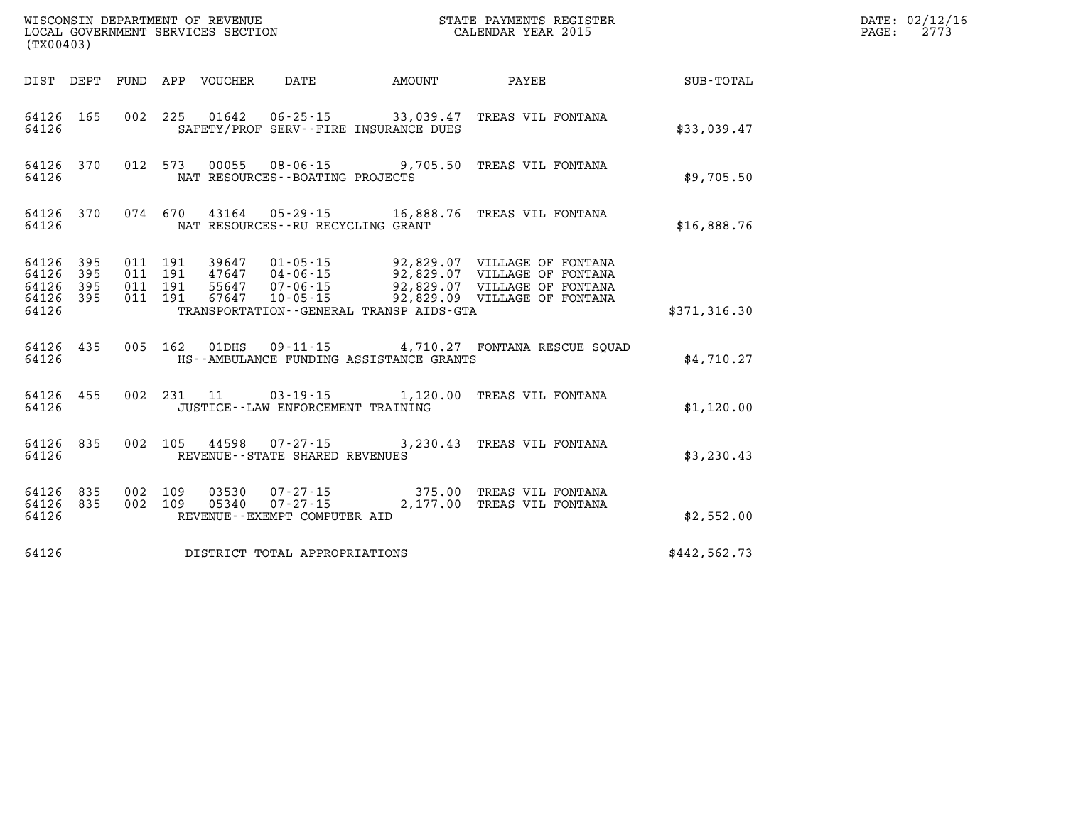| (TX00403)      |                                            |                               |                                                 |                                         |                                                                                                                                                                                                                                  |              | DATE: 02/12/16<br>$\mathtt{PAGE:}$<br>2773 |
|----------------|--------------------------------------------|-------------------------------|-------------------------------------------------|-----------------------------------------|----------------------------------------------------------------------------------------------------------------------------------------------------------------------------------------------------------------------------------|--------------|--------------------------------------------|
|                |                                            |                               | DIST DEPT FUND APP VOUCHER DATE AMOUNT          |                                         | PAYEE SUB-TOTAL                                                                                                                                                                                                                  |              |                                            |
| 64126          | 64126 165                                  |                               |                                                 | SAFETY/PROF SERV--FIRE INSURANCE DUES   | 002 225 01642 06-25-15 33,039.47 TREAS VIL FONTANA                                                                                                                                                                               | \$33,039.47  |                                            |
| 64126          |                                            |                               | NAT RESOURCES - - BOATING PROJECTS              |                                         | 64126 370 012 573 00055 08-06-15 9,705.50 TREAS VIL FONTANA                                                                                                                                                                      | \$9,705.50   |                                            |
| 64126          |                                            |                               | NAT RESOURCES--RU RECYCLING GRANT               |                                         | 64126 370 074 670 43164 05-29-15 16,888.76 TREAS VIL FONTANA                                                                                                                                                                     | \$16,888.76  |                                            |
| 64126<br>64126 | 64126 395<br>64126 395<br>395<br>64126 395 | 011 191<br>011 191<br>011 191 |                                                 | TRANSPORTATION--GENERAL TRANSP AIDS-GTA | 39647  01-05-15  92,829.07  VILLAGE OF FONTANA<br>47647  04-06-15  92,829.07  VILLAGE OF FONTANA<br>$\overline{55647}$ $\overline{07-06-15}$ 92,829.07 VILLAGE OF FONTANA<br>011 191 67647 10-05-15 92,829.09 VILLAGE OF FONTANA | \$371,316.30 |                                            |
| 64126          |                                            |                               |                                                 | HS--AMBULANCE FUNDING ASSISTANCE GRANTS | 64126 435 005 162 01DHS 09-11-15 4,710.27 FONTANA RESCUE SQUAD                                                                                                                                                                   | \$4.710.27   |                                            |
| 64126          | 64126 455                                  |                               | JUSTICE - - LAW ENFORCEMENT TRAINING            |                                         | 002 231 11 03-19-15 1,120.00 TREAS VIL FONTANA                                                                                                                                                                                   | \$1,120.00   |                                            |
| 64126          |                                            |                               | REVENUE - - STATE SHARED REVENUES               |                                         | 64126 835 002 105 44598 07-27-15 3,230.43 TREAS VIL FONTANA                                                                                                                                                                      | \$3,230.43   |                                            |
| 64126          | 64126 835<br>64126 835                     | 002 109                       | 05340  07-27-15<br>REVENUE--EXEMPT COMPUTER AID |                                         | 002 109 03530 07-27-15 375.00 TREAS VIL FONTANA<br>2,177.00 TREAS VIL FONTANA                                                                                                                                                    | \$2,552.00   |                                            |
| 64126          |                                            |                               | DISTRICT TOTAL APPROPRIATIONS                   |                                         |                                                                                                                                                                                                                                  | \$442,562.73 |                                            |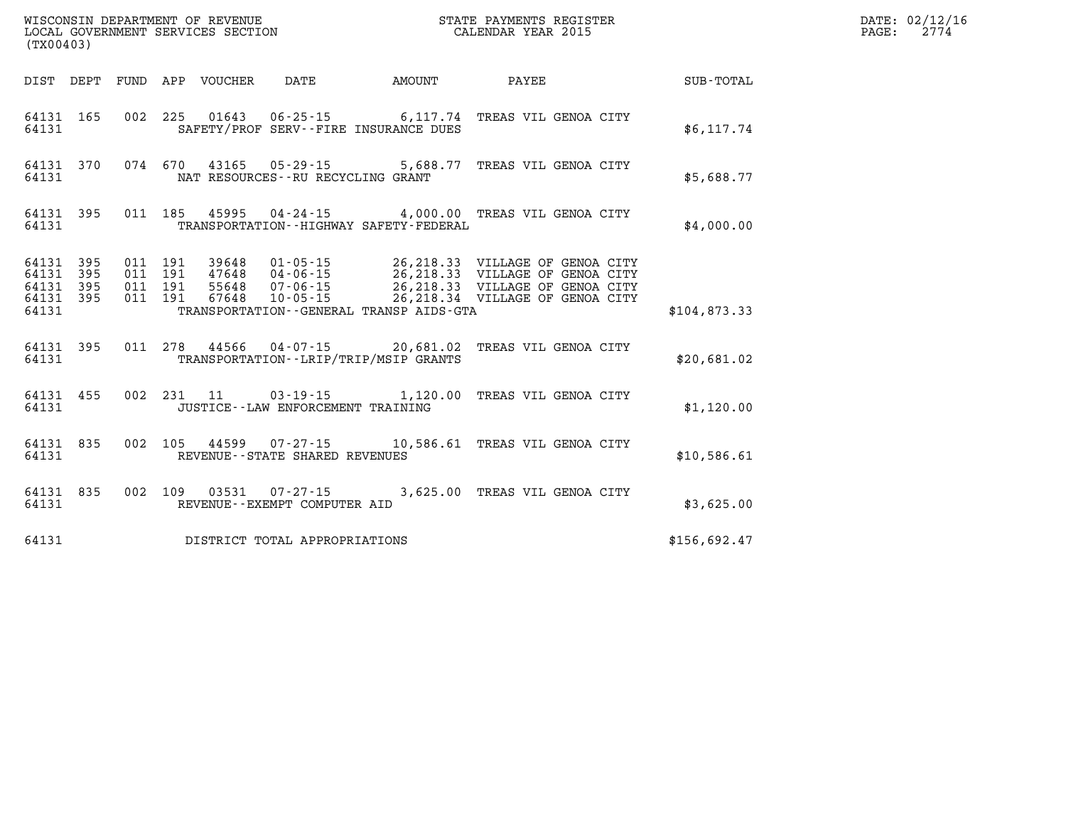| (TX00403) |       |  |                                         |                                                  | WISCONSIN DEPARTMENT OF REVENUE<br>LOCAL GOVERNMENT SERVICES SECTION<br>CALENDAR YEAR 2015                                                                                                                                              |              | DATE: 02/12/16<br>PAGE: 2774 |
|-----------|-------|--|-----------------------------------------|--------------------------------------------------|-----------------------------------------------------------------------------------------------------------------------------------------------------------------------------------------------------------------------------------------|--------------|------------------------------|
|           |       |  |                                         |                                                  | DIST DEPT FUND APP VOUCHER DATE AMOUNT PAYEE PAYER SUB-TOTAL                                                                                                                                                                            |              |                              |
|           | 64131 |  |                                         | SAFETY/PROF SERV--FIRE INSURANCE DUES            | 64131 165 002 225 01643 06-25-15 6,117.74 TREAS VIL GENOA CITY                                                                                                                                                                          | \$6, 117.74  |                              |
|           |       |  | 64131 NAT RESOURCES--RU RECYCLING GRANT |                                                  | 64131 370 074 670 43165 05-29-15 5,688.77 TREAS VIL GENOA CITY                                                                                                                                                                          | \$5,688.77   |                              |
|           |       |  |                                         | 64131 TRANSPORTATION - HIGHWAY SAFETY - FEDERAL  | 64131 395 011 185 45995 04-24-15 4,000.00 TREAS VIL GENOA CITY                                                                                                                                                                          | \$4,000.00   |                              |
|           |       |  |                                         | 64131 TRANSPORTATION - GENERAL TRANSP AIDS - GTA | 64131 395 011 191 39648 01-05-15 26,218.33 VILLAGE OF GENOA CITY<br>64131 395 011 191 47648 04-06-15 26,218.33 VILLAGE OF GENOA CITY<br>64131 395 011 191 55648 07-06-15 26,218.33 VILLAGE OF GENOA CITY<br>64131 395 011 191 67648 10- | \$104,873.33 |                              |
|           |       |  |                                         |                                                  |                                                                                                                                                                                                                                         |              |                              |
|           |       |  |                                         | 64131 TRANSPORTATION - - LRIP/TRIP/MSIP GRANTS   | 64131 395 011 278 44566 04-07-15 20,681.02 TREAS VIL GENOA CITY                                                                                                                                                                         | \$20,681.02  |                              |
|           |       |  |                                         |                                                  | 64131 455 002 231 11 03-19-15 1,120.00 TREAS VIL GENOA CITY                                                                                                                                                                             | \$1,120.00   |                              |
|           |       |  | 64131 REVENUE - STATE SHARED REVENUES   |                                                  | 64131 835 002 105 44599 07-27-15 10,586.61 TREAS VIL GENOA CITY                                                                                                                                                                         | \$10,586.61  |                              |
|           |       |  | 64131 REVENUE - EXEMPT COMPUTER AID     |                                                  | 64131 835 002 109 03531 07-27-15 3,625.00 TREAS VIL GENOA CITY                                                                                                                                                                          | \$3,625.00   |                              |
|           |       |  | 64131 DISTRICT TOTAL APPROPRIATIONS     |                                                  |                                                                                                                                                                                                                                         | \$156,692.47 |                              |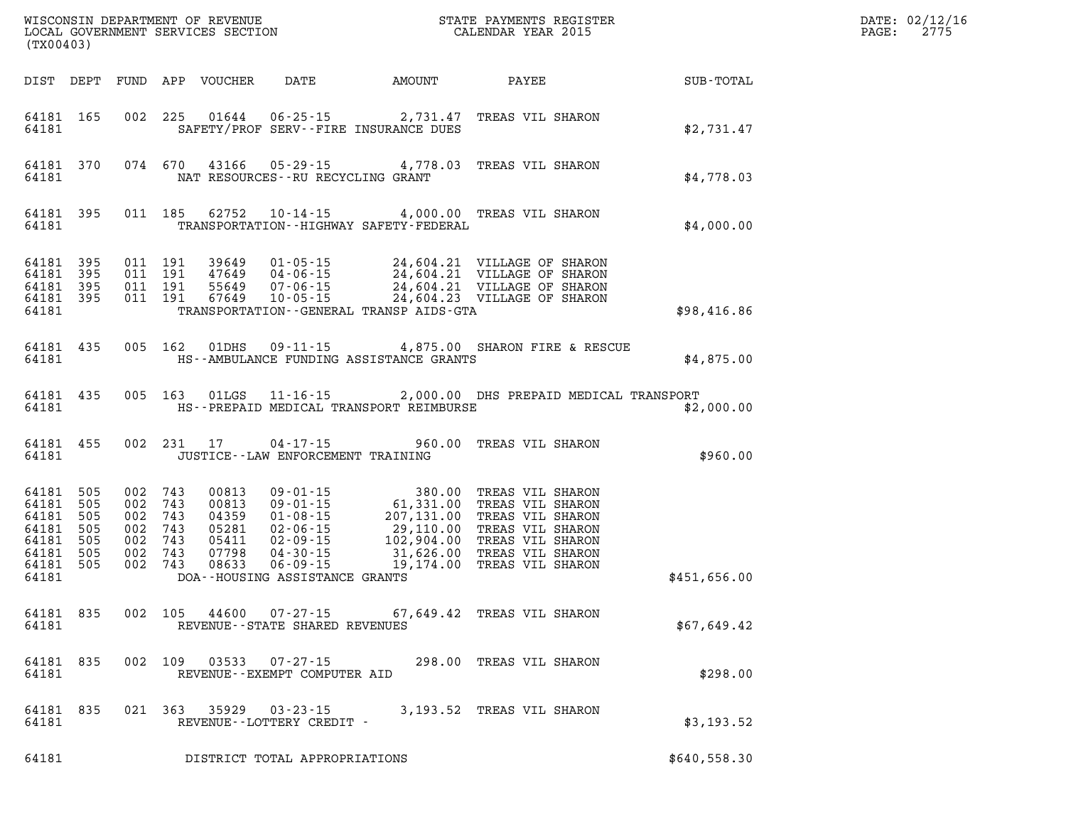| (TX00403)                                                                                |            |                                                     |         |               |                                             |                                             | WISCONSIN DEPARTMENT OF REVENUE<br>LOCAL GOVERNMENT SERVICES SECTION CALENDAR YEAR 2015                                                                                                                                                       |              | DATE: 02/12/16<br>$\mathtt{PAGE:}$<br>2775 |
|------------------------------------------------------------------------------------------|------------|-----------------------------------------------------|---------|---------------|---------------------------------------------|---------------------------------------------|-----------------------------------------------------------------------------------------------------------------------------------------------------------------------------------------------------------------------------------------------|--------------|--------------------------------------------|
| DIST DEPT                                                                                |            |                                                     |         |               |                                             |                                             |                                                                                                                                                                                                                                               |              |                                            |
| 64181 165<br>64181                                                                       |            |                                                     |         |               |                                             | SAFETY/PROF SERV--FIRE INSURANCE DUES       | 002 225 01644 06-25-15 2,731.47 TREAS VIL SHARON                                                                                                                                                                                              | \$2,731.47   |                                            |
| 64181 370<br>64181                                                                       |            |                                                     |         |               | NAT RESOURCES--RU RECYCLING GRANT           |                                             | 074 670 43166 05-29-15 4,778.03 TREAS VIL SHARON                                                                                                                                                                                              | \$4,778.03   |                                            |
| 64181 395<br>64181                                                                       |            |                                                     |         |               |                                             | TRANSPORTATION - - HIGHWAY SAFETY - FEDERAL | 011 185 62752 10-14-15 4,000.00 TREAS VIL SHARON                                                                                                                                                                                              | \$4,000.00   |                                            |
| 64181 395<br>64181 395<br>64181 395<br>64181 395<br>64181                                |            |                                                     |         |               |                                             | TRANSPORTATION - GENERAL TRANSP AIDS - GTA  |                                                                                                                                                                                                                                               | \$98,416.86  |                                            |
| 64181 435<br>64181                                                                       |            |                                                     |         | 005 162 01DHS |                                             | HS--AMBULANCE FUNDING ASSISTANCE GRANTS     | 09-11-15 4,875.00 SHARON FIRE & RESCUE                                                                                                                                                                                                        | \$4,875.00   |                                            |
| 64181 435<br>64181                                                                       |            |                                                     |         | 005 163 01LGS |                                             | HS--PREPAID MEDICAL TRANSPORT REIMBURSE     | 11-16-15 2,000.00 DHS PREPAID MEDICAL TRANSPORT                                                                                                                                                                                               | \$2,000.00   |                                            |
| 64181 455<br>64181                                                                       |            |                                                     |         | 002 231 17    | JUSTICE - - LAW ENFORCEMENT TRAINING        |                                             | 04-17-15 960.00 TREAS VIL SHARON                                                                                                                                                                                                              | \$960.00     |                                            |
| 64181 505<br>64181<br>64181 505<br>64181<br>64181 505<br>64181 505<br>64181 505<br>64181 | 505<br>505 | 002 743<br>002 743<br>002 743<br>002 743<br>002 743 | 002 743 | 002 743 00813 | DOA--HOUSING ASSISTANCE GRANTS              |                                             | 00813 09-01-15 380.00 TREAS VIL SHARON<br>00813 09-01-15 61,331.00 TREAS VIL SHARON<br>04359 01-08-15 207,131.00 TREAS VIL SHARON<br>05281 02-06-15 29,110.00 TREAS VIL SHARON<br>05411 02-09-15 102,904.00 TREAS VIL SHARON<br>07798 04-30-1 | \$451,656.00 |                                            |
| 64181                                                                                    |            |                                                     |         |               | REVENUE - - STATE SHARED REVENUES           |                                             | 64181 835 002 105 44600 07-27-15 67,649.42 TREAS VIL SHARON                                                                                                                                                                                   | \$67,649.42  |                                            |
| 64181 835<br>64181                                                                       |            |                                                     |         | 002 109 03533 | 07-27-15<br>REVENUE--EXEMPT COMPUTER AID    |                                             | 298.00 TREAS VIL SHARON                                                                                                                                                                                                                       | \$298.00     |                                            |
| 64181 835<br>64181                                                                       |            |                                                     |         | 021 363 35929 | $03 - 23 - 15$<br>REVENUE--LOTTERY CREDIT - |                                             | 3,193.52 TREAS VIL SHARON                                                                                                                                                                                                                     | \$3,193.52   |                                            |
| 64181                                                                                    |            |                                                     |         |               | DISTRICT TOTAL APPROPRIATIONS               |                                             |                                                                                                                                                                                                                                               | \$640,558.30 |                                            |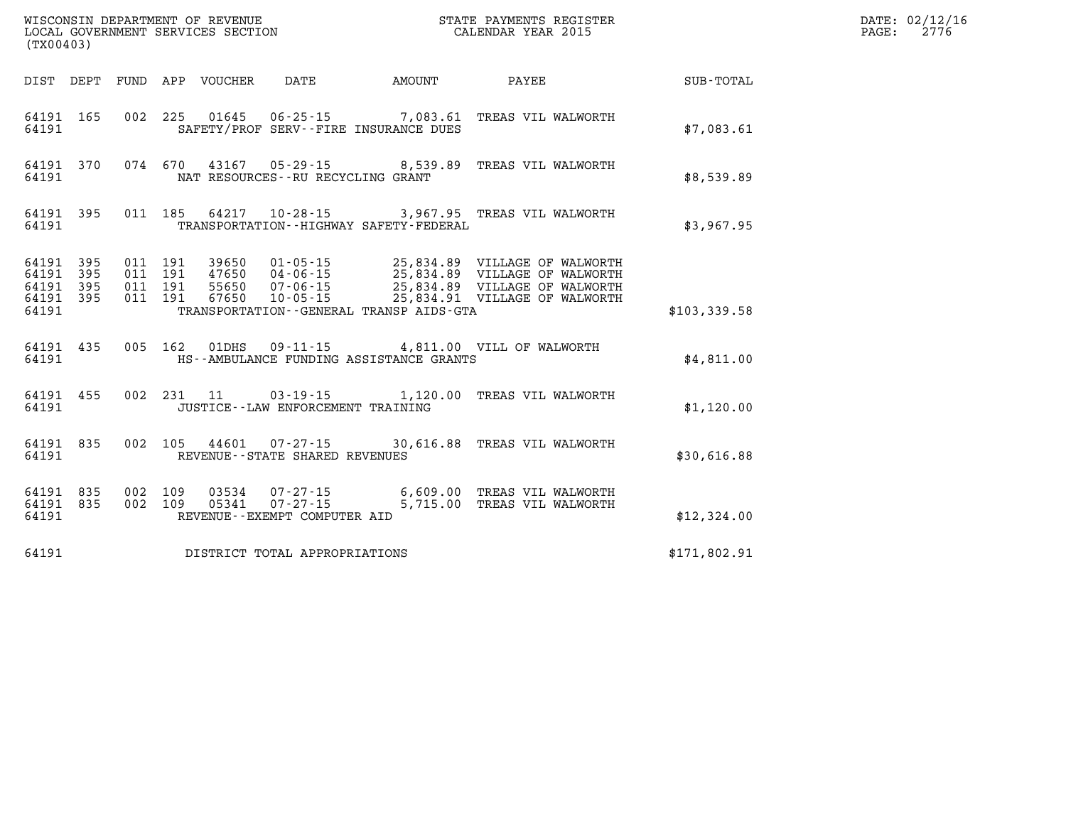| (TX00403)      |                                            |         |         |       | WISCONSIN DEPARTMENT OF REVENUE<br>LOCAL GOVERNMENT SERVICES SECTION |                                             | STATE PAYMENTS REGISTER<br>CALENDAR YEAR 2015                                                                                                                                                                                |              | DATE: 02/12/16<br>$\mathtt{PAGE}$ :<br>2776 |
|----------------|--------------------------------------------|---------|---------|-------|----------------------------------------------------------------------|---------------------------------------------|------------------------------------------------------------------------------------------------------------------------------------------------------------------------------------------------------------------------------|--------------|---------------------------------------------|
|                |                                            |         |         |       |                                                                      | DIST DEPT FUND APP VOUCHER DATE AMOUNT      | <b>PAYEE</b>                                                                                                                                                                                                                 | SUB-TOTAL    |                                             |
| 64191          | 64191 165                                  |         |         |       |                                                                      | SAFETY/PROF SERV--FIRE INSURANCE DUES       | 002 225 01645 06-25-15 7,083.61 TREAS VIL WALWORTH                                                                                                                                                                           | \$7,083.61   |                                             |
| 64191          |                                            |         |         |       | NAT RESOURCES--RU RECYCLING GRANT                                    |                                             | 64191 370 074 670 43167 05-29-15 8,539.89 TREAS VIL WALWORTH                                                                                                                                                                 | \$8,539.89   |                                             |
| 64191          | 64191 395                                  |         |         |       |                                                                      | TRANSPORTATION - - HIGHWAY SAFETY - FEDERAL | 011 185 64217 10-28-15 3,967.95 TREAS VIL WALWORTH                                                                                                                                                                           | \$3,967.95   |                                             |
| 64191<br>64191 | 64191 395<br>64191 395<br>395<br>64191 395 |         |         |       |                                                                      | TRANSPORTATION--GENERAL TRANSP AIDS-GTA     | 011 191 39650 01-05-15 25,834.89 VILLAGE OF WALWORTH<br>011 191 47650 04-06-15 25,834.89 VILLAGE OF WALWORTH<br>011 191 55650 07-06-15 25,834.89 VILLAGE OF WALWORTH<br>011 191 67650 10-05-15 25,834.91 VILLAGE OF WALWORTH | \$103,339.58 |                                             |
| 64191          | 64191 435                                  |         |         |       |                                                                      | HS--AMBULANCE FUNDING ASSISTANCE GRANTS     | 005 162 01DHS 09-11-15 4,811.00 VILL OF WALWORTH                                                                                                                                                                             | \$4,811.00   |                                             |
|                | 64191 455<br>64191                         |         |         |       | JUSTICE -- LAW ENFORCEMENT TRAINING                                  | 002 231 11 03-19-15 1,120.00                | TREAS VIL WALWORTH                                                                                                                                                                                                           | \$1,120.00   |                                             |
| 64191          | 64191 835                                  |         |         |       | REVENUE - - STATE SHARED REVENUES                                    |                                             | 002 105 44601 07-27-15 30,616.88 TREAS VIL WALWORTH                                                                                                                                                                          | \$30,616.88  |                                             |
| 64191          | 64191 835<br>64191 835                     | 002 109 | 002 109 | 05341 | $07 - 27 - 15$<br>REVENUE--EXEMPT COMPUTER AID                       |                                             | 03534  07-27-15   6,609.00   TREAS VIL WALWORTH<br>5,715.00 TREAS VIL WALWORTH                                                                                                                                               | \$12,324.00  |                                             |
| 64191          |                                            |         |         |       | DISTRICT TOTAL APPROPRIATIONS                                        |                                             |                                                                                                                                                                                                                              | \$171,802.91 |                                             |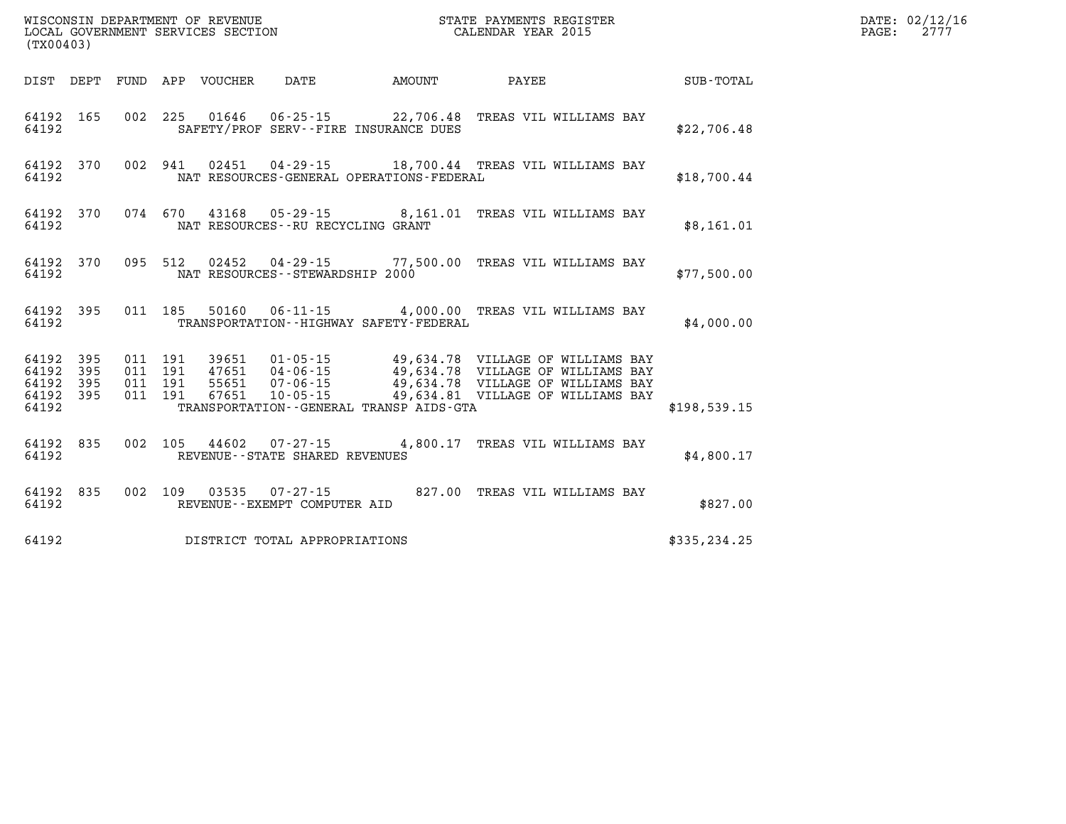| WISCONSIN DEPARTMENT OF REVENUE<br>LOCAL GOVERNMENT SERVICES SECTION THE STATE PAYMENTS REGISTER<br>(TWOO403)<br>(TX00403) |  |  |  |  |                                               |                                                                                                                                                                                                                                                                                                                                                      | DATE: 02/12/16<br>PAGE: 2777 |  |
|----------------------------------------------------------------------------------------------------------------------------|--|--|--|--|-----------------------------------------------|------------------------------------------------------------------------------------------------------------------------------------------------------------------------------------------------------------------------------------------------------------------------------------------------------------------------------------------------------|------------------------------|--|
|                                                                                                                            |  |  |  |  |                                               | DIST DEPT FUND APP VOUCHER DATE AMOUNT PAYEE PAYER SUB-TOTAL                                                                                                                                                                                                                                                                                         |                              |  |
|                                                                                                                            |  |  |  |  | 64192 SAFETY/PROF SERV--FIRE INSURANCE DUES   | 64192 165 002 225 01646 06-25-15 22,706.48 TREAS VIL WILLIAMS BAY                                                                                                                                                                                                                                                                                    | \$22,706.48                  |  |
| 64192                                                                                                                      |  |  |  |  | NAT RESOURCES-GENERAL OPERATIONS-FEDERAL      | 64192 370 002 941 02451 04-29-15 18,700.44 TREAS VIL WILLIAMS BAY                                                                                                                                                                                                                                                                                    | \$18,700.44                  |  |
|                                                                                                                            |  |  |  |  | 64192 NAT RESOURCES--RU RECYCLING GRANT       | 64192 370 074 670 43168 05-29-15 8,161.01 TREAS VIL WILLIAMS BAY                                                                                                                                                                                                                                                                                     | \$8,161.01                   |  |
|                                                                                                                            |  |  |  |  | 64192 NAT RESOURCES - STEWARDSHIP 2000        | 64192 370 095 512 02452 04-29-15 77,500.00 TREAS VIL WILLIAMS BAY                                                                                                                                                                                                                                                                                    | \$77,500.00                  |  |
|                                                                                                                            |  |  |  |  | 64192 TRANSPORTATION - HIGHWAY SAFETY-FEDERAL | 64192 395 011 185 50160 06-11-15 4,000.00 TREAS VIL WILLIAMS BAY                                                                                                                                                                                                                                                                                     | \$4,000.00                   |  |
| 64192                                                                                                                      |  |  |  |  | TRANSPORTATION--GENERAL TRANSP AIDS-GTA       | $\begin{array}{cccccccc} 64192 & 395 & 011 & 191 & 39651 & 01\cdot 05\cdot 15 & 49,634\cdot 78 & \text{VILLAGE OF WILLIAMS BAY} \\ 64192 & 395 & 011 & 191 & 47651 & 04\cdot 06\cdot 15 & 49,634\cdot 78 & \text{VILLAGE OF WILLIAMS BAY} \\ 64192 & 395 & 011 & 191 & 55651 & 07\cdot 06\cdot 15 & 49,634\cdot 78 & \text{VILLAGE OF WILLIAMS BAY}$ | \$198,539.15                 |  |
|                                                                                                                            |  |  |  |  | 64192 REVENUE--STATE SHARED REVENUES          | 64192 835 002 105 44602 07-27-15 4,800.17 TREAS VIL WILLIAMS BAY                                                                                                                                                                                                                                                                                     | \$4,800.17                   |  |
|                                                                                                                            |  |  |  |  | 64192 REVENUE--EXEMPT COMPUTER AID            | 64192 835 002 109 03535 07-27-15 827.00 TREAS VIL WILLIAMS BAY                                                                                                                                                                                                                                                                                       | \$827.00                     |  |
|                                                                                                                            |  |  |  |  | 64192 DISTRICT TOTAL APPROPRIATIONS           |                                                                                                                                                                                                                                                                                                                                                      | \$335,234.25                 |  |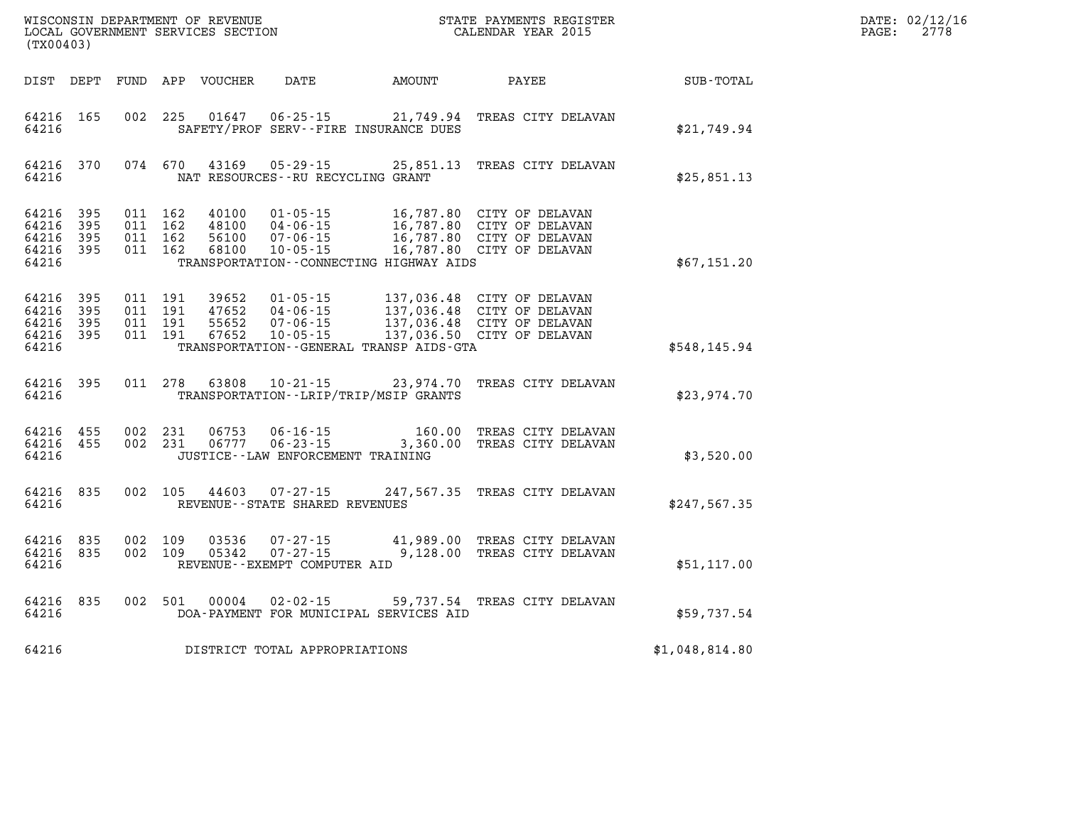| WISCONSIN DEPARTMENT OF REVENUE   | PAYMENTS REGISTER<br>ТТАТЕ | DATE: | 02/12/16 |
|-----------------------------------|----------------------------|-------|----------|
| LOCAL GOVERNMENT SERVICES SECTION | CALENDAR YEAR 2015         | PAGE  | 2776     |

| (TX00403)                                                 |     |                                          | LOCAL GOVERNMENT SERVICES SECTION |                                                |                                          | CALENDAR YEAR 2015                                                                                                                                                                                        |                | PAGE: | 2778 |
|-----------------------------------------------------------|-----|------------------------------------------|-----------------------------------|------------------------------------------------|------------------------------------------|-----------------------------------------------------------------------------------------------------------------------------------------------------------------------------------------------------------|----------------|-------|------|
| DIST DEPT                                                 |     |                                          |                                   | FUND APP VOUCHER DATE                          |                                          |                                                                                                                                                                                                           |                |       |      |
| 64216 165<br>64216                                        |     | 002 225                                  |                                   |                                                | SAFETY/PROF SERV--FIRE INSURANCE DUES    | 01647  06-25-15  21,749.94  TREAS CITY DELAVAN                                                                                                                                                            | \$21,749.94    |       |      |
| 64216 370<br>64216                                        |     |                                          |                                   |                                                | NAT RESOURCES--RU RECYCLING GRANT        | 074 670 43169 05-29-15 25,851.13 TREAS CITY DELAVAN                                                                                                                                                       | \$25,851.13    |       |      |
| 64216 395<br>64216 395<br>64216<br>64216 395<br>64216     | 395 | 011 162<br>011 162<br>011 162<br>011 162 | 40100                             | $01 - 05 - 15$                                 | TRANSPORTATION--CONNECTING HIGHWAY AIDS  | 16,787.80 CITY OF DELAVAN<br>40100 01-03-13 16,787.80 CITY OF DELAVAN<br>48100 04-06-15 16,787.80 CITY OF DELAVAN<br>56100 07-06-15 16,787.80 CITY OF DELAVAN<br>68100 10-05-15 16,787.80 CITY OF DELAVAN | \$67,151.20    |       |      |
| 64216 395<br>64216 395<br>64216 395<br>64216 395<br>64216 |     | 011 191<br>011 191<br>011 191<br>011 191 |                                   |                                                | TRANSPORTATION--GENERAL TRANSP AIDS-GTA  | 39652  01-05-15  137,036.48  CITY OF DELAVAN<br>47652  04-06-15  137,036.48  CITY OF DELAVAN<br>55652  07-06-15  137,036.48  CITY OF DELAVAN<br>67652  10-05-15  137,036.50  CITY OF DELAVAN              | \$548,145.94   |       |      |
| 64216 395<br>64216                                        |     | 011 278                                  |                                   |                                                | TRANSPORTATION - - LRIP/TRIP/MSIP GRANTS | 63808  10-21-15  23,974.70  TREAS CITY DELAVAN                                                                                                                                                            | \$23,974.70    |       |      |
| 64216 455<br>64216 455<br>64216                           |     | 002 231<br>002 231                       | 06753<br>06777                    | $06 - 23 - 15$                                 | JUSTICE - - LAW ENFORCEMENT TRAINING     | 06-16-15    160.00    TREAS CITY DELAVAN<br>3,360.00 TREAS CITY DELAVAN                                                                                                                                   | \$3,520.00     |       |      |
| 64216 835<br>64216                                        |     |                                          |                                   | REVENUE--STATE SHARED REVENUES                 |                                          | 002 105 44603 07-27-15 247,567.35 TREAS CITY DELAVAN                                                                                                                                                      | \$247,567.35   |       |      |
| 64216<br>64216 835<br>64216                               | 835 | 002 109<br>002 109                       | 03536<br>05342                    | $07 - 27 - 15$<br>REVENUE--EXEMPT COMPUTER AID |                                          | 07-27-15 41,989.00 TREAS CITY DELAVAN<br>9,128.00 TREAS CITY DELAVAN                                                                                                                                      | \$51,117.00    |       |      |
| 64216 835<br>64216                                        |     | 002 501                                  | 00004                             |                                                | DOA-PAYMENT FOR MUNICIPAL SERVICES AID   | 02-02-15 59,737.54 TREAS CITY DELAVAN                                                                                                                                                                     | \$59,737.54    |       |      |
| 64216                                                     |     |                                          |                                   | DISTRICT TOTAL APPROPRIATIONS                  |                                          |                                                                                                                                                                                                           | \$1,048,814.80 |       |      |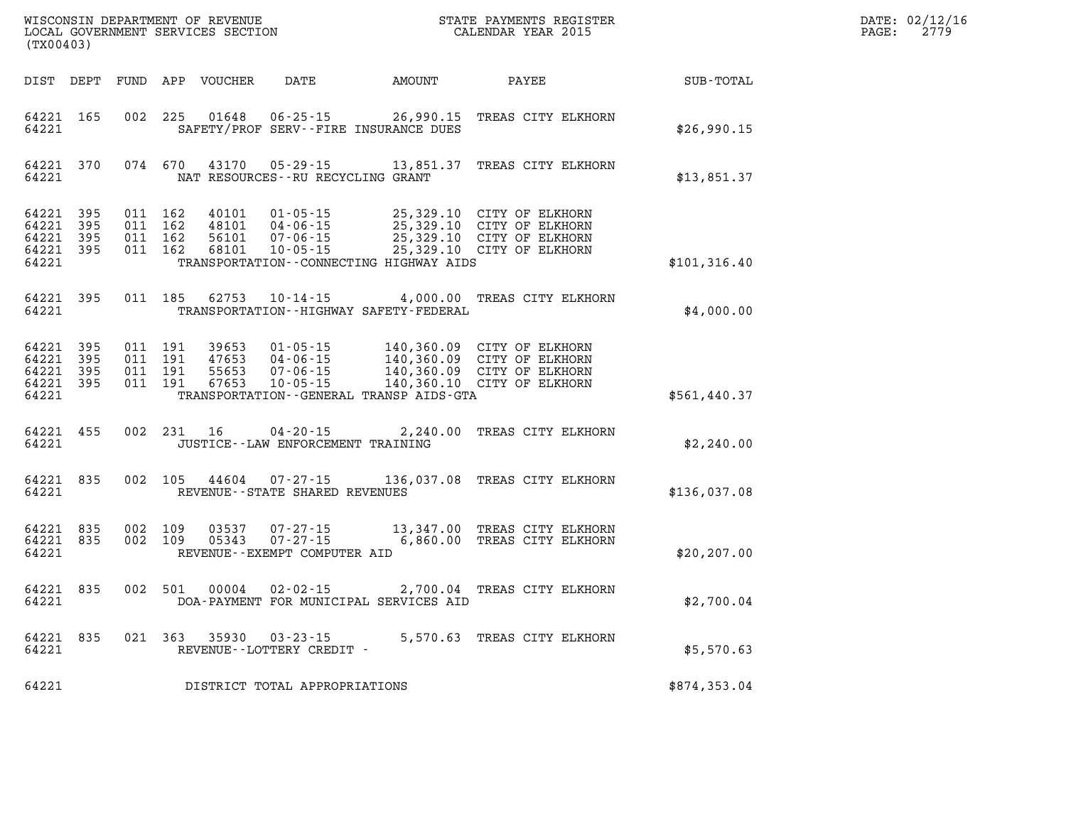| DATE: | 02/12/16 |
|-------|----------|
| PAGE: | 2779     |

| (TX00403)                                 |                          |                          |                          | WISCONSIN DEPARTMENT OF REVENUE<br>LOCAL GOVERNMENT SERVICES SECTION |                                                                      |                                                                                                 | STATE PAYMENTS REGISTER<br>CALENDAR YEAR 2015                            |               |
|-------------------------------------------|--------------------------|--------------------------|--------------------------|----------------------------------------------------------------------|----------------------------------------------------------------------|-------------------------------------------------------------------------------------------------|--------------------------------------------------------------------------|---------------|
| DIST                                      | DEPT                     | FUND                     | APP                      | <b>VOUCHER</b>                                                       | DATE                                                                 | <b>AMOUNT</b>                                                                                   | PAYEE                                                                    | SUB-TOTAL     |
| 64221<br>64221                            | 165                      | 002                      | 225                      | 01648                                                                | $06 - 25 - 15$                                                       | 26,990.15<br>SAFETY/PROF SERV--FIRE INSURANCE DUES                                              | TREAS CITY ELKHORN                                                       | \$26,990.15   |
| 64221<br>64221                            | 370                      | 074                      | 670                      | 43170                                                                | $05 - 29 - 15$<br>NAT RESOURCES - - RU RECYCLING GRANT               | 13,851.37                                                                                       | TREAS CITY ELKHORN                                                       | \$13,851.37   |
| 64221<br>64221<br>64221<br>64221<br>64221 | 395<br>395<br>395<br>395 | 011<br>011<br>011<br>011 | 162<br>162<br>162<br>162 | 40101<br>48101<br>56101<br>68101                                     | $01 - 05 - 15$<br>$04 - 06 - 15$<br>$07 - 06 - 15$<br>$10 - 05 - 15$ | 25,329.10<br>25,329.10<br>25,329.10<br>25,329.10<br>TRANSPORTATION--CONNECTING HIGHWAY AIDS     | CITY OF ELKHORN<br>CITY OF ELKHORN<br>CITY OF ELKHORN<br>CITY OF ELKHORN | \$101, 316.40 |
| 64221<br>64221                            | 395                      | 011                      | 185                      | 62753                                                                | $10 - 14 - 15$                                                       | 4,000.00<br>TRANSPORTATION - - HIGHWAY SAFETY - FEDERAL                                         | TREAS CITY ELKHORN                                                       | \$4,000.00    |
| 64221<br>64221<br>64221<br>64221<br>64221 | 395<br>395<br>395<br>395 | 011<br>011<br>011<br>011 | 191<br>191<br>191<br>191 | 39653<br>47653<br>55653<br>67653                                     | $01 - 05 - 15$<br>$04 - 06 - 15$<br>$07 - 06 - 15$<br>$10 - 05 - 15$ | 140,360.09<br>140,360.09<br>140,360.09<br>140,360.10<br>TRANSPORTATION--GENERAL TRANSP AIDS-GTA | CITY OF ELKHORN<br>CITY OF ELKHORN<br>CITY OF ELKHORN<br>CITY OF ELKHORN | \$561,440.37  |
| 64221<br>64221                            | 455                      | 002                      | 231                      | 16                                                                   | $04 - 20 - 15$<br>JUSTICE - - LAW ENFORCEMENT TRAINING               | 2,240.00                                                                                        | TREAS CITY ELKHORN                                                       | \$2,240.00    |
| 64221<br>64221                            | 835                      | 002                      | 105                      | 44604                                                                | $07 - 27 - 15$<br>REVENUE - - STATE SHARED REVENUES                  | 136,037.08                                                                                      | TREAS CITY ELKHORN                                                       | \$136,037.08  |
| 64221<br>64221<br>64221                   | 835<br>835               | 002<br>002               | 109<br>109               | 03537<br>05343                                                       | $07 - 27 - 15$<br>$07 - 27 - 15$<br>REVENUE - - EXEMPT COMPUTER AID  | 13,347.00<br>6,860.00                                                                           | TREAS CITY ELKHORN<br>TREAS CITY ELKHORN                                 | \$20, 207.00  |
| 64221<br>64221                            | 835                      | 002                      | 501                      | 00004                                                                | $02 - 02 - 15$                                                       | 2,700.04<br>DOA-PAYMENT FOR MUNICIPAL SERVICES AID                                              | TREAS CITY ELKHORN                                                       | \$2,700.04    |
| 64221<br>64221                            | 835                      | 021                      | 363                      | 35930                                                                | $03 - 23 - 15$<br>REVENUE--LOTTERY CREDIT -                          | 5,570.63                                                                                        | TREAS CITY ELKHORN                                                       | \$5,570.63    |
| 64221                                     |                          |                          |                          |                                                                      | DISTRICT TOTAL APPROPRIATIONS                                        |                                                                                                 |                                                                          | \$874,353.04  |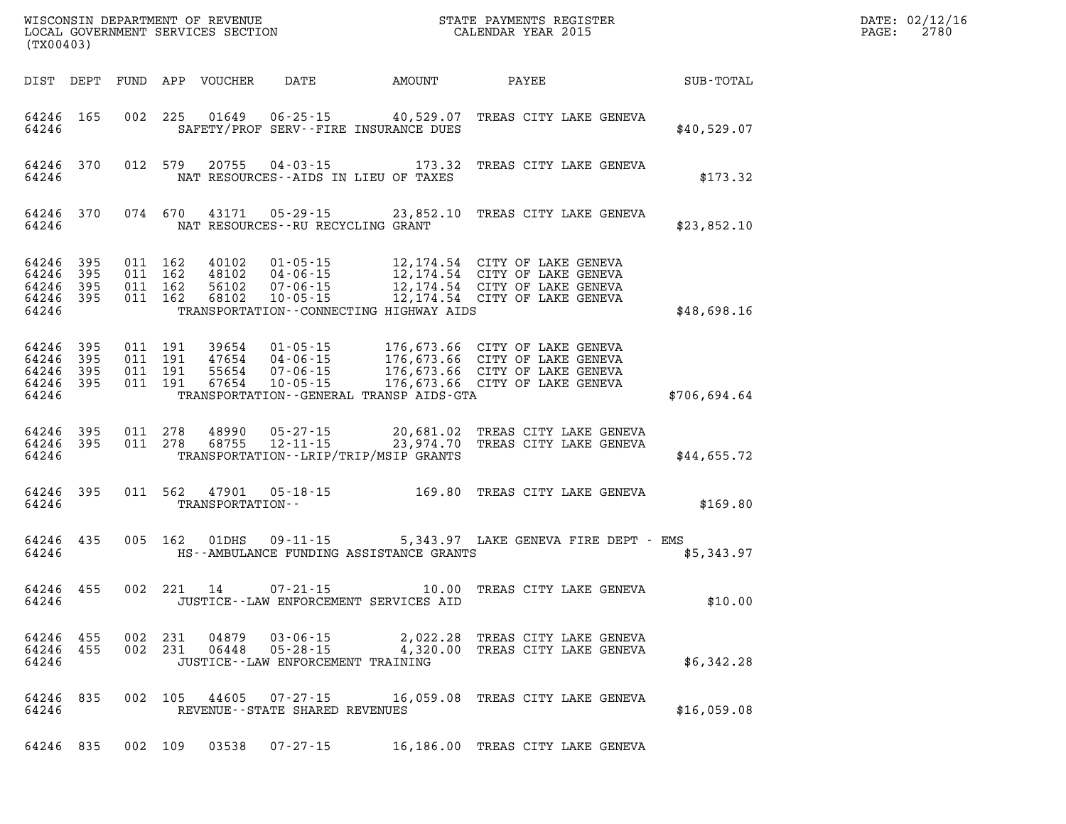| (TX00403)                                         |            |                               |                               | WISCONSIN DEPARTMENT OF REVENUE<br>LOCAL GOVERNMENT SERVICES SECTION |                                                                    |                                                                   | STATE PAYMENTS REGISTER<br>CALENDAR YEAR 2015                                                                                                                                                                |              | DATE: 02/12/16<br>PAGE:<br>2780 |
|---------------------------------------------------|------------|-------------------------------|-------------------------------|----------------------------------------------------------------------|--------------------------------------------------------------------|-------------------------------------------------------------------|--------------------------------------------------------------------------------------------------------------------------------------------------------------------------------------------------------------|--------------|---------------------------------|
|                                                   | DIST DEPT  |                               |                               | FUND APP VOUCHER                                                     | DATE                                                               | <b>AMOUNT</b>                                                     | PAYEE                                                                                                                                                                                                        | SUB-TOTAL    |                                 |
| 64246 165<br>64246                                |            |                               | 002 225                       | 01649                                                                |                                                                    | $06 - 25 - 15$ 40,529.07<br>SAFETY/PROF SERV--FIRE INSURANCE DUES | TREAS CITY LAKE GENEVA                                                                                                                                                                                       | \$40,529.07  |                                 |
| 64246                                             | 64246 370  |                               | 012 579                       | 20755                                                                |                                                                    | $04 - 03 - 15$ 173.32<br>NAT RESOURCES--AIDS IN LIEU OF TAXES     | TREAS CITY LAKE GENEVA                                                                                                                                                                                       | \$173.32     |                                 |
| 64246                                             | 64246 370  |                               | 074 670                       | 43171                                                                | NAT RESOURCES--RU RECYCLING GRANT                                  |                                                                   | 05-29-15 23,852.10 TREAS CITY LAKE GENEVA                                                                                                                                                                    | \$23,852.10  |                                 |
| 64246<br>64246<br>64246 395<br>64246 395<br>64246 | 395<br>395 | 011 162<br>011 162<br>011 162 | 011 162                       | 40102<br>48102<br>56102<br>68102                                     | 04-06-15<br>07-06-15<br>$10 - 05 - 15$                             | TRANSPORTATION--CONNECTING HIGHWAY AIDS                           | 01-05-15 12,174.54 CITY OF LAKE GENEVA<br>12,174.54 CITY OF LAKE GENEVA<br>12,174.54 CITY OF LAKE GENEVA<br>12,174.54 CITY OF LAKE GENEVA                                                                    | \$48,698.16  |                                 |
| 64246 395<br>64246<br>64246<br>64246 395<br>64246 | 395<br>395 | 011 191                       | 011 191<br>011 191<br>011 191 |                                                                      |                                                                    | TRANSPORTATION--GENERAL TRANSP AIDS-GTA                           | 39654  01-05-15  176,673.66  CITY OF LAKE GENEVA<br>47654  04-06-15  176,673.66  CITY OF LAKE GENEVA<br>55654  07-06-15  176,673.66  CITY OF LAKE GENEVA<br>67654  10-05-15  176,673.66  CITY OF LAKE GENEVA | \$706,694.64 |                                 |
| 64246 395<br>64246 395<br>64246                   |            | 011 278                       | 011 278                       | 48990<br>68755                                                       | $05 - 27 - 15$<br>$12 - 11 - 15$                                   | TRANSPORTATION - - LRIP/TRIP/MSIP GRANTS                          | 20,681.02 TREAS CITY LAKE GENEVA<br>23,974.70 TREAS CITY LAKE GENEVA                                                                                                                                         | \$44,655.72  |                                 |
| 64246 395<br>64246                                |            |                               | 011 562                       | 47901<br>TRANSPORTATION--                                            |                                                                    |                                                                   | 05-18-15 169.80 TREAS CITY LAKE GENEVA                                                                                                                                                                       | \$169.80     |                                 |
| 64246 435<br>64246                                |            |                               | 005 162                       | 01DHS                                                                | 09-11-15                                                           | HS--AMBULANCE FUNDING ASSISTANCE GRANTS                           | 5,343.97 LAKE GENEVA FIRE DEPT - EMS                                                                                                                                                                         | \$5,343.97   |                                 |
| 64246 455<br>64246                                |            |                               | 002 221                       | 14                                                                   | $07 - 21 - 15$                                                     | 10.00<br>JUSTICE - - LAW ENFORCEMENT SERVICES AID                 | TREAS CITY LAKE GENEVA                                                                                                                                                                                       | \$10.00      |                                 |
| 64246 455<br>64246 455<br>64246                   |            | 002 231                       | 002 231                       | 04879<br>06448                                                       | 03-06-15<br>$05 - 28 - 15$<br>JUSTICE - - LAW ENFORCEMENT TRAINING |                                                                   | 2,022.28 TREAS CITY LAKE GENEVA<br>4,320.00 TREAS CITY LAKE GENEVA                                                                                                                                           | \$6,342.28   |                                 |
| 64246 835<br>64246                                |            |                               | 002 105                       | 44605                                                                | 07-27-15<br>REVENUE--STATE SHARED REVENUES                         |                                                                   | 16,059.08 TREAS CITY LAKE GENEVA                                                                                                                                                                             | \$16,059.08  |                                 |
| 64246 835                                         |            |                               |                               |                                                                      | 002 109 03538 07-27-15                                             |                                                                   | 16,186.00 TREAS CITY LAKE GENEVA                                                                                                                                                                             |              |                                 |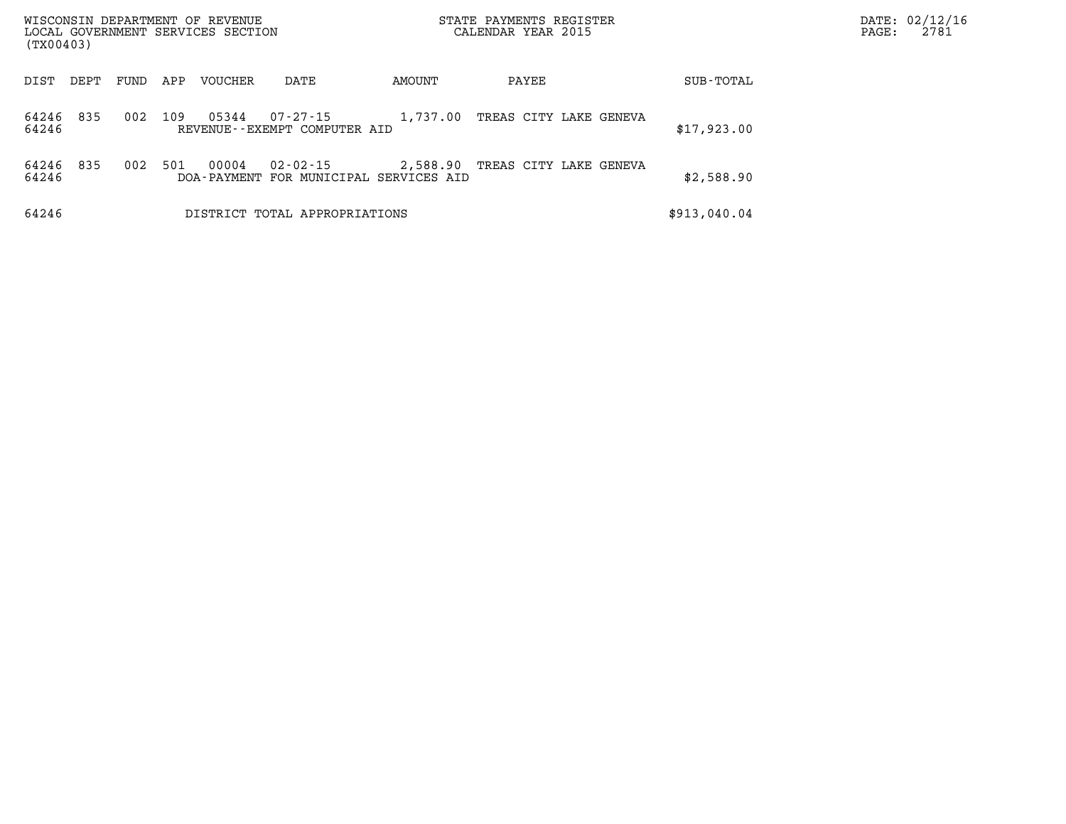| WISCONSIN DEPARTMENT OF REVENUE<br>LOCAL GOVERNMENT SERVICES SECTION<br>(TX00403) |      |      |     |         |                                                          |          | STATE PAYMENTS REGISTER<br>CALENDAR YEAR 2015 | PAGE:        | DATE: 02/12/16<br>2781 |  |
|-----------------------------------------------------------------------------------|------|------|-----|---------|----------------------------------------------------------|----------|-----------------------------------------------|--------------|------------------------|--|
| DIST                                                                              | DEPT | FUND | APP | VOUCHER | DATE                                                     | AMOUNT   | PAYEE                                         | SUB-TOTAL    |                        |  |
| 64246<br>64246                                                                    | 835  | 002  | 109 | 05344   | 07-27-15<br>REVENUE--EXEMPT COMPUTER AID                 | 1,737.00 | TREAS CITY LAKE GENEVA                        | \$17,923.00  |                        |  |
| 64246<br>64246                                                                    | 835  | 002  | 501 | 00004   | $02 - 02 - 15$<br>DOA-PAYMENT FOR MUNICIPAL SERVICES AID | 2,588.90 | TREAS CITY LAKE GENEVA                        | \$2,588.90   |                        |  |
| 64246                                                                             |      |      |     |         | DISTRICT TOTAL APPROPRIATIONS                            |          |                                               | \$913,040.04 |                        |  |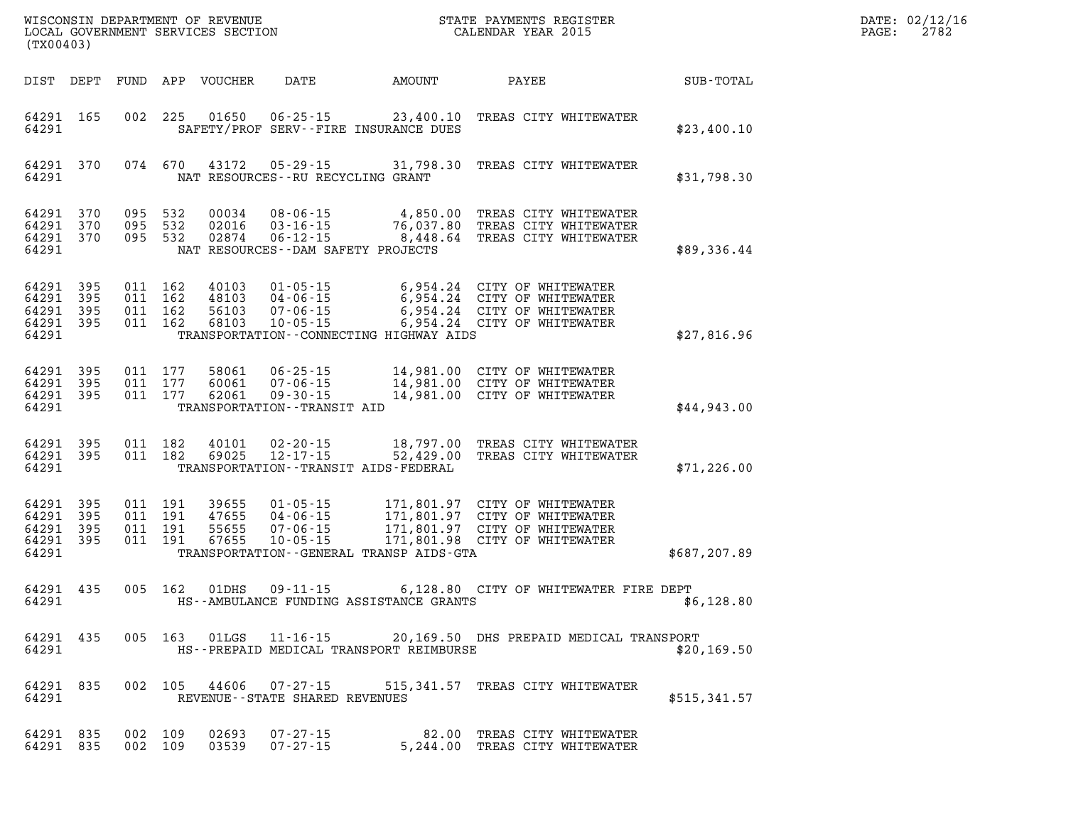| DATE: | 02/12/16 |
|-------|----------|
| PAGE: | 2782     |

|                                               | LOCAL GOVERNMENT SERVICES SECTION<br>(TX00403) |  |                                          |                                  |                                                                                 |                                                   | CALENDAR YEAR 2015                                                                                                                    |                  | PAGE: | 2782 |
|-----------------------------------------------|------------------------------------------------|--|------------------------------------------|----------------------------------|---------------------------------------------------------------------------------|---------------------------------------------------|---------------------------------------------------------------------------------------------------------------------------------------|------------------|-------|------|
| DIST DEPT                                     |                                                |  |                                          | FUND APP VOUCHER                 | DATE                                                                            | AMOUNT                                            | PAYEE                                                                                                                                 | <b>SUB-TOTAL</b> |       |      |
| 64291 165<br>64291                            |                                                |  | 002 225                                  | 01650                            | $06 - 25 - 15$                                                                  | SAFETY/PROF SERV--FIRE INSURANCE DUES             | 23,400.10 TREAS CITY WHITEWATER                                                                                                       | \$23,400.10      |       |      |
| 64291 370<br>64291                            |                                                |  | 074 670                                  | 43172                            | $05 - 29 - 15$                                                                  | 31,798.30<br>NAT RESOURCES - - RU RECYCLING GRANT | TREAS CITY WHITEWATER                                                                                                                 | \$31,798.30      |       |      |
| 64291<br>64291 370<br>64291 370<br>64291      | 370                                            |  | 095 532<br>095 532                       | 00034<br>02016<br>095 532 02874  | $08 - 06 - 15$<br>$03 - 16 - 15$<br>$06 - 12 - 15$                              | NAT RESOURCES - - DAM SAFETY PROJECTS             | 4,850.00 TREAS CITY WHITEWATER<br>4,850.00 IREAS CITY WHITEWATER<br>76,037.80 TREAS CITY WHITEWATER<br>8,448.64 TREAS CITY WHITEWATER | \$89,336.44      |       |      |
| 64291<br>64291<br>64291<br>64291 395<br>64291 | 395<br>395<br>395                              |  | 011 162<br>011 162<br>011 162<br>011 162 | 56103<br>68103                   | 40103      01-05-15<br>48103       04-06-15<br>$07 - 06 - 15$<br>$10 - 05 - 15$ | TRANSPORTATION--CONNECTING HIGHWAY AIDS           | 6,954.24 CITY OF WHITEWATER<br>6,954.24 CITY OF WHITEWATER<br>6,954.24 CITY OF WHITEWATER<br>6,954.24 CITY OF WHITEWATER              | \$27,816.96      |       |      |
| 64291<br>64291<br>64291 395<br>64291          | 395<br>395                                     |  | 011 177<br>011 177<br>011 177            | 58061<br>60061<br>62061          | $07 - 06 - 15$<br>$09 - 30 - 15$<br>TRANSPORTATION - - TRANSIT AID              |                                                   | 06-25-15 14,981.00 CITY OF WHITEWATER<br>14,981.00 CITY OF WHITEWATER<br>14,981.00 CITY OF WHITEWATER<br>14,981.00 CITY OF WHITEWATER | \$44.943.00      |       |      |
| 64291 395<br>64291<br>64291                   | 395                                            |  | 011 182<br>011 182                       | 40101<br>69025                   | $02 - 20 - 15$<br>$12 - 17 - 15$                                                | TRANSPORTATION - - TRANSIT AIDS - FEDERAL         | 18,797.00 TREAS CITY WHITEWATER<br>52,429.00 TREAS CITY WHITEWATER                                                                    | \$71, 226.00     |       |      |
| 64291<br>64291<br>64291<br>64291 395<br>64291 | 395<br>395<br>395                              |  | 011 191<br>011 191<br>011 191<br>011 191 | 39655<br>47655<br>55655<br>67655 | $01 - 05 - 15$<br>$04 - 06 - 15$<br>$07 - 06 - 15$<br>$10 - 05 - 15$            | TRANSPORTATION - - GENERAL TRANSP AIDS - GTA      | 171,801.97 CITY OF WHITEWATER<br>171,801.97 CITY OF WHITEWATER<br>171,801.97 CITY OF WHITEWATER<br>171,801.98 CITY OF WHITEWATER      | \$687,207.89     |       |      |
| 64291<br>64291                                | 435                                            |  | 005 162                                  | 01DHS                            | $09 - 11 - 15$                                                                  | HS--AMBULANCE FUNDING ASSISTANCE GRANTS           | 6,128.80 CITY OF WHITEWATER FIRE DEPT                                                                                                 | \$6,128.80       |       |      |
| 64291 435<br>64291                            |                                                |  |                                          |                                  |                                                                                 | HS--PREPAID MEDICAL TRANSPORT REIMBURSE           | 005 163 01LGS 11-16-15 20,169.50 DHS PREPAID MEDICAL TRANSPORT                                                                        | \$20,169.50      |       |      |
| 64291<br>64291                                | 835                                            |  |                                          |                                  | REVENUE - - STATE SHARED REVENUES                                               |                                                   | 002 105 44606 07-27-15 515,341.57 TREAS CITY WHITEWATER                                                                               | \$515,341.57     |       |      |
| 64291 835<br>64291 835                        |                                                |  | 002 109<br>002 109                       | 02693<br>03539                   | $07 - 27 - 15$<br>$07 - 27 - 15$                                                |                                                   | 82.00 TREAS CITY WHITEWATER<br>5,244.00 TREAS CITY WHITEWATER                                                                         |                  |       |      |

WISCONSIN DEPARTMENT OF REVENUE **STATE PAYMENTS REGISTER**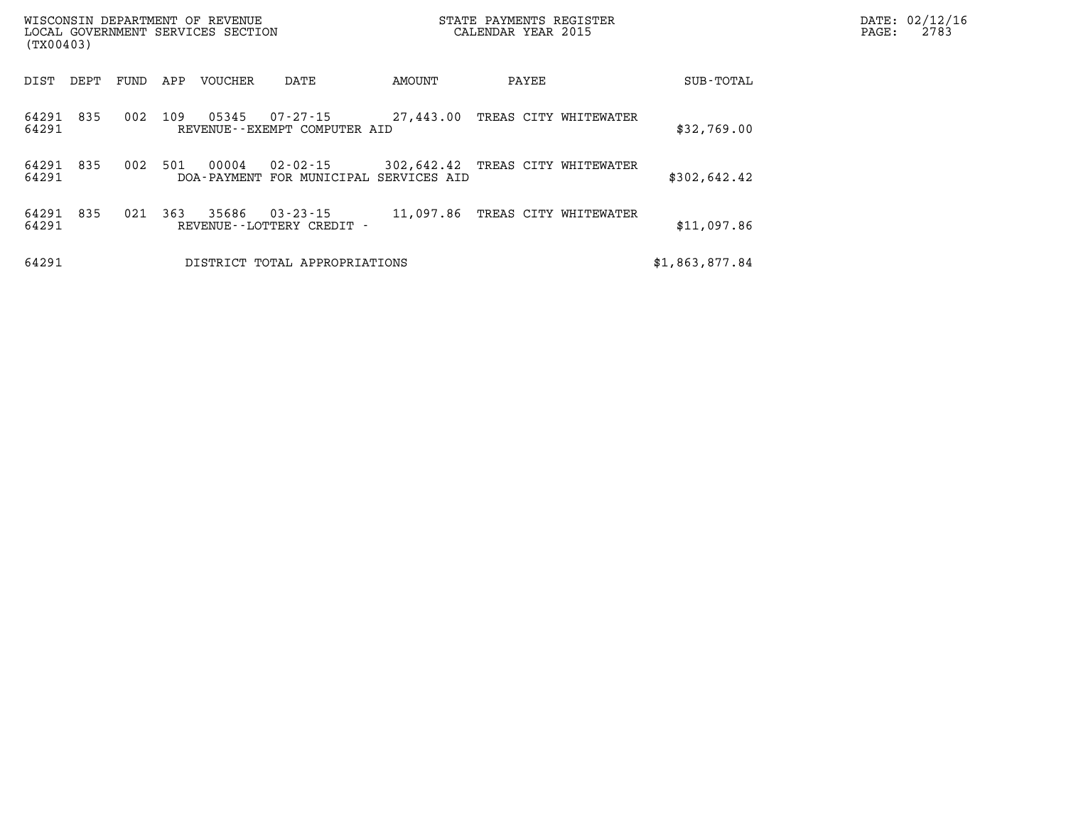| WISCONSIN DEPARTMENT OF REVENUE<br>LOCAL GOVERNMENT SERVICES SECTION<br>(TX00403) |      |      |     |         |                                                          |                                  | STATE PAYMENTS REGISTER<br>CALENDAR YEAR 2015 |  |                | $\mathtt{PAGE:}$ | DATE: 02/12/16<br>2783 |
|-----------------------------------------------------------------------------------|------|------|-----|---------|----------------------------------------------------------|----------------------------------|-----------------------------------------------|--|----------------|------------------|------------------------|
| DIST                                                                              | DEPT | FUND | APP | VOUCHER | DATE                                                     | AMOUNT                           | PAYEE                                         |  | SUB-TOTAL      |                  |                        |
| 64291<br>64291                                                                    | 835  | 002  | 109 | 05345   | $07 - 27 - 15$ 27,443.00<br>REVENUE--EXEMPT COMPUTER AID |                                  | TREAS CITY WHITEWATER                         |  | \$32,769.00    |                  |                        |
| 64291<br>64291                                                                    | 835  | 002  | 501 | 00004   | 02-02-15<br>DOA-PAYMENT FOR MUNICIPAL SERVICES AID       | 302,642.42 TREAS CITY WHITEWATER |                                               |  | \$302,642.42   |                  |                        |
| 64291<br>64291                                                                    | 835  | 021  | 363 | 35686   | $03 - 23 - 15$<br>REVENUE - - LOTTERY CREDIT -           | 11,097.86                        | TREAS CITY WHITEWATER                         |  | \$11,097.86    |                  |                        |
| 64291                                                                             |      |      |     |         | DISTRICT TOTAL APPROPRIATIONS                            |                                  |                                               |  | \$1,863,877.84 |                  |                        |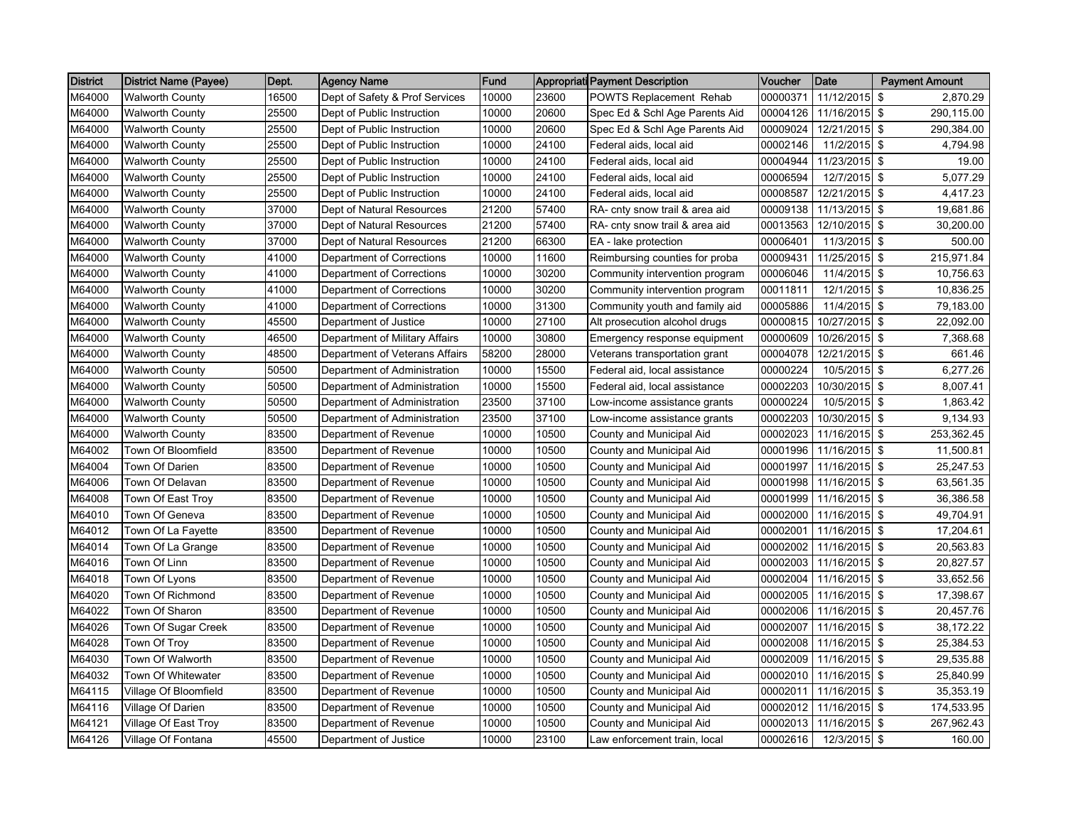| <b>District</b> | <b>District Name (Payee)</b> | Dept. | <b>Agency Name</b>             | Fund  |       | <b>Appropriati Payment Description</b> | Voucher  | Date          | <b>Payment Amount</b>       |
|-----------------|------------------------------|-------|--------------------------------|-------|-------|----------------------------------------|----------|---------------|-----------------------------|
| M64000          | <b>Walworth County</b>       | 16500 | Dept of Safety & Prof Services | 10000 | 23600 | POWTS Replacement Rehab                | 00000371 | 11/12/2015    | \$<br>2,870.29              |
| M64000          | <b>Walworth County</b>       | 25500 | Dept of Public Instruction     | 10000 | 20600 | Spec Ed & Schl Age Parents Aid         | 00004126 | 11/16/2015    | \$<br>290,115.00            |
| M64000          | Walworth County              | 25500 | Dept of Public Instruction     | 10000 | 20600 | Spec Ed & Schl Age Parents Aid         | 00009024 | 12/21/2015    | \$<br>290,384.00            |
| M64000          | Walworth County              | 25500 | Dept of Public Instruction     | 10000 | 24100 | Federal aids, local aid                | 00002146 | 11/2/2015 \$  | 4,794.98                    |
| M64000          | <b>Walworth County</b>       | 25500 | Dept of Public Instruction     | 10000 | 24100 | Federal aids, local aid                | 00004944 | 11/23/2015    | \$<br>19.00                 |
| M64000          | <b>Walworth County</b>       | 25500 | Dept of Public Instruction     | 10000 | 24100 | Federal aids, local aid                | 00006594 | 12/7/2015     | $\overline{5,077.29}$<br>\$ |
| M64000          | Walworth County              | 25500 | Dept of Public Instruction     | 10000 | 24100 | Federal aids, local aid                | 00008587 | 12/21/2015    | \$<br>4,417.23              |
| M64000          | Walworth County              | 37000 | Dept of Natural Resources      | 21200 | 57400 | RA- cnty snow trail & area aid         | 00009138 | 11/13/2015 \$ | 19,681.86                   |
| M64000          | Walworth County              | 37000 | Dept of Natural Resources      | 21200 | 57400 | RA- cnty snow trail & area aid         | 00013563 | 12/10/2015    | \$<br>30,200.00             |
| M64000          | <b>Walworth County</b>       | 37000 | Dept of Natural Resources      | 21200 | 66300 | EA - lake protection                   | 00006401 | 11/3/2015     | \$<br>500.00                |
| M64000          | <b>Walworth County</b>       | 41000 | Department of Corrections      | 10000 | 11600 | Reimbursing counties for proba         | 00009431 | 11/25/2015    | \$<br>215,971.84            |
| M64000          | Walworth County              | 41000 | Department of Corrections      | 10000 | 30200 | Community intervention program         | 00006046 | 11/4/2015     | \$<br>10,756.63             |
| M64000          | Walworth County              | 41000 | Department of Corrections      | 10000 | 30200 | Community intervention program         | 00011811 | 12/1/2015     | \$<br>10,836.25             |
| M64000          | Walworth County              | 41000 | Department of Corrections      | 10000 | 31300 | Community youth and family aid         | 00005886 | 11/4/2015     | \$<br>79,183.00             |
| M64000          | <b>Walworth County</b>       | 45500 | Department of Justice          | 10000 | 27100 | Alt prosecution alcohol drugs          | 00000815 | 10/27/2015 \$ | 22,092.00                   |
| M64000          | Walworth County              | 46500 | Department of Military Affairs | 10000 | 30800 | Emergency response equipment           | 00000609 | 10/26/2015    | \$<br>7,368.68              |
| M64000          | Walworth County              | 48500 | Department of Veterans Affairs | 58200 | 28000 | Veterans transportation grant          | 00004078 | 12/21/2015 \$ | 661.46                      |
| M64000          | Walworth County              | 50500 | Department of Administration   | 10000 | 15500 | Federal aid, local assistance          | 00000224 | 10/5/2015     | \$<br>6,277.26              |
| M64000          | <b>Walworth County</b>       | 50500 | Department of Administration   | 10000 | 15500 | Federal aid, local assistance          | 00002203 | 10/30/2015    | \$<br>8,007.41              |
| M64000          | <b>Walworth County</b>       | 50500 | Department of Administration   | 23500 | 37100 | Low-income assistance grants           | 00000224 | 10/5/2015     | \$<br>1,863.42              |
| M64000          | Walworth County              | 50500 | Department of Administration   | 23500 | 37100 | Low-income assistance grants           | 00002203 | 10/30/2015    | \$<br>9,134.93              |
| M64000          | Walworth County              | 83500 | Department of Revenue          | 10000 | 10500 | County and Municipal Aid               | 00002023 | 11/16/2015    | \$<br>253,362.45            |
| M64002          | Town Of Bloomfield           | 83500 | Department of Revenue          | 10000 | 10500 | County and Municipal Aid               | 00001996 | 11/16/2015    | \$<br>11,500.81             |
| M64004          | Town Of Darien               | 83500 | Department of Revenue          | 10000 | 10500 | County and Municipal Aid               | 00001997 | 11/16/2015 \$ | 25,247.53                   |
| M64006          | Town Of Delavan              | 83500 | Department of Revenue          | 10000 | 10500 | County and Municipal Aid               | 00001998 | 11/16/2015    | \$<br>63,561.35             |
| M64008          | Town Of East Troy            | 83500 | Department of Revenue          | 10000 | 10500 | County and Municipal Aid               | 00001999 | 11/16/2015 \$ | 36,386.58                   |
| M64010          | Town Of Geneva               | 83500 | Department of Revenue          | 10000 | 10500 | County and Municipal Aid               | 00002000 | 11/16/2015 \$ | 49,704.91                   |
| M64012          | Town Of La Fayette           | 83500 | Department of Revenue          | 10000 | 10500 | County and Municipal Aid               | 00002001 | 11/16/2015    | \$<br>17,204.61             |
| M64014          | Town Of La Grange            | 83500 | Department of Revenue          | 10000 | 10500 | County and Municipal Aid               | 00002002 | 11/16/2015    | \$<br>20,563.83             |
| M64016          | Town Of Linn                 | 83500 | Department of Revenue          | 10000 | 10500 | County and Municipal Aid               | 00002003 | 11/16/2015    | \$<br>20,827.57             |
| M64018          | Town Of Lyons                | 83500 | Department of Revenue          | 10000 | 10500 | County and Municipal Aid               | 00002004 | 11/16/2015    | \$<br>33,652.56             |
| M64020          | Town Of Richmond             | 83500 | Department of Revenue          | 10000 | 10500 | County and Municipal Aid               | 00002005 | 11/16/2015    | \$<br>17,398.67             |
| M64022          | Town Of Sharon               | 83500 | Department of Revenue          | 10000 | 10500 | County and Municipal Aid               | 00002006 | 11/16/2015 \$ | 20,457.76                   |
| M64026          | Town Of Sugar Creek          | 83500 | Department of Revenue          | 10000 | 10500 | County and Municipal Aid               | 00002007 | 11/16/2015    | \$<br>38,172.22             |
| M64028          | Town Of Troy                 | 83500 | Department of Revenue          | 10000 | 10500 | County and Municipal Aid               | 00002008 | 11/16/2015 \$ | 25,384.53                   |
| M64030          | Town Of Walworth             | 83500 | Department of Revenue          | 10000 | 10500 | County and Municipal Aid               | 00002009 | 11/16/2015 \$ | 29,535.88                   |
| M64032          | Town Of Whitewater           | 83500 | Department of Revenue          | 10000 | 10500 | County and Municipal Aid               | 00002010 | 11/16/2015    | \$<br>25,840.99             |
| M64115          | Village Of Bloomfield        | 83500 | Department of Revenue          | 10000 | 10500 | County and Municipal Aid               | 00002011 | 11/16/2015    | \$<br>35,353.19             |
| M64116          | Village Of Darien            | 83500 | Department of Revenue          | 10000 | 10500 | County and Municipal Aid               | 00002012 | 11/16/2015    | \$<br>174,533.95            |
| M64121          | Village Of East Troy         | 83500 | Department of Revenue          | 10000 | 10500 | County and Municipal Aid               | 00002013 | 11/16/2015 \$ | 267,962.43                  |
| M64126          | Village Of Fontana           | 45500 | Department of Justice          | 10000 | 23100 | Law enforcement train, local           | 00002616 | 12/3/2015 \$  | 160.00                      |